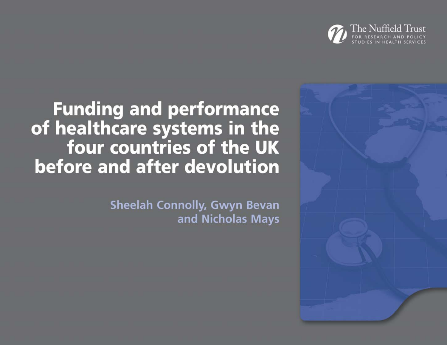



**Funding and performance** of healthcare systems in the four countries of the UK before and after devolution

> **Sheelah Connolly, Gwyn Bevan** and Nicholas Mays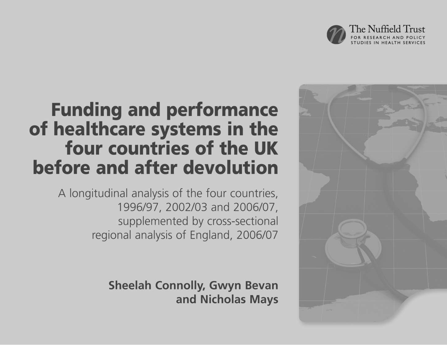



# **Funding and performance** of healthcare systems in the four countries of the UK before and after devolution

A longitudinal analysis of the four countries, 1996/97, 2002/03 and 2006/07, supplemented by cross-sectional regional analysis of England, 2006/07

> **Sheelah Connolly, Gwyn Bevan** and Nicholas Mays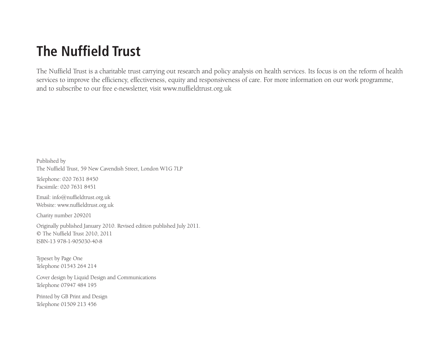### **The Nuffield Trust**

The Nuffield Trust is a charitable trust carrying out research and policy analysis on health services. Its focus is on the reform of health services to improve the efficiency, effectiveness, equity and responsiveness of care. For more information on our work programme, and to subscribe to our free e-newsletter, visit www.nuffieldtrust.org.uk

Published by The Nuffield Trust, 59 New Cavendish Street, London W1G 7LP Telephone: 020 7631 8450 Facsimile: 020 7631 8451 Email: info@nuffieldtrust.org.uk Website: www.nuffieldtrust.org.uk Charity number 209201 Originally published January 2010. Revised edition published July 2011. © The Nuffield Trust 2010, 2011 ISBN-13 978-1-905030-40-8 Typeset by Page One Telephone 01543 264 214 Cover design by Liquid Design and Communications Telephone 07947 484 195 Printed by GB Print and Design

Telephone 01509 213 456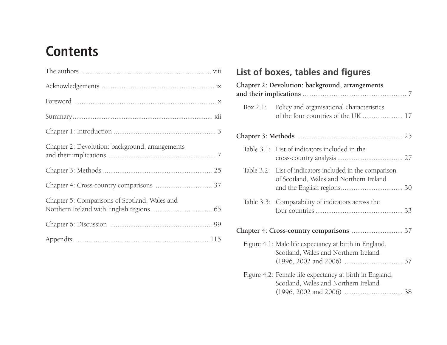### **Contents**

| Chapter 2: Devolution: background, arrangements |  |
|-------------------------------------------------|--|
|                                                 |  |
|                                                 |  |
| Chapter 5: Comparisons of Scotland, Wales and   |  |
|                                                 |  |
|                                                 |  |

#### **List of boxes, tables and figures**

| Chapter 2: Devolution: background, arrangements                                                     |  |
|-----------------------------------------------------------------------------------------------------|--|
| Box 2.1: Policy and organisational characteristics<br>of the four countries of the UK  17           |  |
|                                                                                                     |  |
| Table 3.1: List of indicators included in the                                                       |  |
| Table 3.2: List of indicators included in the comparison<br>of Scotland, Wales and Northern Ireland |  |
| Table 3.3: Comparability of indicators across the                                                   |  |
| Chapter 4: Cross-country comparisons  37                                                            |  |
| Figure 4.1: Male life expectancy at birth in England,<br>Scotland, Wales and Northern Ireland       |  |
| Figure 4.2: Female life expectancy at birth in England,<br>Scotland, Wales and Northern Ireland     |  |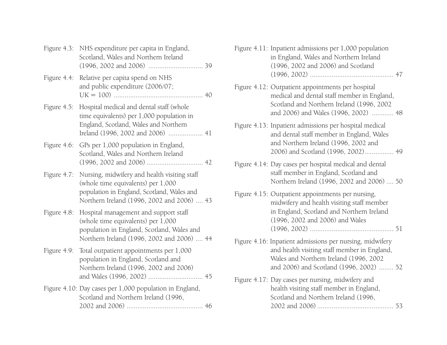|                | Figure 4.3: NHS expenditure per capita in England,<br>Scotland, Wales and Northern Ireland                                                                                     |  |
|----------------|--------------------------------------------------------------------------------------------------------------------------------------------------------------------------------|--|
| Figure 4.4:    | Relative per capita spend on NHS<br>and public expenditure (2006/07;                                                                                                           |  |
| Figure 4.5:    | Hospital medical and dental staff (whole<br>time equivalents) per 1,000 population in<br>England, Scotland, Wales and Northern                                                 |  |
| Figure 4.6:    | GPs per 1,000 population in England,<br>Scotland, Wales and Northern Ireland                                                                                                   |  |
| Figure $4.7$ : | Nursing, midwifery and health visiting staff<br>(whole time equivalents) per 1,000<br>population in England, Scotland, Wales and<br>Northern Ireland (1996, 2002 and 2006)  43 |  |
| Figure 4.8:    | Hospital management and support staff<br>(whole time equivalents) per 1,000<br>population in England, Scotland, Wales and<br>Northern Ireland (1996, 2002 and 2006)  44        |  |
| Figure 4.9:    | Total outpatient appointments per 1,000<br>population in England, Scotland and<br>Northern Ireland (1996, 2002 and 2006)                                                       |  |
|                | Figure 4.10: Day cases per 1,000 population in England,<br>Scotland and Northern Ireland (1996,                                                                                |  |

| Figure 4.11: Inpatient admissions per 1,000 population |  |
|--------------------------------------------------------|--|
| in England, Wales and Northern Ireland                 |  |
| (1996, 2002 and 2006) and Scotland                     |  |
|                                                        |  |

- Figure 4.12: Outpatient appointments per hospital medical and dental staff member in England, Scotland and Northern Ireland (1996, 2002 and 2006) and Wales (1996, 2002) ............ 48
- Figure 4.13: Inpatient admissions per hospital medical and dental staff member in England, Wales and Northern Ireland (1996, 2002 and 2006) and Scotland (1996, 2002)................ 49
- Figure 4.14: Day cases per hospital medical and dental staff member in England, Scotland and Northern Ireland (1996, 2002 and 2006) .... 50
- Figure 4.15: Outpatient appointments per nursing, midwifery and health visiting staff member in England, Scotland and Northern Ireland (1996, 2002 and 2006) and Wales (1996, 2002) .............................................. 51
- Figure 4.16: Inpatient admissions per nursing, midwifery and health visiting staff member in England, Wales and Northern Ireland (1996, 2002 and 2006) and Scotland (1996, 2002) ........ 52
- Figure 4.17: Day cases per nursing, midwifery and health visiting staff member in England, Scotland and Northern Ireland (1996, 2002 and 2006) .......................................... 53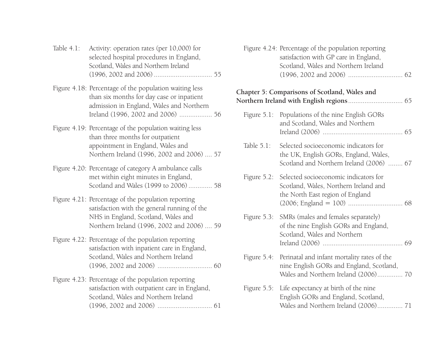| Table 4.1: Activity: operation rates (per 10,000) for |  |
|-------------------------------------------------------|--|
| selected hospital procedures in England,              |  |
| Scotland, Wales and Northern Ireland                  |  |
|                                                       |  |

- Figure 4.18: Percentage of the population waiting less than six months for day case or inpatient admission in England, Wales and Northern Ireland (1996, 2002 and 2006) .................. 56
- Figure 4.19: Percentage of the population waiting less than three months for outpatient appointment in England, Wales and Northern Ireland (1996, 2002 and 2006) .... 57
- Figure 4.20: Percentage of category A ambulance calls met within eight minutes in England, Scotland and Wales (1999 to 2006) ............. 58
- Figure 4.21: Percentage of the population reporting satisfaction with the general running of the NHS in England, Scotland, Wales and Northern Ireland (1996, 2002 and 2006) .... 59
- Figure 4.22: Percentage of the population reporting satisfaction with inpatient care in England, Scotland, Wales and Northern Ireland (1996, 2002 and 2006) .............................. 60
- Figure 4.23: Percentage of the population reporting satisfaction with outpatient care in England, Scotland, Wales and Northern Ireland (1996, 2002 and 2006) .............................. 61

Figure 4.24: Percentage of the population reporting satisfaction with GP care in England, Scotland, Wales and Northern Ireland (1996, 2002 and 2006) .............................. 62

#### **Chapter 5: Comparisons of Scotland, Wales and Northern Ireland with English regions**.............................. 65

|               | Figure 5.1: Populations of the nine English GORs<br>and Scotland, Wales and Northern                                                        |  |
|---------------|---------------------------------------------------------------------------------------------------------------------------------------------|--|
| Table $5.1$ : | Selected socioeconomic indicators for<br>the UK, English GORs, England, Wales,<br>Scotland and Northern Ireland (2006)  67                  |  |
|               | Figure 5.2: Selected socioeconomic indicators for<br>Scotland, Wales, Northern Ireland and<br>the North East region of England              |  |
|               | Figure 5.3: SMRs (males and females separately)<br>of the nine English GORs and England,<br>Scotland, Wales and Northern                    |  |
|               | Figure 5.4: Perinatal and infant mortality rates of the<br>nine English GORs and England, Scotland,<br>Wales and Northern Ireland (2006) 70 |  |
|               | Figure 5.5: Life expectancy at birth of the nine<br>English GORs and England, Scotland,<br>Wales and Northern Ireland (2006) 71             |  |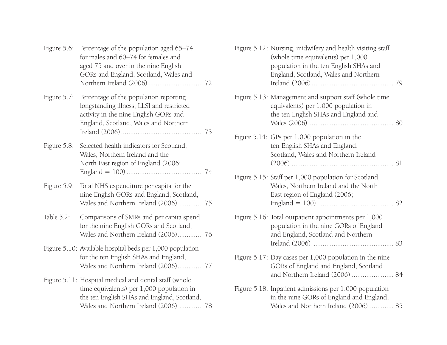| Figure $5.6$ : | Percentage of the population aged 65-74<br>for males and 60–74 for females and<br>aged 75 and over in the nine English<br>GORs and England, Scotland, Wales and                            |
|----------------|--------------------------------------------------------------------------------------------------------------------------------------------------------------------------------------------|
| Figure 5.7:    | Percentage of the population reporting<br>longstanding illness, LLSI and restricted<br>activity in the nine English GORs and<br>England, Scotland, Wales and Northern                      |
| Figure 5.8:    | Selected health indicators for Scotland,<br>Wales, Northern Ireland and the<br>North East region of England (2006;                                                                         |
| Figure 5.9:    | Total NHS expenditure per capita for the<br>nine English GORs and England, Scotland,<br>Wales and Northern Ireland (2006)  75                                                              |
| Table $5.2$ :  | Comparisons of SMRs and per capita spend<br>for the nine English GORs and Scotland,<br>Wales and Northern Ireland (2006) 76                                                                |
|                | Figure 5.10: Available hospital beds per 1,000 population<br>for the ten English SHAs and England,<br>Wales and Northern Ireland (2006) 77                                                 |
|                | Figure 5.11: Hospital medical and dental staff (whole<br>time equivalents) per 1,000 population in<br>the ten English SHAs and England, Scotland,<br>Wales and Northern Ireland (2006)  78 |

| Figure 5.12: Nursing, midwifery and health visiting staff<br>(whole time equivalents) per 1,000<br>population in the ten English SHAs and<br>England, Scotland, Wales and Northern |  |
|------------------------------------------------------------------------------------------------------------------------------------------------------------------------------------|--|
| Figure 5.13: Management and support staff (whole time<br>equivalents) per 1,000 population in<br>the ten English SHAs and England and                                              |  |
| Figure 5.14: GPs per 1,000 population in the<br>ten English SHAs and England,<br>Scotland, Wales and Northern Ireland                                                              |  |
| Figure 5.15: Staff per 1,000 population for Scotland,<br>Wales, Northern Ireland and the North<br>East region of England (2006;                                                    |  |
| Figure 5.16: Total outpatient appointments per 1,000<br>population in the nine GORs of England<br>and England, Scotland and Northern                                               |  |
| Figure 5.17: Day cases per 1,000 population in the nine<br>GORs of England and England, Scotland<br>and Northern Ireland (2006)  84                                                |  |
| Figure 5.18: Inpatient admissions per 1,000 population<br>in the nine GORs of England and England,<br>Wales and Northern Ireland (2006)  85                                        |  |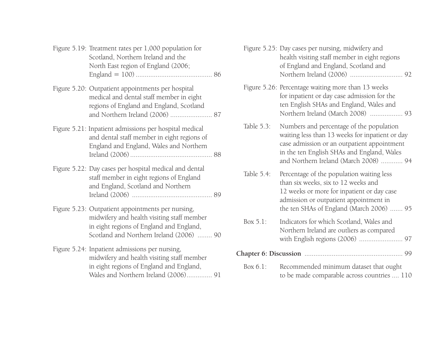| Figure 5.19: Treatment rates per 1,000 population for<br>Scotland, Northern Ireland and the<br>North East region of England (2006;                                                      |  |
|-----------------------------------------------------------------------------------------------------------------------------------------------------------------------------------------|--|
| Figure 5.20: Outpatient appointments per hospital<br>medical and dental staff member in eight<br>regions of England and England, Scotland<br>and Northern Ireland (2006)  87            |  |
| Figure 5.21: Inpatient admissions per hospital medical<br>and dental staff member in eight regions of<br>England and England, Wales and Northern                                        |  |
| Figure 5.22: Day cases per hospital medical and dental<br>staff member in eight regions of England<br>and England, Scotland and Northern                                                |  |
| Figure 5.23: Outpatient appointments per nursing,<br>midwifery and health visiting staff member<br>in eight regions of England and England,<br>Scotland and Northern Ireland (2006)  90 |  |
| Figure 5.24: Inpatient admissions per nursing,<br>midwifery and health visiting staff member<br>in eight regions of England and England,<br>Wales and Northern Ireland (2006) 91        |  |

| Figure 5.25: Day cases per nursing, midwifery and |  |
|---------------------------------------------------|--|
| health visiting staff member in eight regions     |  |
| of England and England, Scotland and              |  |
|                                                   |  |
|                                                   |  |

- Figure 5.26: Percentage waiting more than 13 weeks for inpatient or day case admission for the ten English SHAs and England, Wales and Northern Ireland (March 2008) .................. 93
- Table 5.3: Numbers and percentage of the population waiting less than 13 weeks for inpatient or day case admission or an outpatient appointment in the ten English SHAs and England, Wales and Northern Ireland (March 2008) ............ 94
- Table 5.4: Percentage of the population waiting less than six weeks, six to 12 weeks and 12 weeks or more for inpatient or day case admission or outpatient appointment in the ten SHAs of England (March 2006) ....... 95
- Box 5.1: Indicators for which Scotland, Wales and Northern Ireland are outliers as compared with English regions (2006) ........................ 97

#### **Chapter 6: Discussion** ...................................................... 99

Box 6.1: Recommended minimum dataset that ought to be made comparable across countries .... 110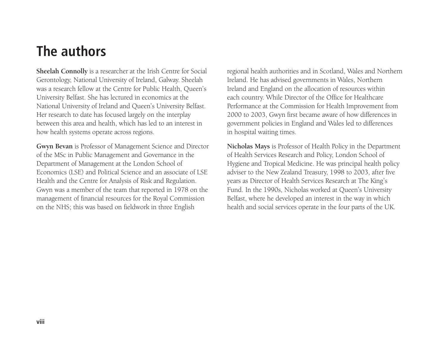### **The authors**

**Sheelah Connolly** is a researcher at the Irish Centre for Social Gerontology, National University of Ireland, Galway. Sheelah was a research fellow at the Centre for Public Health, Queen's University Belfast. She has lectured in economics at the National University of Ireland and Queen's University Belfast. Her research to date has focused largely on the interplay between this area and health, which has led to an interest in how health systems operate across regions.

**Gwyn Bevan** is Professor of Management Science and Director of the MSc in Public Management and Governance in the Department of Management at the London School of Economics (LSE) and Political Science and an associate of LSE Health and the Centre for Analysis of Risk and Regulation. Gwyn was a member of the team that reported in 1978 on the management of financial resources for the Royal Commission on the NHS; this was based on fieldwork in three English

regional health authorities and in Scotland, Wales and Northern Ireland. He has advised governments in Wales, Northern Ireland and England on the allocation of resources within each country. While Director of the Office for Healthcare Performance at the Commission for Health Improvement from 2000 to 2003, Gwyn first became aware of how differences in government policies in England and Wales led to differences in hospital waiting times.

**Nicholas Mays** is Professor of Health Policy in the Department of Health Services Research and Policy, London School of Hygiene and Tropical Medicine. He was principal health policy adviser to the New Zealand Treasury, 1998 to 2003, after five years as Director of Health Services Research at The King's Fund. In the 1990s, Nicholas worked at Queen's University Belfast, where he developed an interest in the way in which health and social services operate in the four parts of the UK.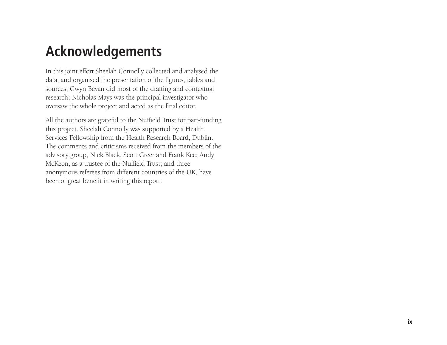### **Acknowledgements**

In this joint effort Sheelah Connolly collected and analysed the data, and organised the presentation of the figures, tables and sources; Gwyn Bevan did most of the drafting and contextual research; Nicholas Mays was the principal investigator who oversaw the whole project and acted as the final editor.

All the authors are grateful to the Nuffield Trust for part-funding this project. Sheelah Connolly was supported by a Health Services Fellowship from the Health Research Board, Dublin. The comments and criticisms received from the members of the advisory group, Nick Black, Scott Greer and Frank Kee; Andy McKeon, as a trustee of the Nuffield Trust; and three anonymous referees from different countries of the UK, have been of great benefit in writing this report.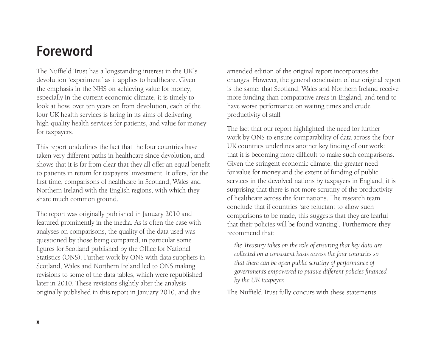#### **Foreword**

The Nuffield Trust has a longstanding interest in the UK's devolution 'experiment' as it applies to healthcare. Given the emphasis in the NHS on achieving value for money, especially in the current economic climate, it is timely to look at how, over ten years on from devolution, each of the four UK health services is faring in its aims of delivering high-quality health services for patients, and value for money for taxpayers.

This report underlines the fact that the four countries have taken very different paths in healthcare since devolution, and shows that it is far from clear that they all offer an equal benefit to patients in return for taxpayers' investment. It offers, for the first time, comparisons of healthcare in Scotland, Wales and Northern Ireland with the English regions, with which they share much common ground.

The report was originally published in January 2010 and featured prominently in the media. As is often the case with analyses on comparisons, the quality of the data used was questioned by those being compared, in particular some figures for Scotland published by the Office for National Statistics (ONS). Further work by ONS with data suppliers in Scotland, Wales and Northern Ireland led to ONS making revisions to some of the data tables, which were republished later in 2010. These revisions slightly alter the analysis originally published in this report in January 2010, and this

amended edition of the original report incorporates the changes. However, the general conclusion of our original report is the same: that Scotland, Wales and Northern Ireland receive more funding than comparative areas in England, and tend to have worse performance on waiting times and crude productivity of staff.

The fact that our report highlighted the need for further work by ONS to ensure comparability of data across the four UK countries underlines another key finding of our work: that it is becoming more difficult to make such comparisons. Given the stringent economic climate, the greater need for value for money and the extent of funding of public services in the devolved nations by taxpayers in England, it is surprising that there is not more scrutiny of the productivity of healthcare across the four nations. The research team conclude that if countries 'are reluctant to allow such comparisons to be made, this suggests that they are fearful that their policies will be found wanting'. Furthermore they recommend that:

*the Treasury takes on the role of ensuring that key data are collected on a consistent basis across the four countries so that there can be open public scrutiny of performance of governments empowered to pursue different policies financed by the UK taxpayer.* 

The Nuffield Trust fully concurs with these statements.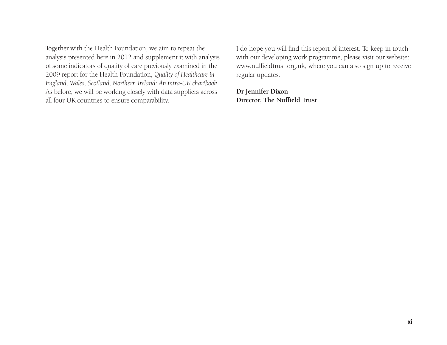Together with the Health Foundation, we aim to repeat the analysis presented here in 2012 and supplement it with analysis of some indicators of quality of care previously examined in the 2009 report for the Health Foundation, *Quality of Healthcare in England, Wales, Scotland, Northern Ireland: An intra-UK chartbook*. As before, we will be working closely with data suppliers across all four UK countries to ensure comparability.

I do hope you will find this report of interest. To keep in touch with our developing work programme, please visit our website: www.nuffieldtrust.org.uk, where you can also sign up to receive regular updates.

**Dr Jennifer Dixon Director, The Nuffield Trust**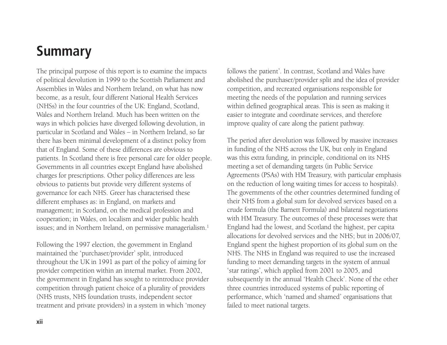## **Summary**

The principal purpose of this report is to examine the impacts of political devolution in 1999 to the Scottish Parliament and Assemblies in Wales and Northern Ireland, on what has now become, as a result, four different National Health Services (NHSs) in the four countries of the UK: England, Scotland, Wales and Northern Ireland. Much has been written on the ways in which policies have diverged following devolution, in particular in Scotland and Wales – in Northern Ireland, so far there has been minimal development of a distinct policy from that of England. Some of these differences are obvious to patients. In Scotland there is free personal care for older people. Governments in all countries except England have abolished charges for prescriptions. Other policy differences are less obvious to patients but provide very different systems of governance for each NHS. Greer has characterised these different emphases as: in England, on markets and management; in Scotland, on the medical profession and cooperation; in Wales, on localism and wider public health issues; and in Northern Ireland, on permissive managerialism.<sup>1</sup>

Following the 1997 election, the government in England maintained the 'purchaser/provider' split, introduced throughout the UK in 1991 as part of the policy of aiming for provider competition within an internal market. From 2002, the government in England has sought to reintroduce provider competition through patient choice of a plurality of providers (NHS trusts, NHS foundation trusts, independent sector treatment and private providers) in a system in which 'money

follows the patient'. In contrast, Scotland and Wales have abolished the purchaser/provider split and the idea of provider competition, and recreated organisations responsible for meeting the needs of the population and running services within defined geographical areas. This is seen as making it easier to integrate and coordinate services, and therefore improve quality of care along the patient pathway.

The period after devolution was followed by massive increases in funding of the NHS across the UK, but only in England was this extra funding, in principle, conditional on its NHS meeting a set of demanding targets (in Public Service Agreements (PSAs) with HM Treasury, with particular emphasis on the reduction of long waiting times for access to hospitals). The governments of the other countries determined funding of their NHS from a global sum for devolved services based on a crude formula (the Barnett Formula) and bilateral negotiations with HM Treasury. The outcomes of these processes were that England had the lowest, and Scotland the highest, per capita allocations for devolved services and the NHS; but in 2006/07, England spent the highest proportion of its global sum on the NHS. The NHS in England was required to use the increased funding to meet demanding targets in the system of annual 'star ratings', which applied from 2001 to 2005, and subsequently in the annual 'Health Check'. None of the other three countries introduced systems of public reporting of performance, which 'named and shamed' organisations that failed to meet national targets.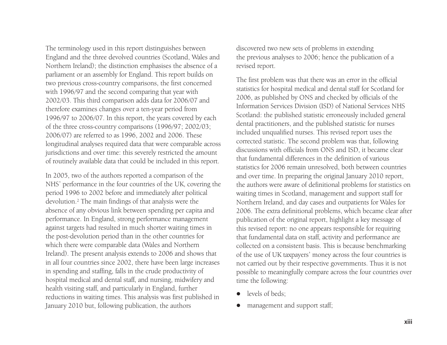The terminology used in this report distinguishes between England and the three devolved countries (Scotland, Wales and Northern Ireland); the distinction emphasises the absence of a parliament or an assembly for England. This report builds on two previous cross-country comparisons, the first concerned with 1996/97 and the second comparing that year with 2002/03. This third comparison adds data for 2006/07 and therefore examines changes over a ten-year period from 1996/97 to 2006/07. In this report, the years covered by each of the three cross-country comparisons (1996/97; 2002/03; 2006/07) are referred to as 1996, 2002 and 2006. These longitudinal analyses required data that were comparable across jurisdictions and over time: this severely restricted the amount of routinely available data that could be included in this report.

In 2005, two of the authors reported a comparison of the NHS' performance in the four countries of the UK, covering the period 1996 to 2002 before and immediately after political devolution.2 The main findings of that analysis were the absence of any obvious link between spending per capita and performance. In England, strong performance management against targets had resulted in much shorter waiting times in the post-devolution period than in the other countries for which there were comparable data (Wales and Northern Ireland). The present analysis extends to 2006 and shows that in all four countries since 2002, there have been large increases in spending and staffing, falls in the crude productivity of hospital medical and dental staff, and nursing, midwifery and health visiting staff, and particularly in England, further reductions in waiting times. This analysis was first published in January 2010 but, following publication, the authors

discovered two new sets of problems in extending the previous analyses to 2006; hence the publication of a revised report.

The first problem was that there was an error in the official statistics for hospital medical and dental staff for Scotland for 2006, as published by ONS and checked by officials of the Information Services Division (ISD) of National Services NHS Scotland: the published statistic erroneously included general dental practitioners, and the published statistic for nurses included unqualified nurses. This revised report uses the corrected statistic. The second problem was that, following discussions with officials from ONS and ISD, it became clear that fundamental differences in the definition of various statistics for 2006 remain unresolved, both between countries and over time. In preparing the original January 2010 report, the authors were aware of definitional problems for statistics on waiting times in Scotland, management and support staff for Northern Ireland, and day cases and outpatients for Wales for 2006. The extra definitional problems, which became clear after publication of the original report, highlight a key message of this revised report: no one appears responsible for requiring that fundamental data on staff, activity and performance are collected on a consistent basis. This is because benchmarking of the use of UK taxpayers' money across the four countries is not carried out by their respective governments. Thus it is not possible to meaningfully compare across the four countries over time the following:

- $\bullet$ levels of beds;
- $\bullet$ management and support staff;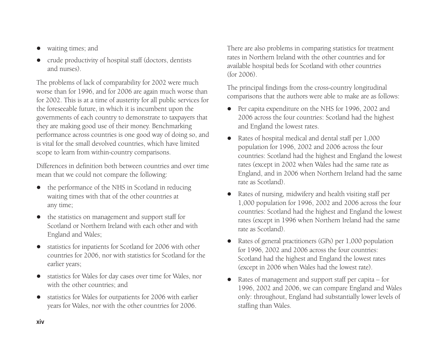- $\bullet$ waiting times; and
- $\bullet$  crude productivity of hospital staff (doctors, dentists and nurses).

The problems of lack of comparability for 2002 were much worse than for 1996, and for 2006 are again much worse than for 2002. This is at a time of austerity for all public services for the foreseeable future, in which it is incumbent upon the governments of each country to demonstrate to taxpayers that they are making good use of their money. Benchmarking performance across countries is one good way of doing so, and is vital for the small devolved countries, which have limited scope to learn from within-country comparisons.

Differences in definition both between countries and over time mean that we could not compare the following:

- $\bullet$  the performance of the NHS in Scotland in reducing waiting times with that of the other countries at any time;
- $\bullet$  the statistics on management and support staff for Scotland or Northern Ireland with each other and with England and Wales;
- $\bullet$  statistics for inpatients for Scotland for 2006 with other countries for 2006, nor with statistics for Scotland for the earlier years;
- $\bullet$  statistics for Wales for day cases over time for Wales, nor with the other countries; and
- $\bullet$  statistics for Wales for outpatients for 2006 with earlier years for Wales, nor with the other countries for 2006.

There are also problems in comparing statistics for treatment rates in Northern Ireland with the other countries and for available hospital beds for Scotland with other countries (for 2006).

The principal findings from the cross-country longitudinal comparisons that the authors were able to make are as follows:

- Per capita expenditure on the NHS for 1996, 2002 and 2006 across the four countries: Scotland had the highest and England the lowest rates.
- Rates of hospital medical and dental staff per 1,000 population for 1996, 2002 and 2006 across the four countries: Scotland had the highest and England the lowest rates (except in 2002 when Wales had the same rate as England, and in 2006 when Northern Ireland had the same rate as Scotland).
- $\bullet$  Rates of nursing, midwifery and health visiting staff per 1,000 population for 1996, 2002 and 2006 across the four countries: Scotland had the highest and England the lowest rates (except in 1996 when Northern Ireland had the same rate as Scotland).
- $\bullet$  Rates of general practitioners (GPs) per 1,000 population for 1996, 2002 and 2006 across the four countries: Scotland had the highest and England the lowest rates (except in 2006 when Wales had the lowest rate).
- $\bullet$  Rates of management and support staff per capita – for 1996, 2002 and 2006, we can compare England and Wales only: throughout, England had substantially lower levels of staffing than Wales.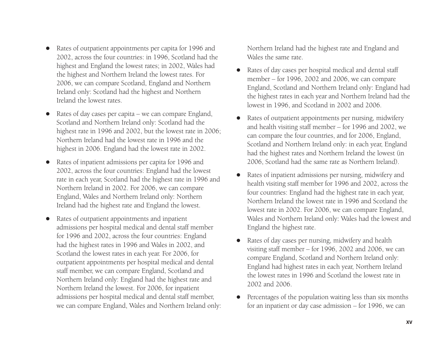- $\bullet$  Rates of outpatient appointments per capita for 1996 and 2002, across the four countries: in 1996, Scotland had the highest and England the lowest rates; in 2002, Wales had the highest and Northern Ireland the lowest rates. For 2006, we can compare Scotland, England and Northern Ireland only: Scotland had the highest and Northern Ireland the lowest rates.
- $\bullet$  Rates of day cases per capita – we can compare England, Scotland and Northern Ireland only: Scotland had the highest rate in 1996 and 2002, but the lowest rate in 2006; Northern Ireland had the lowest rate in 1996 and the highest in 2006. England had the lowest rate in 2002.
- $\bullet$  Rates of inpatient admissions per capita for 1996 and 2002, across the four countries: England had the lowest rate in each year, Scotland had the highest rate in 1996 and Northern Ireland in 2002. For 2006, we can compare England, Wales and Northern Ireland only: Northern Ireland had the highest rate and England the lowest.
- $\bullet$  Rates of outpatient appointments and inpatient admissions per hospital medical and dental staff member for 1996 and 2002, across the four countries: England had the highest rates in 1996 and Wales in 2002, and Scotland the lowest rates in each year. For 2006, for outpatient appointments per hospital medical and dental staff member, we can compare England, Scotland and Northern Ireland only: England had the highest rate and Northern Ireland the lowest. For 2006, for inpatient admissions per hospital medical and dental staff member, we can compare England, Wales and Northern Ireland only:

Northern Ireland had the highest rate and England and Wales the same rate.

- $\bullet$  Rates of day cases per hospital medical and dental staff member – for 1996, 2002 and 2006, we can compare England, Scotland and Northern Ireland only: England had the highest rates in each year and Northern Ireland had the lowest in 1996, and Scotland in 2002 and 2006.
- $\bullet$  Rates of outpatient appointments per nursing, midwifery and health visiting staff member – for 1996 and 2002, we can compare the four countries, and for 2006, England, Scotland and Northern Ireland only: in each year, England had the highest rates and Northern Ireland the lowest (in 2006, Scotland had the same rate as Northern Ireland).
- $\bullet$  Rates of inpatient admissions per nursing, midwifery and health visiting staff member for 1996 and 2002, across the four countries: England had the highest rate in each year, Northern Ireland the lowest rate in 1996 and Scotland the lowest rate in 2002. For 2006, we can compare England, Wales and Northern Ireland only: Wales had the lowest and England the highest rate.
- $\bullet$  Rates of day cases per nursing, midwifery and health visiting staff member – for 1996, 2002 and 2006, we can compare England, Scotland and Northern Ireland only: England had highest rates in each year, Northern Ireland the lowest rates in 1996 and Scotland the lowest rate in 2002 and 2006.
- $\bullet$  Percentages of the population waiting less than six months for an inpatient or day case admission – for 1996, we can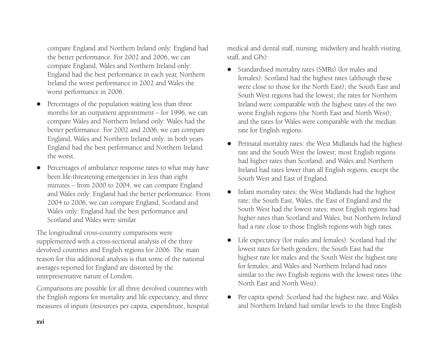compare England and Northern Ireland only: England had the better performance. For 2002 and 2006, we can compare England, Wales and Northern Ireland only: England had the best performance in each year, Northern Ireland the worst performance in 2002 and Wales the worst performance in 2006.

- $\bullet$  Percentages of the population waiting less than three months for an outpatient appointment – for 1996, we can compare Wales and Northern Ireland only: Wales had the better performance. For 2002 and 2006, we can compare England, Wales and Northern Ireland only: in both years England had the best performance and Northern Ireland the worst.
- $\bullet$  Percentages of ambulance response rates to what may have been life-threatening emergencies in less than eight minutes – from 2000 to 2004, we can compare England and Wales only: England had the better performance. From 2004 to 2006, we can compare England, Scotland and Wales only: England had the best performance and Scotland and Wales were similar.

The longitudinal cross-country comparisons were supplemented with a cross-sectional analysis of the three devolved countries and English regions for 2006. The main reason for this additional analysis is that some of the national averages reported for England are distorted by the unrepresentative nature of London.

Comparisons are possible for all three devolved countries with the English regions for mortality and life expectancy, and three measures of inputs (resources per capita, expenditure, hospital medical and dental staff, nursing, midwifery and health visiting staff, and  $GPs$ ).

- Standardised mortality rates (SMRs) (for males and females): Scotland had the highest rates (although these were close to those for the North East); the South East and South West regions had the lowest; the rates for Northern Ireland were comparable with the highest rates of the two worst English regions (the North East and North West); and the rates for Wales were comparable with the median rate for English regions.
- $\bullet$  Perinatal mortality rates: the West Midlands had the highest rate and the South West the lowest; most English regions had higher rates than Scotland; and Wales and Northern Ireland had rates lower than all English regions, except the South West and East of England.
- $\bullet$  Infant mortality rates: the West Midlands had the highest rate; the South East, Wales, the East of England and the South West had the lowest rates; most English regions had higher rates than Scotland and Wales, but Northern Ireland had a rate close to those English regions with high rates.
- $\bullet$  Life expectancy (for males and females): Scotland had the lowest rates for both genders; the South East had the highest rate for males and the South West the highest rate for females; and Wales and Northern Ireland had rates similar to the two English regions with the lowest rates (the North East and North West).
- Per capita spend: Scotland had the highest rate, and Wales and Northern Ireland had similar levels to the three English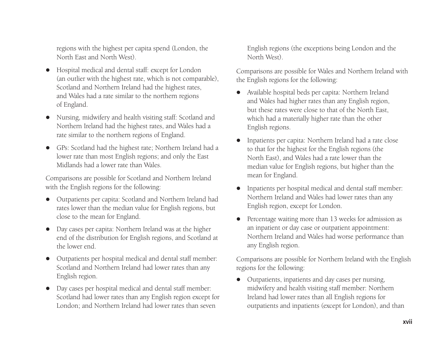regions with the highest per capita spend (London, the North East and North West).

- $\bullet$  Hospital medical and dental staff: except for London (an outlier with the highest rate, which is not comparable), Scotland and Northern Ireland had the highest rates, and Wales had a rate similar to the northern regions of England.
- Nursing, midwifery and health visiting staff: Scotland and Northern Ireland had the highest rates, and Wales had a rate similar to the northern regions of England.
- $\bullet$  GPs: Scotland had the highest rate; Northern Ireland had a lower rate than most English regions; and only the East Midlands had a lower rate than Wales.

Comparisons are possible for Scotland and Northern Ireland with the English regions for the following:

- $\bullet$  Outpatients per capita: Scotland and Northern Ireland had rates lower than the median value for English regions, but close to the mean for England.
- Day cases per capita: Northern Ireland was at the higher end of the distribution for English regions, and Scotland at the lower end.
- $\bullet$  Outpatients per hospital medical and dental staff member: Scotland and Northern Ireland had lower rates than any English region.
- $\bullet$  Day cases per hospital medical and dental staff member: Scotland had lower rates than any English region except for London; and Northern Ireland had lower rates than seven

English regions (the exceptions being London and the North West).

Comparisons are possible for Wales and Northern Ireland with the English regions for the following:

- $\bullet$  Available hospital beds per capita: Northern Ireland and Wales had higher rates than any English region, but these rates were close to that of the North East, which had a materially higher rate than the other English regions.
- $\bullet$  Inpatients per capita: Northern Ireland had a rate close to that for the highest for the English regions (the North East), and Wales had a rate lower than the median value for English regions, but higher than the mean for England.
- $\bullet$  Inpatients per hospital medical and dental staff member: Northern Ireland and Wales had lower rates than any English region, except for London.
- $\bullet$  Percentage waiting more than 13 weeks for admission as an inpatient or day case or outpatient appointment: Northern Ireland and Wales had worse performance than any English region.

Comparisons are possible for Northern Ireland with the English regions for the following:

 $\bullet$  Outpatients, inpatients and day cases per nursing, midwifery and health visiting staff member: Northern Ireland had lower rates than all English regions for outpatients and inpatients (except for London), and than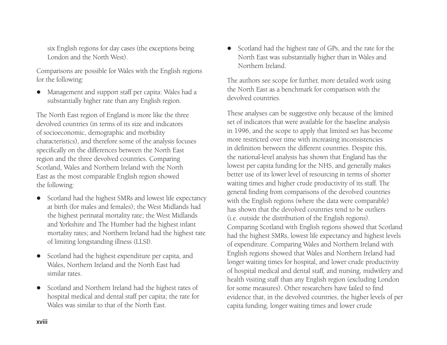six English regions for day cases (the exceptions being London and the North West).

Comparisons are possible for Wales with the English regions for the following:

 $\bullet$  Management and support staff per capita: Wales had a substantially higher rate than any English region.

The North East region of England is more like the three devolved countries (in terms of its size and indicators of socioeconomic, demographic and morbidity characteristics), and therefore some of the analysis focuses specifically on the differences between the North East region and the three devolved countries. Comparing Scotland, Wales and Northern Ireland with the North East as the most comparable English region showed the following:

- Scotland had the highest SMRs and lowest life expectancy at birth (for males and females); the West Midlands had the highest perinatal mortality rate; the West Midlands and Yorkshire and The Humber had the highest infant mortality rates; and Northern Ireland had the highest rate of limiting longstanding illness (LLSI).
- $\bullet$  Scotland had the highest expenditure per capita, and Wales, Northern Ireland and the North East had similar rates.
- $\bullet$  Scotland and Northern Ireland had the highest rates of hospital medical and dental staff per capita; the rate for Wales was similar to that of the North East.

• Scotland had the highest rate of GPs, and the rate for the North East was substantially higher than in Wales and Northern Ireland.

The authors see scope for further, more detailed work using the North East as a benchmark for comparison with the devolved countries.

These analyses can be suggestive only because of the limited set of indicators that were available for the baseline analysis in 1996, and the scope to apply that limited set has become more restricted over time with increasing inconsistencies in definition between the different countries. Despite this, the national-level analysis has shown that England has the lowest per capita funding for the NHS, and generally makes better use of its lower level of resourcing in terms of shorter waiting times and higher crude productivity of its staff. The general finding from comparisons of the devolved countries with the English regions (where the data were comparable) has shown that the devolved countries tend to be outliers (i.e. outside the distribution of the English regions). Comparing Scotland with English regions showed that Scotland had the highest SMRs, lowest life expectancy and highest levels of expenditure. Comparing Wales and Northern Ireland with English regions showed that Wales and Northern Ireland had longer waiting times for hospital, and lower crude productivity of hospital medical and dental staff, and nursing, midwifery and health visiting staff than any English region (excluding London for some measures). Other researchers have failed to find evidence that, in the devolved countries, the higher levels of per capita funding, longer waiting times and lower crude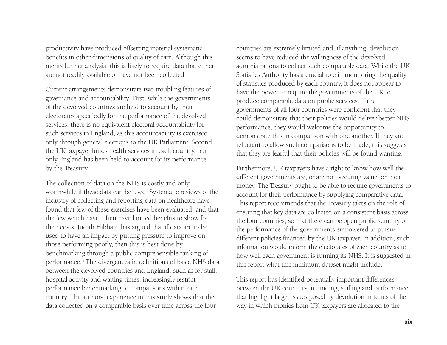productivity have produced offsetting material systematic benefits in other dimensions of quality of care. Although this merits further analysis, this is likely to require data that either are not readily available or have not been collected.

Current arrangements demonstrate two troubling features of governance and accountability. First, while the governments of the devolved countries are held to account by their electorates specifically for the performance of the devolved services, there is no equivalent electoral accountability for such services in England, as this accountability is exercised only through general elections to the UK Parliament. Second, the UK taxpayer funds health services in each country, but only England has been held to account for its performance by the Treasury.

The collection of data on the NHS is costly and only worthwhile if these data can be used. Systematic reviews of the industry of collecting and reporting data on healthcare have found that few of these exercises have been evaluated, and that the few which have, often have limited benefits to show for their costs. Judith Hibbard has argued that if data are to be used to have an impact by putting pressure to improve on those performing poorly, then this is best done by benchmarking through a public comprehensible ranking of performance.3 The divergences in definitions of basic NHS data between the devolved countries and England, such as for staff, hospital activity and waiting times, increasingly restrict performance benchmarking to comparisons within each country. The authors' experience in this study shows that the data collected on a comparable basis over time across the four

countries are extremely limited and, if anything, devolution seems to have reduced the willingness of the devolved administrations to collect such comparable data. While the UK Statistics Authority has a crucial role in monitoring the quality of statistics produced by each country, it does not appear to have the power to require the governments of the UK to produce comparable data on public services. If the governments of all four countries were confident that they could demonstrate that their policies would deliver better NHS performance, they would welcome the opportunity to demonstrate this in comparison with one another. If they are reluctant to allow such comparisons to be made, this suggests that they are fearful that their policies will be found wanting.

Furthermore, UK taxpayers have a right to know how well the different governments are, or are not, securing value for their money. The Treasury ought to be able to require governments to account for their performance by supplying comparative data. This report recommends that the Treasury takes on the role of ensuring that key data are collected on a consistent basis across the four countries, so that there can be open public scrutiny of the performance of the governments empowered to pursue different policies financed by the UK taxpayer. In addition, such information would inform the electorates of each country as to how well each government is running its NHS. It is suggested in this report what this minimum dataset might include.

This report has identified potentially important differences between the UK countries in funding, staffing and performance that highlight larger issues posed by devolution in terms of the way in which monies from UK taxpayers are allocated to the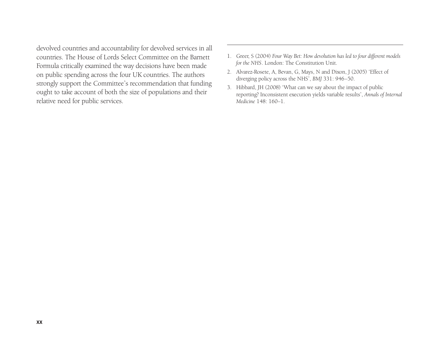devolved countries and accountability for devolved services in all countries. The House of Lords Select Committee on the Barnett Formula critically examined the way decisions have been made on public spending across the four UK countries. The authors strongly support the Committee's recommendation that funding ought to take account of both the size of populations and their relative need for public services.

- 1. Greer, S (2004) *Four Way Bet: How devolution has led to four different models for the NHS*. London: The Constitution Unit.
- 2. Alvarez-Rosete, A, Bevan, G, Mays, N and Dixon, J (2005) 'Effect of diverging policy across the NHS', *BMJ* 331: 946–50.
- 3. Hibbard, JH (2008) 'What can we say about the impact of public reporting? Inconsistent execution yields variable results', *Annals of Internal Medicine* 148: 160–1.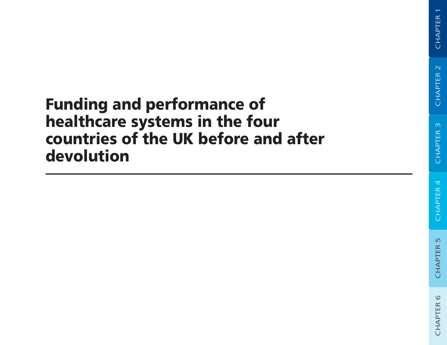## **Funding and performance of healthcare systems in the four countries of the UK before and after devolution**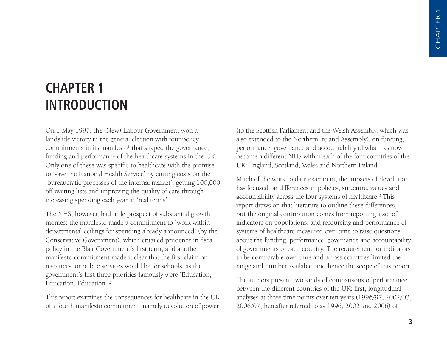## **CHAPTER 1 INTRODUCTION**

On 1 May 1997, the (New) Labour Government won a landslide victory in the general election with four policy commitments in its manifesto<sup>1</sup> that shaped the governance, funding and performance of the healthcare systems in the UK. Only one of these was specific to healthcare with the promise to 'save the National Health Service' by cutting costs on the 'bureaucratic processes of the internal market', getting 100,000 off waiting lists and improving the quality of care through increasing spending each year in 'real terms'.

The NHS, however, had little prospect of substantial growth monies: the manifesto made a commitment to 'work within departmental ceilings for spending already announced' (by the Conservative Government), which entailed prudence in fiscal policy in the Blair Government's first term; and another manifesto commitment made it clear that the first claim on resources for public services would be for schools, as the government's first three priorities famously were 'Education, Education, Education'.2

This report examines the consequences for healthcare in the UK of a fourth manifesto commitment, namely devolution of power

(to the Scottish Parliament and the Welsh Assembly, which was also extended to the Northern Ireland Assembly), on funding, performance, governance and accountability of what has now become a different NHS within each of the four countries of the UK: England, Scotland, Wales and Northern Ireland.

Much of the work to date examining the impacts of devolution has focused on differences in policies, structure, values and accountability across the four systems of healthcare.3 This report draws on that literature to outline these differences, but the original contribution comes from reporting a set of indicators on populations, and resourcing and performance of systems of healthcare measured over time to raise questions about the funding, performance, governance and accountability of governments of each country. The requirement for indicators to be comparable over time and across countries limited the range and number available, and hence the scope of this report.

The authors present two kinds of comparisons of performance between the different countries of the UK: first, longitudinal analyses at three time points over ten years (1996/97, 2002/03, 2006/07, hereafter referred to as 1996, 2002 and 2006) of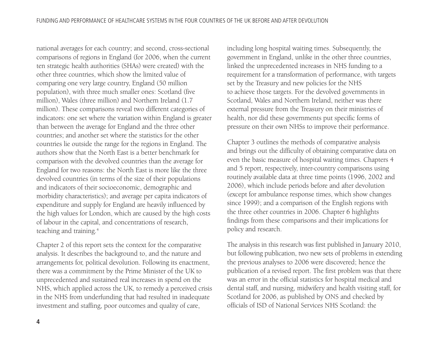national averages for each country; and second, cross-sectional comparisons of regions in England (for 2006, when the current ten strategic health authorities (SHAs) were created) with the other three countries, which show the limited value of comparing one very large country, England (50 million population), with three much smaller ones: Scotland (five million), Wales (three million) and Northern Ireland (1.7 million). These comparisons reveal two different categories of indicators: one set where the variation within England is greater than between the average for England and the three other countries; and another set where the statistics for the other countries lie outside the range for the regions in England. The authors show that the North East is a better benchmark for comparison with the devolved countries than the average for England for two reasons: the North East is more like the three devolved countries (in terms of the size of their populations and indicators of their socioeconomic, demographic and morbidity characteristics); and average per capita indicators of expenditure and supply for England are heavily influenced by the high values for London, which are caused by the high costs of labour in the capital, and concentrations of research, teaching and training.4

Chapter 2 of this report sets the context for the comparative analysis. It describes the background to, and the nature and arrangements for, political devolution. Following its enactment, there was a commitment by the Prime Minister of the UK to unprecedented and sustained real increases in spend on the NHS, which applied across the UK, to remedy a perceived crisis in the NHS from underfunding that had resulted in inadequate investment and staffing, poor outcomes and quality of care,

including long hospital waiting times. Subsequently, the government in England, unlike in the other three countries, linked the unprecedented increases in NHS funding to a requirement for a transformation of performance, with targets set by the Treasury and new policies for the NHS to achieve those targets. For the devolved governments in Scotland, Wales and Northern Ireland, neither was there external pressure from the Treasury on their ministries of health, nor did these governments put specific forms of pressure on their own NHSs to improve their performance.

Chapter 3 outlines the methods of comparative analysis and brings out the difficulty of obtaining comparative data on even the basic measure of hospital waiting times. Chapters 4 and 5 report, respectively, inter-country comparisons using routinely available data at three time points (1996, 2002 and 2006), which include periods before and after devolution (except for ambulance response times, which show changes since 1999); and a comparison of the English regions with the three other countries in 2006. Chapter 6 highlights findings from these comparisons and their implications for policy and research.

The analysis in this research was first published in January 2010, but following publication, two new sets of problems in extending the previous analyses to 2006 were discovered; hence the publication of a revised report. The first problem was that there was an error in the official statistics for hospital medical and dental staff, and nursing, midwifery and health visiting staff, for Scotland for 2006, as published by ONS and checked by officials of ISD of National Services NHS Scotland: the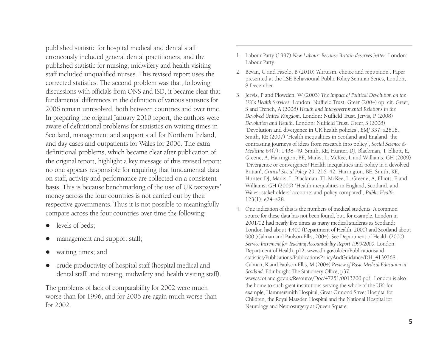published statistic for hospital medical and dental staff erroneously included general dental practitioners, and the published statistic for nursing, midwifery and health visiting staff included unqualified nurses. This revised report uses the corrected statistics. The second problem was that, following discussions with officials from ONS and ISD, it became clear that fundamental differences in the definition of various statistics for 2006 remain unresolved, both between countries and over time. In preparing the original January 2010 report, the authors were aware of definitional problems for statistics on waiting times in Scotland, management and support staff for Northern Ireland, and day cases and outpatients for Wales for 2006. The extra definitional problems, which became clear after publication of the original report, highlight a key message of this revised report: no one appears responsible for requiring that fundamental data on staff, activity and performance are collected on a consistent basis. This is because benchmarking of the use of UK taxpayers' money across the four countries is not carried out by their respective governments. Thus it is not possible to meaningfully compare across the four countries over time the following:

- $\bullet$ levels of beds;
- $\bullet$ management and support staff;
- $\bullet$ waiting times; and
- $\bullet$  crude productivity of hospital staff (hospital medical and dental staff, and nursing, midwifery and health visiting staff).

The problems of lack of comparability for 2002 were much worse than for 1996, and for 2006 are again much worse than for 2002.

- 1. Labour Party (1997) *New Labour: Because Britain deserves better*. London: Labour Party.
- 2. Bevan, G and Fasolo, B (2010) 'Altruism, choice and reputation'. Paper presented at the LSE Behavioural Public Policy Seminar Series, London, 8 December.
- 3. Jervis, P and Plowden, W (2003) *The Impact of Political Devolution on the UK's Health Services*. London: Nuffield Trust. Greer (2004) op. cit. Greer, S and Trench, A (2008) *Health and Intergovernmental Relations in the Devolved United Kingdom*. London: Nuffield Trust. Jervis, P (2008) *Devolution and Health*. London: Nuffield Trust. Greer, S (2008) 'Devolution and divergence in UK health policies', *BMJ* 337: a2616. Smith, KE (2007) 'Health inequalities in Scotland and England: the contrasting journeys of ideas from research into policy', *Social Science & Medicine* 64(7): 1438–49. Smith, KE, Hunter, DJ, Blackman, T, Elliott, E, Greene, A, Harrington, BE, Marks, L, McKee, L and Williams, GH (2009) 'Divergence or convergence? Health inequalities and policy in a devolved Britain', *Critical Social Policy* 29: 216–42. Harrington, BE, Smith, KE, Hunter, DJ, Marks, L, Blackman, TJ, McKee, L, Greene, A, Elliott, E and Williams, GH (2009) 'Health inequalities in England, Scotland, and Wales: stakeholders' accounts and policy compared', *Public Health* 123(1): e24–e28.
- 4. One indication of this is the numbers of medical students. A common source for these data has not been found, but, for example, London in 2001/02 had nearly five times as many medical students as Scotland: London had about 4,400 (Department of Health, 2000) and Scotland about 900 (Calman and Paulson-Ellis, 2004). See Department of Health (2000) *Service Increment for Teaching Accountability Report 1999/2000*. London: Department of Health, p12. www.dh.gov.uk/en/Publicationsand statistics/Publications/PublicationsPolicyAndGuidance/DH\_4139368 . Calman, K and Paulson-Ellis, M (2004) *Review of Basic Medical Education in Scotland*. Edinburgh: The Stationery Office, p37. www.scotland.gov.uk/Resource/Doc/47251/0013200.pdf . London is also the home to such great institutions serving the whole of the UK: for example, Hammersmith Hospital, Great Ormond Street Hospital for Children, the Royal Marsden Hospital and the National Hospital for Neurology and Neurosurgery at Queen Square.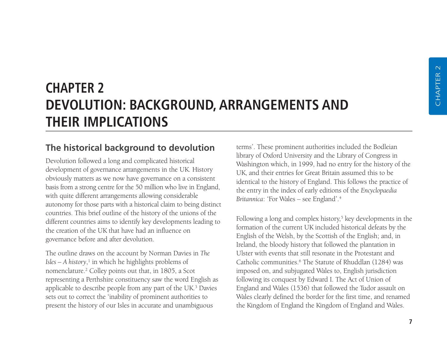### **CHAPTER 2 DEVOLUTION: BACKGROUND, ARRANGEMENTS AND THEIR IMPLICATIONS**

#### **The historical background to devolution**

Devolution followed a long and complicated historical development of governance arrangements in the UK. History obviously matters as we now have governance on a consistent basis from a strong centre for the 50 million who live in England, with quite different arrangements allowing considerable autonomy for those parts with a historical claim to being distinct countries. This brief outline of the history of the unions of the different countries aims to identify key developments leading to the creation of the UK that have had an influence on governance before and after devolution.

The outline draws on the account by Norman Davies in *The Isles – A history*, <sup>1</sup> in which he highlights problems of nomenclature.2 Colley points out that, in 1805, a Scot representing a Perthshire constituency saw the word English as applicable to describe people from any part of the UK.3 Davies sets out to correct the 'inability of prominent authorities to present the history of our Isles in accurate and unambiguous

terms'. These prominent authorities included the Bodleian library of Oxford University and the Library of Congress in Washington which, in 1999, had no entry for the history of the UK, and their entries for Great Britain assumed this to be identical to the history of England. This follows the practice of the entry in the index of early editions of the *Encyclopaedia Britannica*: 'For Wales – see England'.4

Following a long and complex history,<sup>5</sup> key developments in the formation of the current UK included historical defeats by the English of the Welsh, by the Scottish of the English; and, in Ireland, the bloody history that followed the plantation in Ulster with events that still resonate in the Protestant and Catholic communities.6 The Statute of Rhuddlan (1284) was imposed on, and subjugated Wales to, English jurisdiction following its conquest by Edward I. The Act of Union of England and Wales (1536) that followed the Tudor assault on Wales clearly defined the border for the first time, and renamed the Kingdom of England the Kingdom of England and Wales.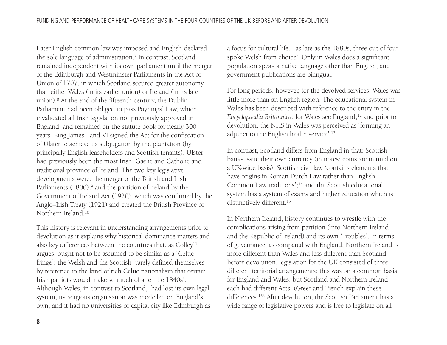Later English common law was imposed and English declared the sole language of administration.<sup>7</sup> In contrast, Scotland remained independent with its own parliament until the merger of the Edinburgh and Westminster Parliaments in the Act of Union of 1707, in which Scotland secured greater autonomy than either Wales (in its earlier union) or Ireland (in its later union).8 At the end of the fifteenth century, the Dublin Parliament had been obliged to pass Poynings' Law, which invalidated all Irish legislation not previously approved in England, and remained on the statute book for nearly 300 years. King James I and VI signed the Act for the confiscation of Ulster to achieve its subjugation by the plantation (by principally English leaseholders and Scottish tenants). Ulster had previously been the most Irish, Gaelic and Catholic and traditional province of Ireland. The two key legislative developments were: the merger of the British and Irish Parliaments (1800);<sup>9</sup> and the partition of Ireland by the Government of Ireland Act (1920), which was confirmed by the Anglo–Irish Treaty (1921) and created the British Province of Northern Ireland.10

This history is relevant in understanding arrangements prior to devolution as it explains why historical dominance matters and also key differences between the countries that, as Colley<sup>11</sup> argues, ought not to be assumed to be similar as a 'Celtic fringe': the Welsh and the Scottish 'rarely defined themselves by reference to the kind of rich Celtic nationalism that certain Irish patriots would make so much of after the 1840s'. Although Wales, in contrast to Scotland, 'had lost its own legal system, its religious organisation was modelled on England's own, and it had no universities or capital city like Edinburgh as a focus for cultural life... as late as the 1880s, three out of four spoke Welsh from choice'. Only in Wales does a significant population speak a native language other than English, and government publications are bilingual.

For long periods, however, for the devolved services, Wales was little more than an English region. The educational system in Wales has been described with reference to the entry in the *Encyclopaedia Britannica*: for Wales see England;<sup>12</sup> and prior to devolution, the NHS in Wales was perceived as 'forming an adjunct to the English health service'.13

In contrast, Scotland differs from England in that: Scottish banks issue their own currency (in notes; coins are minted on a UK-wide basis); Scottish civil law 'contains elements that have origins in Roman Dutch Law rather than English Common Law traditions';14 and the Scottish educational system has a system of exams and higher education which is distinctively different.<sup>15</sup>

In Northern Ireland, history continues to wrestle with the complications arising from partition (into Northern Ireland and the Republic of Ireland) and its own 'Troubles'. In terms of governance, as compared with England, Northern Ireland is more different than Wales and less different than Scotland. Before devolution, legislation for the UK consisted of three different territorial arrangements: this was on a common basis for England and Wales; but Scotland and Northern Ireland each had different Acts. (Greer and Trench explain these differences.16) After devolution, the Scottish Parliament has a wide range of legislative powers and is free to legislate on all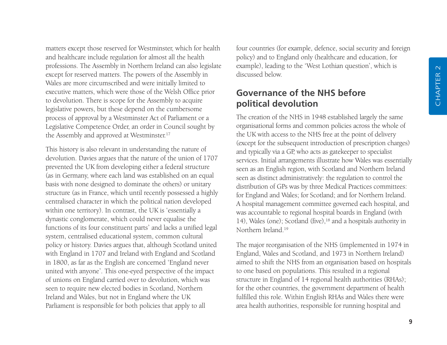matters except those reserved for Westminster, which for health and healthcare include regulation for almost all the health professions. The Assembly in Northern Ireland can also legislate except for reserved matters. The powers of the Assembly in Wales are more circumscribed and were initially limited to executive matters, which were those of the Welsh Office prior to devolution. There is scope for the Assembly to acquire legislative powers, but these depend on the cumbersome process of approval by a Westminster Act of Parliament or a Legislative Competence Order, an order in Council sought by the Assembly and approved at Westminster.<sup>17</sup>

This history is also relevant in understanding the nature of devolution. Davies argues that the nature of the union of 1707 prevented the UK from developing either a federal structure (as in Germany, where each land was established on an equal basis with none designed to dominate the others) or unitary structure (as in France, which until recently possessed a highly centralised character in which the political nation developed within one territory). In contrast, the UK is 'essentially a dynastic conglomerate, which could never equalise the functions of its four constituent parts' and lacks a unified legal system, centralised educational system, common cultural policy or history. Davies argues that, although Scotland united with England in 1707 and Ireland with England and Scotland in 1800, as far as the English are concerned 'England never united with anyone'. This one-eyed perspective of the impact of unions on England carried over to devolution, which was seen to require new elected bodies in Scotland, Northern Ireland and Wales, but not in England where the UK Parliament is responsible for both policies that apply to all

four countries (for example, defence, social security and foreign policy) and to England only (healthcare and education, for example), leading to the 'West Lothian question', which is discussed below.

#### **Governance of the NHS before political devolution**

The creation of the NHS in 1948 established largely the same organisational forms and common policies across the whole of the UK with access to the NHS free at the point of delivery (except for the subsequent introduction of prescription charges) and typically via a GP, who acts as gatekeeper to specialist services. Initial arrangements illustrate how Wales was essentially seen as an English region, with Scotland and Northern Ireland seen as distinct administratively: the regulation to control the distribution of GPs was by three Medical Practices committees: for England and Wales; for Scotland; and for Northern Ireland. A hospital management committee governed each hospital, and was accountable to regional hospital boards in England (with 14), Wales (one); Scotland (five),18 and a hospitals authority in Northern Ireland<sup>19</sup>

The major reorganisation of the NHS (implemented in 1974 in England, Wales and Scotland, and 1973 in Northern Ireland) aimed to shift the NHS from an organisation based on hospitals to one based on populations. This resulted in a regional structure in England of 14 regional health authorities (RHAs); for the other countries, the government department of health fulfilled this role. Within English RHAs and Wales there were area health authorities, responsible for running hospital and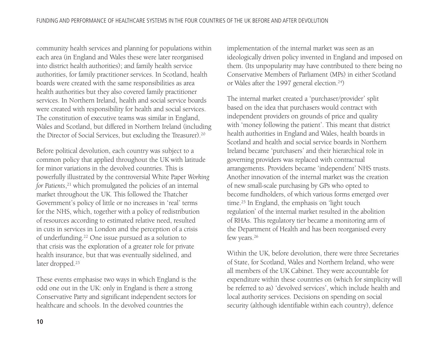community health services and planning for populations within each area (in England and Wales these were later reorganised into district health authorities); and family health service authorities, for family practitioner services. In Scotland, health boards were created with the same responsibilities as area health authorities but they also covered family practitioner services. In Northern Ireland, health and social service boards were created with responsibility for health and social services. The constitution of executive teams was similar in England, Wales and Scotland, but differed in Northern Ireland (including the Director of Social Services, but excluding the Treasurer).20

Before political devolution, each country was subject to a common policy that applied throughout the UK with latitude for minor variations in the devolved countries. This is powerfully illustrated by the controversial White Paper *Working for Patients*, <sup>21</sup> which promulgated the policies of an internal market throughout the UK. This followed the Thatcher Government's policy of little or no increases in 'real' terms for the NHS, which, together with a policy of redistribution of resources according to estimated relative need, resulted in cuts in services in London and the perception of a crisis of underfunding.22 One issue pursued as a solution to that crisis was the exploration of a greater role for private health insurance, but that was eventually sidelined, and later dropped.<sup>23</sup>

These events emphasise two ways in which England is the odd one out in the UK: only in England is there a strong Conservative Party and significant independent sectors for healthcare and schools. In the devolved countries the

implementation of the internal market was seen as an ideologically driven policy invented in England and imposed on them. (Its unpopularity may have contributed to there being no Conservative Members of Parliament (MPs) in either Scotland or Wales after the 1997 general election.24)

The internal market created a 'purchaser/provider' split based on the idea that purchasers would contract with independent providers on grounds of price and quality with 'money following the patient'. This meant that district health authorities in England and Wales, health boards in Scotland and health and social service boards in Northern Ireland became 'purchasers' and their hierarchical role in governing providers was replaced with contractual arrangements. Providers became 'independent' NHS trusts. Another innovation of the internal market was the creation of new small-scale purchasing by GPs who opted to become fundholders, of which various forms emerged over time.<sup>25</sup> In England, the emphasis on 'light touch regulation' of the internal market resulted in the abolition of RHAs. This regulatory tier became a monitoring arm of the Department of Health and has been reorganised every few years.<sup>26</sup>

Within the UK, before devolution, there were three Secretaries of State, for Scotland, Wales and Northern Ireland, who were all members of the UK Cabinet. They were accountable for expenditure within these countries on (which for simplicity will be referred to as) 'devolved services', which include health and local authority services. Decisions on spending on social security (although identifiable within each country), defence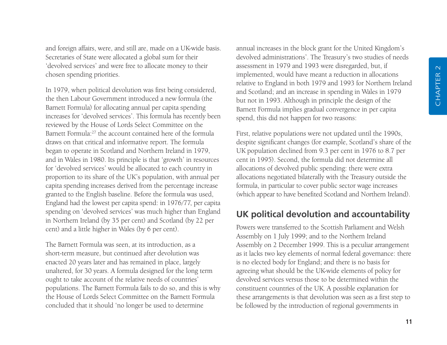and foreign affairs, were, and still are, made on a UK-wide basis. Secretaries of State were allocated a global sum for their 'devolved services' and were free to allocate money to their chosen spending priorities.

In 1979, when political devolution was first being considered, the then Labour Government introduced a new formula (the Barnett Formula) for allocating annual per capita spending increases for 'devolved services'. This formula has recently been reviewed by the House of Lords Select Committee on the Barnett Formula:<sup>27</sup> the account contained here of the formula draws on that critical and informative report. The formula began to operate in Scotland and Northern Ireland in 1979, and in Wales in 1980. Its principle is that 'growth' in resources for 'devolved services' would be allocated to each country in proportion to its share of the UK's population, with annual per capita spending increases derived from the percentage increase granted to the English baseline. Before the formula was used, England had the lowest per capita spend: in 1976/77, per capita spending on 'devolved services' was much higher than England in Northern Ireland (by 35 per cent) and Scotland (by 22 per cent) and a little higher in Wales (by 6 per cent).

The Barnett Formula was seen, at its introduction, as a short-term measure, but continued after devolution was enacted 20 years later and has remained in place, largely unaltered, for 30 years. A formula designed for the long term ought to take account of the relative needs of countries' populations. The Barnett Formula fails to do so, and this is why the House of Lords Select Committee on the Barnett Formula concluded that it should 'no longer be used to determine

annual increases in the block grant for the United Kingdom's devolved administrations'. The Treasury's two studies of needs assessment in 1979 and 1993 were disregarded, but, if implemented, would have meant a reduction in allocations relative to England in both 1979 and 1993 for Northern Ireland and Scotland; and an increase in spending in Wales in 1979 but not in 1993. Although in principle the design of the Barnett Formula implies gradual convergence in per capita spend, this did not happen for two reasons:

First, relative populations were not updated until the 1990s, despite significant changes (for example, Scotland's share of the UK population declined from 9.3 per cent in 1976 to 8.7 per cent in 1995). Second, the formula did not determine all allocations of devolved public spending: there were extra allocations negotiated bilaterally with the Treasury outside the formula, in particular to cover public sector wage increases (which appear to have benefited Scotland and Northern Ireland).

#### **UK political devolution and accountability**

Powers were transferred to the Scottish Parliament and Welsh Assembly on 1 July 1999; and to the Northern Ireland Assembly on 2 December 1999. This is a peculiar arrangement as it lacks two key elements of normal federal governance: there is no elected body for England; and there is no basis for agreeing what should be the UK-wide elements of policy for devolved services versus those to be determined within the constituent countries of the UK. A possible explanation for these arrangements is that devolution was seen as a first step to be followed by the introduction of regional governments in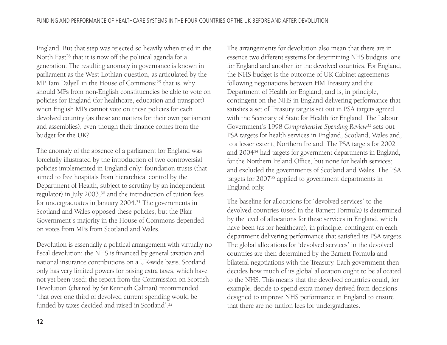England. But that step was rejected so heavily when tried in the North East<sup>28</sup> that it is now off the political agenda for a generation. The resulting anomaly in governance is known in parliament as the West Lothian question, as articulated by the MP Tam Dalyell in the House of Commons:<sup>29</sup> that is, why should MPs from non-English constituencies be able to vote on policies for England (for healthcare, education and transport) when English MPs cannot vote on these policies for each devolved country (as these are matters for their own parliament and assemblies), even though their finance comes from the budget for the UK?

The anomaly of the absence of a parliament for England was forcefully illustrated by the introduction of two controversial policies implemented in England only: foundation trusts (that aimed to free hospitals from hierarchical control by the Department of Health, subject to scrutiny by an independent regulator) in July 2003,<sup>30</sup> and the introduction of tuition fees for undergraduates in January 2004.31 The governments in Scotland and Wales opposed these policies, but the Blair Government's majority in the House of Commons depended on votes from MPs from Scotland and Wales.

Devolution is essentially a political arrangement with virtually no fiscal devolution: the NHS is financed by general taxation and national insurance contributions on a UK-wide basis. Scotland only has very limited powers for raising extra taxes, which have not yet been used; the report from the Commission on Scottish Devolution (chaired by Sir Kenneth Calman) recommended 'that over one third of devolved current spending would be funded by taxes decided and raised in Scotland'.32

The arrangements for devolution also mean that there are in essence two different systems for determining NHS budgets: one for England and another for the devolved countries. For England, the NHS budget is the outcome of UK Cabinet agreements following negotiations between HM Treasury and the Department of Health for England; and is, in principle, contingent on the NHS in England delivering performance that satisfies a set of Treasury targets set out in PSA targets agreed with the Secretary of State for Health for England. The Labour Government's 1998 *Comprehensive Spending Review*<sup>33</sup> sets out PSA targets for health services in England, Scotland, Wales and, to a lesser extent, Northern Ireland. The PSA targets for 2002 and 200434 had targets for government departments in England, for the Northern Ireland Office, but none for health services; and excluded the governments of Scotland and Wales. The PSA targets for 200735 applied to government departments in England only.

The baseline for allocations for 'devolved services' to the devolved countries (used in the Barnett Formula) is determined by the level of allocations for these services in England, which have been (as for healthcare), in principle, contingent on each department delivering performance that satisfied its PSA targets. The global allocations for 'devolved services' in the devolved countries are then determined by the Barnett Formula and bilateral negotiations with the Treasury. Each government then decides how much of its global allocation ought to be allocated to the NHS. This means that the devolved countries could, for example, decide to spend extra money derived from decisions designed to improve NHS performance in England to ensure that there are no tuition fees for undergraduates.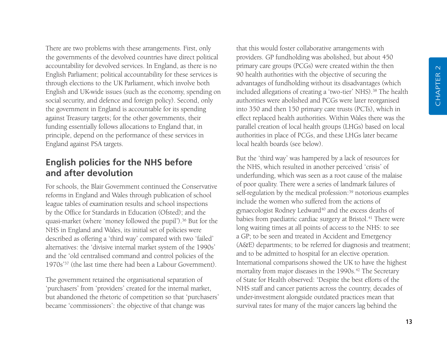There are two problems with these arrangements. First, only the governments of the devolved countries have direct political accountability for devolved services. In England, as there is no English Parliament; political accountability for these services is through elections to the UK Parliament, which involve both English and UK-wide issues (such as the economy, spending on social security, and defence and foreign policy). Second, only the government in England is accountable for its spending against Treasury targets; for the other governments, their funding essentially follows allocations to England that, in principle, depend on the performance of these services in England against PSA targets.

#### **English policies for the NHS before and after devolution**

For schools, the Blair Government continued the Conservative reforms in England and Wales through publication of school league tables of examination results and school inspections by the Office for Standards in Education (Ofsted); and the quasi-market (where 'money followed the pupil').36 But for the NHS in England and Wales, its initial set of policies were described as offering a 'third way' compared with two 'failed' alternatives: the 'divisive internal market system of the 1990s' and the 'old centralised command and control policies of the 1970s'37 (the last time there had been a Labour Government).

The government retained the organisational separation of 'purchasers' from 'providers' created for the internal market, but abandoned the rhetoric of competition so that 'purchasers' became 'commissioners': the objective of that change was

that this would foster collaborative arrangements with providers. GP fundholding was abolished, but about 450 primary care groups (PCGs) were created within the then 90 health authorities with the objective of securing the advantages of fundholding without its disadvantages (which included allegations of creating a 'two-tier' NHS).<sup>38</sup> The health authorities were abolished and PCGs were later reorganised into 350 and then 150 primary care trusts (PCTs), which in effect replaced health authorities. Within Wales there was the parallel creation of local health groups (LHGs) based on local authorities in place of PCGs, and these LHGs later became local health boards (see below).

But the 'third way' was hampered by a lack of resources for the NHS, which resulted in another perceived 'crisis' of underfunding, which was seen as a root cause of the malaise of poor quality. There were a series of landmark failures of self-regulation by the medical profession:<sup>39</sup> notorious examples include the women who suffered from the actions of gynaecologist Rodney Ledward<sup>40</sup> and the excess deaths of babies from paediatric cardiac surgery at Bristol.<sup>41</sup> There were long waiting times at all points of access to the NHS: to see a GP; to be seen and treated in Accident and Emergency (A&E) departments; to be referred for diagnosis and treatment; and to be admitted to hospital for an elective operation. International comparisons showed the UK to have the highest mortality from major diseases in the 1990s.<sup>42</sup> The Secretary of State for Health observed: 'Despite the best efforts of the NHS staff and cancer patients across the country, decades of under-investment alongside outdated practices mean that survival rates for many of the major cancers lag behind the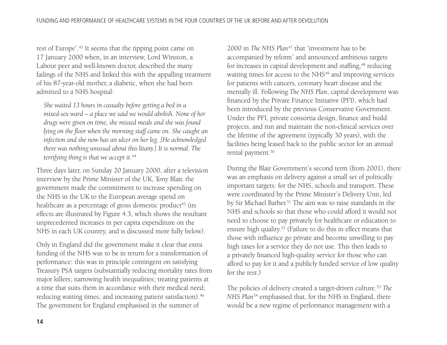rest of Europe'.43 It seems that the tipping point came on 17 January 2000 when, in an interview, Lord Winston, a Labour peer and well-known doctor, described the many failings of the NHS and linked this with the appalling treatment of his 87-year-old mother, a diabetic, when she had been admitted to a NHS hospital:

*She waited 13 hours in casualty before getting a bed in a mixed-sex ward – a place we said we would abolish. None of her drugs were given on time, she missed meals and she was found lying on the floor when the morning staff came on. She caught an infection and she now has an ulcer on her leg. [He acknowledged there was nothing unusual about this litany.] It is normal. The terrifying thing is that we accept it.*<sup>44</sup>

Three days later, on Sunday 20 January 2000, after a television interview by the Prime Minister of the UK, Tony Blair, the government made the commitment to increase spending on the NHS in the UK to the European average spend on healthcare as a percentage of gross domestic product<sup>45</sup> (its effects are illustrated by Figure 4.3, which shows the resultant unprecedented increases in per capita expenditure on the NHS in each UK country, and is discussed more fully below).

Only in England did the government make it clear that extra funding of the NHS was to be in return for a transformation of performance: this was in principle contingent on satisfying Treasury PSA targets (substantially reducing mortality rates from major killers; narrowing health inequalities; treating patients at a time that suits them in accordance with their medical need; reducing waiting times; and increasing patient satisfaction).<sup>46</sup> The government for England emphasised in the summer of

2000 in *The NHS Plan*<sup>47</sup> that 'investment has to be accompanied by reform' and announced ambitious targets for increases in capital development and staffing,<sup>48</sup> reducing waiting times for access to the NHS<sup>49</sup> and improving services for patients with cancers, coronary heart disease and the mentally ill. Following *The NHS Plan*, capital development was financed by the Private Finance Initiative (PFI), which had been introduced by the previous Conservative Government. Under the PFI, private consortia design, finance and build projects, and run and maintain the non-clinical services over the lifetime of the agreement (typically 30 years), with the facilities being leased back to the public sector for an annual rental payment.50

During the Blair Government's second term (from 2001), there was an emphasis on delivery against a small set of politically important targets: for the NHS, schools and transport. These were coordinated by the Prime Minister's Delivery Unit, led by Sir Michael Barber.<sup>51</sup> The aim was to raise standards in the NHS and schools so that those who could afford it would not need to choose to pay privately for healthcare or education to ensure high quality.52 (Failure to do this in effect means that those with influence go private and become unwilling to pay high taxes for a service they do not use. This then leads to a privately financed high-quality service for those who can afford to pay for it and a publicly funded service of low quality for the rest.)

The policies of delivery created a target-driven culture.53 *The NHS Plan*<sup>54</sup> emphasised that, for the NHS in England, there would be a new regime of performance management with a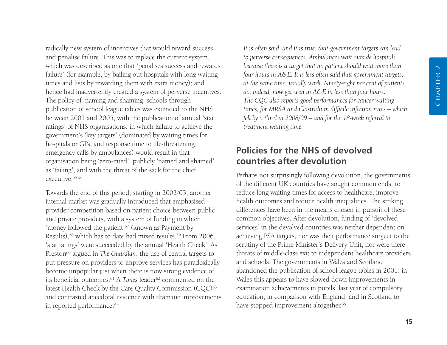radically new system of incentives that would reward success and penalise failure. This was to replace the current system, which was described as one that 'penalises success and rewards failure' (for example, by bailing out hospitals with long waiting times and lists by rewarding them with extra money); and hence had inadvertently created a system of perverse incentives. The policy of 'naming and shaming' schools through publication of school league tables was extended to the NHS between 2001 and 2005, with the publication of annual 'star ratings' of NHS organisations, in which failure to achieve the government's 'key targets' (dominated by waiting times for hospitals or GPs, and response time to life-threatening emergency calls by ambulances) would result in that organisation being 'zero-rated', publicly 'named and shamed' as 'failing', and with the threat of the sack for the chief executive.55 56

Towards the end of this period, starting in 2002/03, another internal market was gradually introduced that emphasised provider competition based on patient choice between public and private providers, with a system of funding in which 'money followed the patient'57 (known as Payment by Results),<sup>58</sup> which has to date had mixed results.<sup>59</sup> From 2006, 'star ratings' were succeeded by the annual 'Health Check'. As Preston<sup>60</sup> argued in *The Guardian*, the use of central targets to put pressure on providers to improve services has paradoxically become unpopular just when there is now strong evidence of its beneficial outcomes.<sup>61</sup> A *Times* leader<sup>62</sup> commented on the latest Health Check by the Care Quality Commission (CQC)<sup>63</sup> and contrasted anecdotal evidence with dramatic improvements in reported performance:<sup>64</sup>

*It is often said, and it is true, that government targets can lead to perverse consequences. Ambulances wait outside hospitals because there is a target that no patient should wait more than four hours in A&E. It is less often said that government targets, at the same time, usually work. Ninety-eight per cent of patients do, indeed, now get seen in A&E in less than four hours. The CQC also reports good performances for cancer waiting times, for MRSA and Clostridium difficile infection rates – which fell by a third in 2008/09 – and for the 18-week referral to treatment waiting time.*

## **Policies for the NHS of devolved countries after devolution**

Perhaps not surprisingly following devolution, the governments of the different UK countries have sought common ends: to reduce long waiting times for access to healthcare, improve health outcomes and reduce health inequalities. The striking differences have been in the means chosen in pursuit of these common objectives. After devolution, funding of 'devolved services' in the devolved countries was neither dependent on achieving PSA targets, nor was their performance subject to the scrutiny of the Prime Minister's Delivery Unit, nor were there threats of middle-class exit to independent healthcare providers and schools. The governments in Wales and Scotland abandoned the publication of school league tables in 2001: in Wales this appears to have slowed down improvements in examination achievements in pupils' last year of compulsory education, in comparison with England; and in Scotland to have stopped improvement altogether.<sup>65</sup>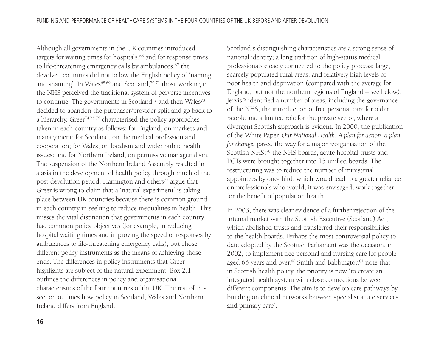Although all governments in the UK countries introduced targets for waiting times for hospitals,<sup>66</sup> and for response times to life-threatening emergency calls by ambulances,<sup>67</sup> the devolved countries did not follow the English policy of 'naming and shaming'. In Wales<sup>68 69</sup> and Scotland,<sup>70 71</sup> those working in the NHS perceived the traditional system of perverse incentives to continue. The governments in Scotland<sup>72</sup> and then Wales<sup>73</sup> decided to abandon the purchaser/provider split and go back to a hierarchy. Greer<sup>74 75 76</sup> characterised the policy approaches taken in each country as follows: for England, on markets and management; for Scotland, on the medical profession and cooperation; for Wales, on localism and wider public health issues; and for Northern Ireland, on permissive managerialism. The suspension of the Northern Ireland Assembly resulted in stasis in the development of health policy through much of the post-devolution period. Harrington and others<sup>77</sup> argue that Greer is wrong to claim that a 'natural experiment' is taking place between UK countries because there is common ground in each country in seeking to reduce inequalities in health. This misses the vital distinction that governments in each country had common policy objectives (for example, in reducing hospital waiting times and improving the speed of responses by ambulances to life-threatening emergency calls), but chose different policy instruments as the means of achieving those ends. The differences in policy instruments that Greer highlights are subject of the natural experiment. Box 2.1 outlines the differences in policy and organisational characteristics of the four countries of the UK. The rest of this section outlines how policy in Scotland, Wales and Northern Ireland differs from England.

Scotland's distinguishing characteristics are a strong sense of national identity; a long tradition of high-status medical professionals closely connected to the policy process; large, scarcely populated rural areas; and relatively high levels of poor health and deprivation (compared with the average for England, but not the northern regions of England – see below). Jervis78 identified a number of areas, including the governance of the NHS, the introduction of free personal care for older people and a limited role for the private sector, where a divergent Scottish approach is evident. In 2000, the publication of the White Paper, *Our National Health: A plan for action, a plan for change,* paved the way for a major reorganisation of the Scottish NHS:<sup>79</sup> the NHS boards, acute hospital trusts and PCTs were brought together into 15 unified boards. The restructuring was to reduce the number of ministerial appointees by one-third; which would lead to a greater reliance on professionals who would, it was envisaged, work together for the benefit of population health.

In 2003, there was clear evidence of a further rejection of the internal market with the Scottish Executive (Scotland) Act, which abolished trusts and transferred their responsibilities to the health boards. Perhaps the most controversial policy to date adopted by the Scottish Parliament was the decision, in 2002, to implement free personal and nursing care for people aged 65 years and over. $80$  Smith and Babbington $81$  note that in Scottish health policy, the priority is now 'to create an integrated health system with close connections between different components. The aim is to develop care pathways by building on clinical networks between specialist acute services and primary care'.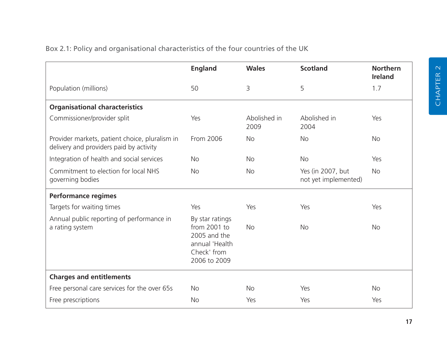|                                                                                           | <b>England</b>                                                                                   | <b>Wales</b>         | <b>Scotland</b>                           | <b>Northern</b><br><b>Ireland</b> |
|-------------------------------------------------------------------------------------------|--------------------------------------------------------------------------------------------------|----------------------|-------------------------------------------|-----------------------------------|
| Population (millions)                                                                     | 50                                                                                               | 3                    | 5                                         | 1.7                               |
| <b>Organisational characteristics</b>                                                     |                                                                                                  |                      |                                           |                                   |
| Commissioner/provider split                                                               | Yes                                                                                              | Abolished in<br>2009 | Abolished in<br>2004                      | Yes                               |
| Provider markets, patient choice, pluralism in<br>delivery and providers paid by activity | From 2006                                                                                        | <b>No</b>            | <b>No</b>                                 | <b>No</b>                         |
| Integration of health and social services                                                 | <b>No</b>                                                                                        | <b>No</b>            | <b>No</b>                                 | Yes                               |
| Commitment to election for local NHS<br>governing bodies                                  | <b>No</b>                                                                                        | <b>No</b>            | Yes (in 2007, but<br>not yet implemented) | <b>No</b>                         |
| <b>Performance regimes</b>                                                                |                                                                                                  |                      |                                           |                                   |
| Targets for waiting times                                                                 | Yes                                                                                              | Yes                  | Yes                                       | Yes                               |
| Annual public reporting of performance in<br>a rating system                              | By star ratings<br>from 2001 to<br>2005 and the<br>annual 'Health<br>Check' from<br>2006 to 2009 | <b>No</b>            | <b>No</b>                                 | <b>No</b>                         |
| <b>Charges and entitlements</b>                                                           |                                                                                                  |                      |                                           |                                   |
| Free personal care services for the over 65s                                              | <b>No</b>                                                                                        | <b>No</b>            | Yes                                       | <b>No</b>                         |
| Free prescriptions                                                                        | <b>No</b>                                                                                        | Yes                  | Yes                                       | Yes                               |

#### Box 2.1: Policy and organisational characteristics of the four countries of the UK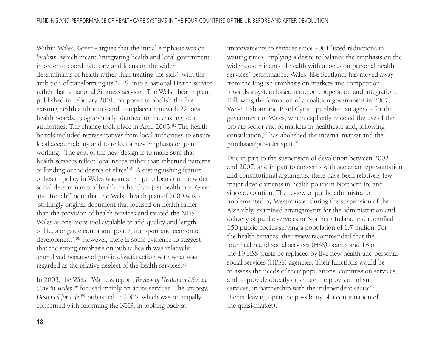Within Wales, Greer<sup>82</sup> argues that the initial emphasis was on *localism*, which meant 'integrating health and local government in order to coordinate care and focus on the wider determinants of health rather than treating the sick', with the ambition of transforming its NHS 'into a national Health service rather than a national Sickness service'. The Welsh health plan, published in February 2001, proposed to abolish the five existing health authorities and to replace them with 22 local health boards, geographically identical to the existing local authorities. The change took place in April 2003.83 The health boards included representatives from local authorities to ensure local accountability and to reflect a new emphasis on joint working: 'The goal of the new design is to make sure that health services reflect local needs rather than inherited patterns of funding or the desires of elites'.84 A distinguishing feature of health policy in Wales was an attempt to focus on the wider social determinants of health, rather than just healthcare. Greer and Trench<sup>85</sup> note that the Welsh health plan of 2000 was a 'strikingly original document that focused on health rather than the provision of health services and treated the NHS Wales as one more tool available to add quality and length of life, alongside education, police, transport and economic development'.86 However, there is some evidence to suggest that the strong emphasis on public health was relatively short-lived because of public dissatisfaction with what was regarded as the relative neglect of the health services.87

In 2003, the Welsh Wanless report, *Review of Health and Social Care in Wales*, <sup>88</sup> focused mainly on acute services. The strategy, *Designed for Life*, <sup>89</sup> published in 2005, which was principally concerned with reforming the NHS, in looking back at

improvements to services since 2001 listed reductions in waiting times, implying a desire to balance the emphasis on the wider determinants of health with a focus on personal health services' performance. Wales, like Scotland, has moved away from the English emphasis on markets and competition towards a system based more on cooperation and integration. Following the formation of a coalition government in 2007, Welsh Labour and Plaid Cymru published an agenda for the government of Wales, which explicitly rejected the use of the private sector and of markets in healthcare and, following consultation,90 has abolished the internal market and the purchaser/provider split.<sup>91</sup>

Due in part to the suspension of devolution between 2002 and 2007, and in part to concerns with sectarian representation and constitutional arguments, there have been relatively few major developments in health policy in Northern Ireland since devolution. The review of public administration, implemented by Westminster during the suspension of the Assembly, examined arrangements for the administration and delivery of public services in Northern Ireland and identified 150 public bodies serving a population of 1.7 million. For the health services, the review recommended that the four health and social services (HSS) boards and 18 of the 19 HSS trusts be replaced by five new health and personal social services (HPSS) agencies. Their functions would be to assess the needs of their populations, commission services, and to provide directly or secure the provision of such services, in partnership with the independent sector<sup>92</sup> (hence leaving open the possibility of a continuation of the quasi-market).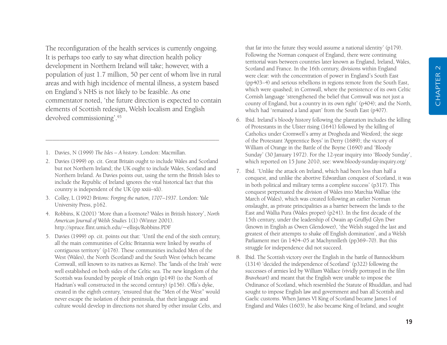The reconfiguration of the health services is currently ongoing. It is perhaps too early to say what direction health policy development in Northern Ireland will take; however, with a population of just 1.7 million, 50 per cent of whom live in rural areas and with high incidence of mental illness, a system based on England's NHS is not likely to be feasible. As one commentator noted, 'the future direction is expected to contain elements of Scottish redesign, Welsh localism and English devolved commissioning'.93

- 1. Davies, N (1999) *The Isles A history*. London: Macmillan.
- 2. Davies (1999) op. cit. Great Britain ought to include Wales and Scotland but not Northern Ireland; the UK ought to include Wales, Scotland and Northern Ireland. As Davies points out, using the term the British Isles to include the Republic of Ireland ignores the vital historical fact that this country is independent of the UK (pp xxiii–xli).

–––––––––––––––––––––––––––––––––––––––––––––––––

- 3. Colley, L (1992) *Britons: Forging the nation, 1707–1937*. London: Yale University Press, p162.
- 4. Robbins, K (2001) 'More than a footnote? Wales in British history', *North American Journal of Welsh Studies* 1(1) (Winter 2001). http://spruce.flint.umich.edu/~ellisjs/Robbins.PDF
- 5. Davies (1999) op. cit. points out that: 'Until the end of the sixth century, all the main communities of Celtic Britannia were linked by swaths of contiguous territory' (p176). These communities included Men of the West (Wales), the North (Scotland) and the South West (which became Cornwall, still known to its natives as Kerno). The 'lands of the Irish' were well established on both sides of the Celtic sea. The new kingdom of the Scottish was founded by people of Irish origin (p149) (to the North of Hadrian's wall constructed in the second century) (p156). Offa's dyke, created in the eighth century, 'ensured that the "Men of the West" would never escape the isolation of their peninsula, that their language and culture would develop in directions not shared by other insular Celts, and

that far into the future they would assume a national identity' (p179). Following the Norman conquest of England, there were continuing territorial wars between countries later known as England, Ireland, Wales, Scotland and France. In the 16th century, divisions within England were clear: with the concentration of power in England's South East (pp403–4) and serious rebellions in regions remote from the South East, which were quashed; in Cornwall, where the persistence of its own Celtic Cornish language 'strengthened the belief that Cornwall was not just a county of England, but a country in its own right' (p404); and the North, which had 'remained a land apart' from the South East (p407).

- 6. Ibid. Ireland's bloody history following the plantation includes the killing of Protestants in the Ulster rising (1641) followed by the killing of Catholics under Cromwell's army at Drogheda and Wexford; the siege of the Protestant 'Apprentice Boys' in Derry (1689); the victory of William of Orange in the Battle of the Boyne (1690) and 'Bloody Sunday' (30 January 1972). For the 12-year inquiry into 'Bloody Sunday', which reported on 15 June 2010, see: www.bloody-sunday-inquiry.org/
- 7. Ibid. 'Unlike the attack on Ireland, which had been less than half a conquest, and unlike the abortive Edwardian conquest of Scotland, it was in both political and military terms a complete success' (p317). This conquest perpetuated the division of Wales into Marchia Walliae (the March of Wales), which was created following an earlier Norman onslaught, as private principalities as a barrier between the lands to the East and Wallia Pura (Wales proper) (p241). In the first decade of the 15th century, under the leadership of Owain ap Gruffyd Glyn Dwr (known in English as Owen Glendower), 'the Welsh staged the last and greatest of their attempts to shake off English domination', and a Welsh Parliament met (in 1404–05 at Machynnlleth (pp369–70). But this struggle for independence did not succeed.
- 8. Ibid. The Scottish victory over the English in the battle of Bannockburn (1314) 'decided the independence of Scotland' (p322) following the successes of armies led by William Wallace (vividly portrayed in the film *Braveheart*) and meant that the English were unable to impose the Ordinance of Scotland, which resembled the Statute of Rhuddlan, and had sought to impose English law and government and ban all Scottish and Gaelic customs. When James VI King of Scotland became James I of England and Wales (1603), he also became King of Ireland, and sought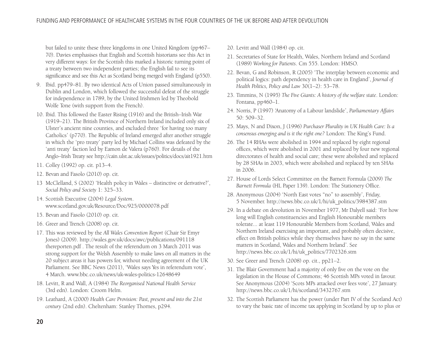but failed to unite these three kingdoms in one United Kingdom (pp467– 70). Davies emphasises that English and Scottish historians see this Act in very different ways: for the Scottish this marked a historic turning point of a treaty between two independent parties; the English fail to see its significance and see this Act as Scotland being merged with England (p550).

- 9. Ibid. pp479–81. By two identical Acts of Union passed simultaneously in Dublin and London, which followed the successful defeat of the struggle for independence in 1789, by the United Irishmen led by Theobold Wolfe Tone (with support from the French).
- 10. Ibid. This followed the Easter Rising (1916) and the British–Irish War (1919–21). The British Province of Northern Ireland included only six of Ulster's ancient nine counties, and excluded three 'for having too many Catholics' (p770). The Republic of Ireland emerged after another struggle in which the 'pro treaty' party led by Michael Collins was defeated by the 'anti treaty' faction led by Eamon de Valera (p760). For details of the Anglo–Irish Treaty see http://cain.ulst.ac.uk/issues/politics/docs/ait1921.htm
- 11. Colley (1992) op. cit. p13–4.
- 12. Bevan and Fasolo (2010) op. cit.
- 13 McClelland, S (2002) 'Health policy in Wales distinctive or derivative?', *Social Policy and Society* 1: 325–33.
- 14. Scottish Executive (2004) *Legal System*. www.scotland.gov.uk/Resource/Doc/925/0000078.pdf
- 15. Bevan and Fasolo (2010) op. cit.
- 16. Greer and Trench (2008) op. cit.
- 17. This was reviewed by the *All Wales Convention Report* (Chair Sir Emyr Jones) (2009). http://wales.gov.uk/docs/awc/publications/091118 thereporten.pdf . The result of the referendum on 3 March 2011 was strong support for the Welsh Assembly to make laws on all matters in the 20 subject areas it has powers for, without needing agreement of the UK Parliament. See BBC News (2011), 'Wales says Yes in referendum vote', 4 March. www.bbc.co.uk/news/uk-wales-politics-12648649
- 18. Levitt, R and Wall, A (1984) *The Reorganised National Health Service* (3rd edn). London: Croom Helm.
- 19. Leathard, A (2000) *Health Care Provision: Past, present and into the 21st century* (2nd edn). Cheltenham: Stanley Thornes, p294.
- 20. Levitt and Wall (1984) op. cit.
- 21. Secretaries of State for Health, Wales, Northern Ireland and Scotland (1989) *Working for Patients*. Cm 555. London: HMSO.
- 22. Bevan, G and Robinson, R (2005) 'The interplay between economic and political logics: path dependency in health care in England', *Journal of Health Politics, Policy and Law* 30(1–2): 53–78.
- 23. Timmins, N (1995) *The Five Giants: A history of the welfare state*. London: Fontana, pp460–1.
- 24. Norris, P (1997) 'Anatomy of a Labour landslide', *Parliamentary Affairs* 50: 509–32.
- 25. Mays, N and Dixon, J (1996) *Purchaser Plurality in UK Health Care: Is a consensus emerging and is it the right one?* London: The King's Fund.
- 26. The 14 RHAs were abolished in 1994 and replaced by eight regional offices, which were abolished in 2001 and replaced by four new regional directorates of health and social care; these were abolished and replaced by 28 SHAs in 2003, which were abolished and replaced by ten SHAs in 2006.
- 27. House of Lords Select Committee on the Barnett Formula (2009) *The Barnett Formula* (HL Paper 139). London: The Stationery Office.
- 28. Anonymous (2004) 'North East votes "no" to assembly', Friday, 5 November. http://news.bbc.co.uk/1/hi/uk\_politics/3984387.stm
- 29. In a debate on devolution in November 1977, Mr Dalyell said: 'For how long will English constituencies and English Honourable members tolerate... at least 119 Honourable Members from Scotland, Wales and Northern Ireland exercising an important, and probably often decisive, effect on British politics while they themselves have no say in the same matters in Scotland, Wales and Northern Ireland'. See http://news.bbc.co.uk/1/hi/uk\_politics/7702326.stm
- 30. See Greer and Trench (2008) op. cit., pp21–2.
- 31. The Blair Government had a majority of only five on the vote on the legislation in the House of Commons; 46 Scottish MPs voted in favour. See Anonymous (2004) 'Scots MPs attacked over fees vote', 27 January. http://news.bbc.co.uk/1/hi/scotland/3432767.stm
- 32. The Scottish Parliament has the power (under Part IV of the Scotland Act) to vary the basic rate of income tax applying in Scotland by up to plus or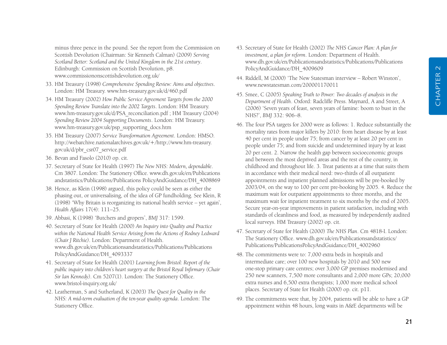minus three pence in the pound. See the report from the Commission on Scottish Devolution (Chairman: Sir Kenneth Calman) (2009) *Serving Scotland Better: Scotland and the United Kingdom in the 21st century*. Edinburgh: Commission on Scottish Devolution, p8. www.commissiononscottishdevolution.org.uk/

- 33. HM Treasury (1998) *Comprehensive Spending Review: Aims and objectives*. London: HM Treasury. www.hm-treasury.gov.uk/d/460.pdf
- 34. HM Treasury (2002) *How Public Service Agreement Targets from the 2000 Spending Review Translate into the 2002 Targets*. London: HM Treasury. www.hm-treasury.gov.uk/d/PSA\_reconciliation.pdf ; HM Treasury (2004) *Spending Review 2004 Supporting Documents*. London: HM Treasury. www.hm-treasury.gov.uk/psp\_supporting\_docs.htm
- 35. HM Treasury (2007) *Service Transformation Agreement*. London: HMSO. http://webarchive.nationalarchives.gov.uk/+/http://www.hm-treasury. gov.uk/d/pbr\_csr07\_service.pdf
- 36. Bevan and Fasolo (2010) op. cit.
- 37. Secretary of State for Health (1997) *The New NHS: Modern, dependable*. Cm 3807. London: The Stationery Office. www.dh.gov.uk/en/Publications andstatistics/Publications/Publications PolicyAndGuidance/DH\_4008869
- 38. Hence, as Klein (1998) argued, this policy could be seen as either the phasing out, or universalising, of the idea of GP fundholding. See Klein, R (1998) 'Why Britain is reorganizing its national health service – yet again', *Health Affairs* 17(4): 111–25.
- 39. Abbasi, K (1998) 'Butchers and gropers', *BMJ* 317: 1599.
- 40. Secretary of State for Health (2000) *An Inquiry into Quality and Practice within the National Health Service Arising from the Actions of Rodney Ledward (Chair J Ritchie)*. London: Department of Health. www.dh.gov.uk/en/Publicationsandstatistics/Publications/Publications PolicyAndGuidance/DH\_4093337
- 41. Secretary of State for Health (2001) *Learning from Bristol: Report of the public inquiry into children's heart surgery at the Bristol Royal Infirmary (Chair Sir Ian Kennedy)*. Cm 5207(1). London: The Stationery Office. www.bristol-inquiry.org.uk/
- 42. Leatherman, S and Sutherland, K (2003) *The Quest for Quality in the NHS: A mid-term evaluation of the ten-year quality agenda*. London: The Stationery Office.
- 43. Secretary of State for Health (2002) *The NHS Cancer Plan: A plan for investment, a plan for reform*. London: Department of Health. www.dh.gov.uk/en/Publicationsandstatistics/Publications/Publications PolicyAndGuidance/DH\_4009609
- 44. Riddell, M (2000) 'The New Statesman interview Robert Winston', www.newstatesman.com/200001170011
- 45. Smee, C (2005) *Speaking Truth to Power: Two decades of analysis in the Department of Health*. Oxford: Radcliffe Press. Maynard, A and Street, A (2006) 'Seven years of feast, seven years of famine: boom to bust in the NHS?', *BMJ* 332: 906–8.
- 46. The four PSA targets for 2000 were as follows: 1. Reduce substantially the mortality rates from major killers by 2010: from heart disease by at least 40 per cent in people under 75; from cancer by at least 20 per cent in people under 75; and from suicide and undetermined injury by at least 20 per cent. 2. Narrow the health gap between socioeconomic groups and between the most deprived areas and the rest of the country, in childhood and throughout life. 3. Treat patients at a time that suits them in accordance with their medical need: two-thirds of all outpatient appointments and inpatient planned admissions will be pre-booked by 2003/04, on the way to 100 per cent pre-booking by 2005. 4. Reduce the maximum wait for outpatient appointments to three months, and the maximum wait for inpatient treatment to six months by the end of 2005. Secure year-on-year improvements in patient satisfaction, including with standards of cleanliness and food, as measured by independently audited local surveys. HM Treasury (2002) op. cit.
- 47. Secretary of State for Health (2000) *The NHS Plan*. Cm 4818-I. London: The Stationery Office. www.dh.gov.uk/en/Publicationsandstatistics/ Publications/PublicationsPolicyAndGuidance/DH\_4002960
- 48. The commitments were to: 7,000 extra beds in hospitals and intermediate care; over 100 new hospitals by 2010 and 500 new one-stop primary care centres; over 3,000 GP premises modernised and 250 new scanners, 7,500 more consultants and 2,000 more GPs; 20,000 extra nurses and 6,500 extra therapists; 1,000 more medical school places. Secretary of State for Health (2000) op. cit. p11.
- 49. The commitments were that, by 2004, patients will be able to have a GP appointment within 48 hours, long waits in A&E departments will be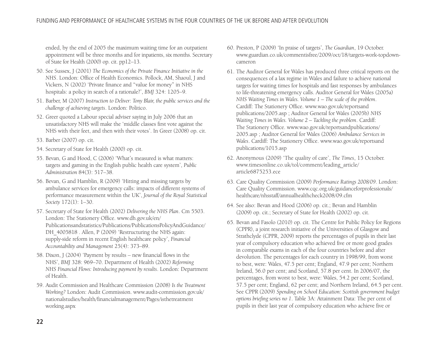ended, by the end of 2005 the maximum waiting time for an outpatient appointment will be three months and for inpatients, six months. Secretary of State for Health (2000) op. cit. pp12–13.

- 50. See Sussex, J (2001) *The Economics of the Private Finance Initiative in the NHS*. London: Office of Health Economics. Pollock, AM, Shaoul, J and Vickers, N (2002) 'Private finance and "value for money" in NHS hospitals: a policy in search of a rationale?', *BMJ* 324: 1205–9.
- 51. Barber, M (2007) *Instruction to Deliver: Tony Blair, the public services and the challenge of achieving targets*. London: Politico.
- 52. Greer quoted a Labour special adviser saying in July 2006 that an unsatisfactory NHS will make the 'middle classes first vote against the NHS with their feet, and then with their votes'. In Greer (2008) op. cit.
- 53. Barber (2007) op. cit.
- 54. Secretary of State for Health (2000) op. cit.
- 55. Bevan, G and Hood, C (2006) 'What's measured is what matters: targets and gaming in the English public health care system', *Public Administration* 84(3): 517–38.
- 56. Bevan, G and Hamblin, R (2009) 'Hitting and missing targets by ambulance services for emergency calls: impacts of different systems of performance measurement within the UK', *Journal of the Royal Statistical Society* 172(1): 1–30.
- 57. Secretary of State for Health (2002) *Delivering the NHS Plan*. Cm 5503. London: The Stationery Office. www.dh.gov.uk/en/ Publicationsandstatistics/Publications/PublicationsPolicyAndGuidance/ DH 4005818 . Allen, P (2009) 'Restructuring the NHS again: supply-side reform in recent English healthcare policy', *Financial Accountability and Management* 25(4): 373–89.
- 58. Dixon, J (2004) 'Payment by results new financial flows in the NHS', *BMJ* 328: 969–70. Department of Health (2002) *Reforming NHS Financial Flows: Introducing payment by results*. London: Department of Health.
- 59. Audit Commission and Healthcare Commission (2008) *Is the Treatment Working?* London: Audit Commission. www.audit-commission.gov.uk/ nationalstudies/health/financialmanagement/Pages/isthetreatment working.aspx
- 60. Preston, P (2009) 'In praise of targets', *The Guardian*, 19 October. www.guardian.co.uk/commentisfree/2009/oct/18/targets-work-topdowncameron
- 61. The Auditor General for Wales has produced three critical reports on the consequences of a lax regime in Wales and failure to achieve national targets for waiting times for hospitals and fast responses by ambulances to life-threatening emergency calls. Auditor General for Wales (2005a) *NHS Waiting Times in Wales. Volume 1 – The scale of the problem*. Cardiff: The Stationery Office. www.wao.gov.uk/reportsand publications/2005.asp ; Auditor General for Wales (2005b) *NHS Waiting Times in Wales. Volume 2 – Tackling the problem*. Cardiff: The Stationery Office. www.wao.gov.uk/reportsandpublications/ 2005.asp ; Auditor General for Wales (2006) *Ambulance Services in Wales*. Cardiff: The Stationery Office. www.wao.gov.uk/reportsand publications/1015.asp
- 62. Anonymous (2009) 'The quality of care', *The Times*, 15 October. www.timesonline.co.uk/tol/comment/leading\_article/ article6875253.ece
- 63. Care Quality Commission (2009) *Performance Ratings 2008/09*. London: Care Quality Commission. www.cqc.org.uk/guidanceforprofessionals/ healthcare/nhsstaff/annualhealthcheck2008/09.cfm
- 64. See also: Bevan and Hood (2006) op. cit.; Bevan and Hamblin (2009) op. cit.; Secretary of State for Health (2002) op. cit.
- 65. Bevan and Fasolo (2010) op. cit. The Centre for Public Policy for Regions (CPPR), a joint research initiative of the Universities of Glasgow and Strathclyde (CPPR, 2009) reports the percentages of pupils in their last year of compulsory education who achieved five or more good grades in comparable exams in each of the four countries before and after devolution. The percentages for each country in 1998/99, from worst to best, were: Wales, 47.5 per cent; England, 47.9 per cent; Northern Ireland, 56.0 per cent; and Scotland, 57.8 per cent. In 2006/07, the percentages, from worst to best, were: Wales, 54.2 per cent; Scotland, 57.5 per cent; England, 62 per cent; and Northern Ireland, 64.5 per cent. See CPPR (2009) *Spending on School Education: Scottish government budget options briefing series no 1*. Table 3A: Attainment Data: The per cent of pupils in their last year of compulsory education who achieve five or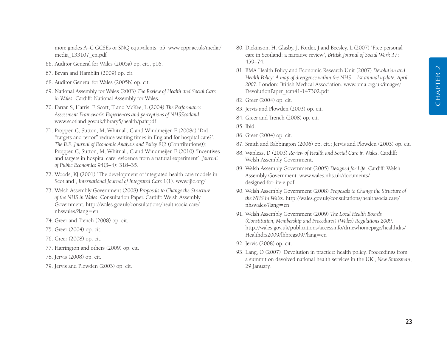more grades A–C GCSEs or SNQ equivalents, p5. www.cppr.ac.uk/media/ media\_133107\_en.pdf

- 66. Auditor General for Wales (2005a) op. cit., p16.
- 67. Bevan and Hamblin (2009) op. cit.
- 68. Auditor General for Wales (2005b) op. cit.
- 69. National Assembly for Wales (2003) *The Review of Health and Social Care in Wales*. Cardiff: National Assembly for Wales.
- 70. Farrar, S, Harris, F, Scott, T and McKee, L (2004) *The Performance Assessment Framework: Experiences and perceptions of NHSScotland*. www.scotland.gov.uk/library5/health/pafr.pdf
- 71. Propper, C, Sutton, M, Whitnall, C and Windmeijer, F (2008a) 'Did "targets and terror" reduce waiting times in England for hospital care?', *The B.E. Journal of Economic Analysis and Policy* 8(2 (Contributions)); Propper, C, Sutton, M, Whitnall, C and Windmeijer, F (2010) 'Incentives and targets in hospital care: evidence from a natural experiment', *Journal of Public Economics* 94(3–4): 318–35.
- 72. Woods, KJ (2001) 'The development of integrated health care models in Scotland', *International Journal of Integrated Care* 1(1). www.ijic.org/
- 73. Welsh Assembly Government (2008) *Proposals to Change the Structure of the NHS in Wales*. Consultation Paper. Cardiff: Welsh Assembly Government. http://wales.gov.uk/consultations/healthsocialcare/ nhswales/?lang=en
- 74. Greer and Trench (2008) op. cit.
- 75. Greer (2004) op. cit.
- 76. Greer (2008) op. cit.
- 77. Harrington and others (2009) op. cit.
- 78. Jervis (2008) op. cit.
- 79. Jervis and Plowden (2003) op. cit.
- 80. Dickinson, H, Glasby, J, Forder, J and Beesley, L (2007) 'Free personal care in Scotland: a narrative review', *British Journal of Social Work* 37: 459–74.
- 81. BMA Health Policy and Economic Research Unit (2007) *Devolution and Health Policy: A map of divergence within the NHS – 1st annual update, April 2007.* London: British Medical Association. www.bma.org.uk/images/ DevolutionPaper\_tcm41-147302.pdf
- 82. Greer (2004) op. cit.
- 83. Jervis and Plowden (2003) op. cit.
- 84. Greer and Trench (2008) op. cit.
- 85. Ibid.
- 86. Greer (2004) op. cit.
- 87. Smith and Babbington (2006) op. cit.; Jervis and Plowden (2003) op. cit.
- 88. Wanless, D (2003) *Review of Health and Social Care in Wales*. Cardiff: Welsh Assembly Government.
- 89. Welsh Assembly Government (2005) *Designed for Life*. Cardiff: Welsh Assembly Government. www.wales.nhs.uk/documents/ designed-for-life-e.pdf
- 90. Welsh Assembly Government (2008) *Proposals to Change the Structure of the NHS in Wales*. http://wales.gov.uk/consultations/healthsocialcare/ nhswales/?lang=en
- 91. Welsh Assembly Government (2009) *The Local Health Boards (Constitution, Membership and Procedures) (Wales) Regulations 2009*. http://wales.gov.uk/publications/accessinfo/drnewhomepage/healthdrs/ Healthdrs2009/lhbregs09/?lang=en
- 92. Jervis (2008) op. cit.
- 93. Lang, O (2007) 'Devolution in practice: health policy. Proceedings from a summit on devolved national health services in the UK', *New Statesman*, 29 January.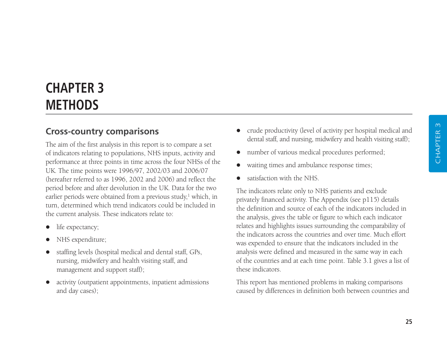# **CHAPTER 3 METHODS**

## **Cross-country comparisons**

The aim of the first analysis in this report is to compare a set of indicators relating to populations, NHS inputs, activity and performance at three points in time across the four NHSs of the UK. The time points were 1996/97, 2002/03 and 2006/07 (hereafter referred to as 1996, 2002 and 2006) and reflect the period before and after devolution in the UK. Data for the two earlier periods were obtained from a previous study, $1$  which, in turn, determined which trend indicators could be included in the current analysis. These indicators relate to:

- $\bullet$ life expectancy;
- $\bullet$ NHS expenditure;
- $\bullet$  staffing levels (hospital medical and dental staff, GPs, nursing, midwifery and health visiting staff, and management and support staff);
- $\bullet$  activity (outpatient appointments, inpatient admissions and day cases);
- crude productivity (level of activity per hospital medical and dental staff, and nursing, midwifery and health visiting staff);
- $\bullet$ number of various medical procedures performed;
- $\bullet$ waiting times and ambulance response times;
- $\bullet$ satisfaction with the NHS.

The indicators relate only to NHS patients and exclude privately financed activity. The Appendix (see p115) details the definition and source of each of the indicators included in the analysis, gives the table or figure to which each indicator relates and highlights issues surrounding the comparability of the indicators across the countries and over time. Much effort was expended to ensure that the indicators included in the analysis were defined and measured in the same way in each of the countries and at each time point. Table 3.1 gives a list of these indicators.

This report has mentioned problems in making comparisons caused by differences in definition both between countries and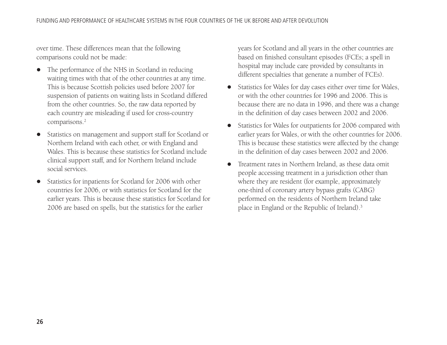over time. These differences mean that the following comparisons could not be made:

- $\bullet$  The performance of the NHS in Scotland in reducing waiting times with that of the other countries at any time. This is because Scottish policies used before 2007 for suspension of patients on waiting lists in Scotland differed from the other countries. So, the raw data reported by each country are misleading if used for cross-country comparisons.<sup>2</sup>
- $\bullet$  Statistics on management and support staff for Scotland or Northern Ireland with each other, or with England and Wales. This is because these statistics for Scotland include clinical support staff, and for Northern Ireland include social services.
- $\bullet$  Statistics for inpatients for Scotland for 2006 with other countries for 2006, or with statistics for Scotland for the earlier years. This is because these statistics for Scotland for 2006 are based on spells, but the statistics for the earlier

years for Scotland and all years in the other countries are based on finished consultant episodes (FCEs; a spell in hospital may include care provided by consultants in different specialties that generate a number of FCEs).

- $\bullet$  Statistics for Wales for day cases either over time for Wales, or with the other countries for 1996 and 2006. This is because there are no data in 1996, and there was a change in the definition of day cases between 2002 and 2006.
- $\bullet$  Statistics for Wales for outpatients for 2006 compared with earlier years for Wales, or with the other countries for 2006. This is because these statistics were affected by the change in the definition of day cases between 2002 and 2006.
- $\bullet$  Treatment rates in Northern Ireland, as these data omit people accessing treatment in a jurisdiction other than where they are resident (for example, approximately one-third of coronary artery bypass grafts (CABG) performed on the residents of Northern Ireland take place in England or the Republic of Ireland).3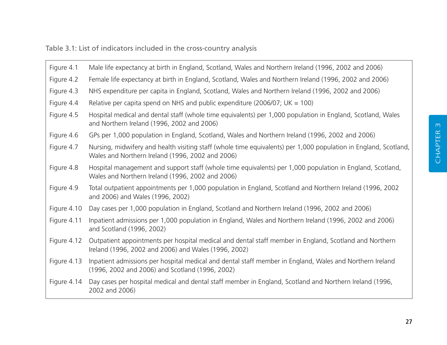Table 3.1: List of indicators included in the cross-country analysis

| Figure 4.1  | Male life expectancy at birth in England, Scotland, Wales and Northern Ireland (1996, 2002 and 2006)                                                                 |
|-------------|----------------------------------------------------------------------------------------------------------------------------------------------------------------------|
| Figure 4.2  | Female life expectancy at birth in England, Scotland, Wales and Northern Ireland (1996, 2002 and 2006)                                                               |
| Figure 4.3  | NHS expenditure per capita in England, Scotland, Wales and Northern Ireland (1996, 2002 and 2006)                                                                    |
| Figure 4.4  | Relative per capita spend on NHS and public expenditure (2006/07; $UK = 100$ )                                                                                       |
| Figure 4.5  | Hospital medical and dental staff (whole time equivalents) per 1,000 population in England, Scotland, Wales<br>and Northern Ireland (1996, 2002 and 2006)            |
| Figure 4.6  | GPs per 1,000 population in England, Scotland, Wales and Northern Ireland (1996, 2002 and 2006)                                                                      |
| Figure 4.7  | Nursing, midwifery and health visiting staff (whole time equivalents) per 1,000 population in England, Scotland,<br>Wales and Northern Ireland (1996, 2002 and 2006) |
| Figure 4.8  | Hospital management and support staff (whole time equivalents) per 1,000 population in England, Scotland,<br>Wales and Northern Ireland (1996, 2002 and 2006)        |
| Figure 4.9  | Total outpatient appointments per 1,000 population in England, Scotland and Northern Ireland (1996, 2002)<br>and 2006) and Wales (1996, 2002)                        |
| Figure 4.10 | Day cases per 1,000 population in England, Scotland and Northern Ireland (1996, 2002 and 2006)                                                                       |
| Figure 4.11 | Inpatient admissions per 1,000 population in England, Wales and Northern Ireland (1996, 2002 and 2006)<br>and Scotland (1996, 2002)                                  |
| Figure 4.12 | Outpatient appointments per hospital medical and dental staff member in England, Scotland and Northern<br>Ireland (1996, 2002 and 2006) and Wales (1996, 2002)       |
| Figure 4.13 | Inpatient admissions per hospital medical and dental staff member in England, Wales and Northern Ireland<br>(1996, 2002 and 2006) and Scotland (1996, 2002)          |
| Figure 4.14 | Day cases per hospital medical and dental staff member in England, Scotland and Northern Ireland (1996,<br>2002 and 2006)                                            |
|             |                                                                                                                                                                      |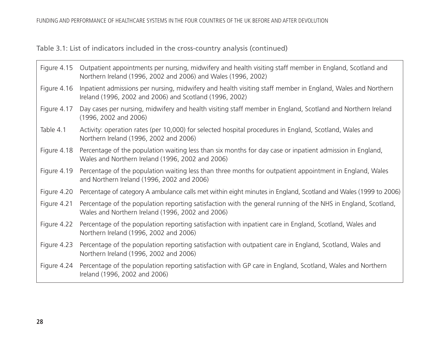Table 3.1: List of indicators included in the cross-country analysis (continued)

| Figure 4.15 | Outpatient appointments per nursing, midwifery and health visiting staff member in England, Scotland and<br>Northern Ireland (1996, 2002 and 2006) and Wales (1996, 2002) |
|-------------|---------------------------------------------------------------------------------------------------------------------------------------------------------------------------|
| Figure 4.16 | Inpatient admissions per nursing, midwifery and health visiting staff member in England, Wales and Northern<br>Ireland (1996, 2002 and 2006) and Scotland (1996, 2002)    |
| Figure 4.17 | Day cases per nursing, midwifery and health visiting staff member in England, Scotland and Northern Ireland<br>(1996, 2002 and 2006)                                      |
| Table 4.1   | Activity: operation rates (per 10,000) for selected hospital procedures in England, Scotland, Wales and<br>Northern Ireland (1996, 2002 and 2006)                         |
| Figure 4.18 | Percentage of the population waiting less than six months for day case or inpatient admission in England,<br>Wales and Northern Ireland (1996, 2002 and 2006)             |
| Figure 4.19 | Percentage of the population waiting less than three months for outpatient appointment in England, Wales<br>and Northern Ireland (1996, 2002 and 2006)                    |
| Figure 4.20 | Percentage of category A ambulance calls met within eight minutes in England, Scotland and Wales (1999 to 2006)                                                           |
| Figure 4.21 | Percentage of the population reporting satisfaction with the general running of the NHS in England, Scotland,<br>Wales and Northern Ireland (1996, 2002 and 2006)         |
| Figure 4.22 | Percentage of the population reporting satisfaction with inpatient care in England, Scotland, Wales and<br>Northern Ireland (1996, 2002 and 2006)                         |
| Figure 4.23 | Percentage of the population reporting satisfaction with outpatient care in England, Scotland, Wales and<br>Northern Ireland (1996, 2002 and 2006)                        |
| Figure 4.24 | Percentage of the population reporting satisfaction with GP care in England, Scotland, Wales and Northern<br>Ireland (1996, 2002 and 2006)                                |

 $\Box$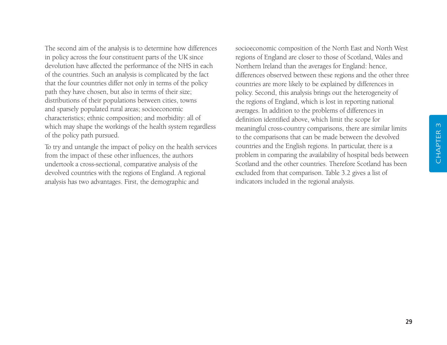The second aim of the analysis is to determine how differences in policy across the four constituent parts of the UK since devolution have affected the performance of the NHS in each of the countries. Such an analysis is complicated by the fact that the four countries differ not only in terms of the policy path they have chosen, but also in terms of their size; distributions of their populations between cities, towns and sparsely populated rural areas; socioeconomic characteristics; ethnic composition; and morbidity: all of which may shape the workings of the health system regardless of the policy path pursued.

To try and untangle the impact of policy on the health services from the impact of these other influences, the authors undertook a cross-sectional, comparative analysis of the devolved countries with the regions of England. A regional analysis has two advantages. First, the demographic and

socioeconomic composition of the North East and North West regions of England are closer to those of Scotland, Wales and Northern Ireland than the averages for England: hence, differences observed between these regions and the other three countries are more likely to be explained by differences in policy. Second, this analysis brings out the heterogeneity of the regions of England, which is lost in reporting national averages. In addition to the problems of differences in definition identified above, which limit the scope for meaningful cross-country comparisons, there are similar limits to the comparisons that can be made between the devolved countries and the English regions. In particular, there is a problem in comparing the availability of hospital beds between Scotland and the other countries. Therefore Scotland has been excluded from that comparison. Table 3.2 gives a list of indicators included in the regional analysis.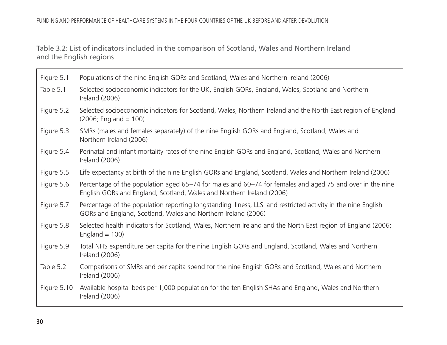Table 3.2: List of indicators included in the comparison of Scotland, Wales and Northern Ireland and the English regions

| Figure 5.1 Populations of the nine English GORs and Scotland, Wales and Northern Ireland (2006)                                                                                                                                |  |
|--------------------------------------------------------------------------------------------------------------------------------------------------------------------------------------------------------------------------------|--|
| The a claim in the state of dimensional product in the distribution of the state of the state of the state of the state of the state of the state of the state of the state of the state of the state of the state of the stat |  |

- Table 5.1 Selected socioeconomic indicators for the UK, English GORs, England, Wales, Scotland and Northern Ireland (2006)
- Figure 5.2 Selected socioeconomic indicators for Scotland, Wales, Northern Ireland and the North East region of England  $(2006;$  England = 100)
- Figure 5.3 SMRs (males and females separately) of the nine English GORs and England, Scotland, Wales and Northern Ireland (2006)
- Figure 5.4 Perinatal and infant mortality rates of the nine English GORs and England, Scotland, Wales and Northern Ireland (2006)
- Figure 5.5 Life expectancy at birth of the nine English GORs and England, Scotland, Wales and Northern Ireland (2006)
- Figure 5.6 Percentage of the population aged 65–74 for males and 60–74 for females and aged 75 and over in the nine English GORs and England, Scotland, Wales and Northern Ireland (2006)
- Figure 5.7 Percentage of the population reporting longstanding illness, LLSI and restricted activity in the nine English GORs and England, Scotland, Wales and Northern Ireland (2006)
- Figure 5.8 Selected health indicators for Scotland, Wales, Northern Ireland and the North East region of England (2006;  $England = 100$
- Figure 5.9 Total NHS expenditure per capita for the nine English GORs and England, Scotland, Wales and Northern Ireland (2006)
- Table 5.2 Comparisons of SMRs and per capita spend for the nine English GORs and Scotland, Wales and Northern Ireland (2006)
- Figure 5.10 Available hospital beds per 1,000 population for the ten English SHAs and England, Wales and Northern Ireland (2006)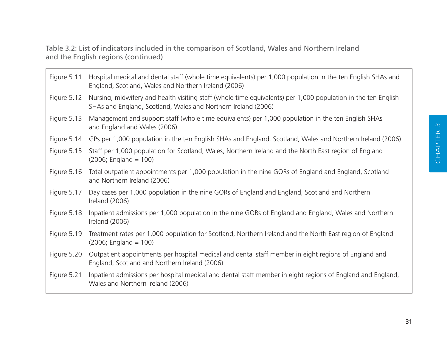Table 3.2: List of indicators included in the comparison of Scotland, Wales and Northern Ireland and the English regions (continued)

Figure 5.11 Hospital medical and dental staff (whole time equivalents) per 1,000 population in the ten English SHAs and England, Scotland, Wales and Northern Ireland (2006) Figure 5.12 Nursing, midwifery and health visiting staff (whole time equivalents) per 1,000 population in the ten English SHAs and England, Scotland, Wales and Northern Ireland (2006) Figure 5.13 Management and support staff (whole time equivalents) per 1,000 population in the ten English SHAs and England and Wales (2006) Figure 5.14 GPs per 1,000 population in the ten English SHAs and England, Scotland, Wales and Northern Ireland (2006) Figure 5.15 Staff per 1,000 population for Scotland, Wales, Northern Ireland and the North East region of England  $(2006;$  England = 100) Figure 5.16 Total outpatient appointments per 1,000 population in the nine GORs of England and England, Scotland and Northern Ireland (2006) Figure 5.17 Day cases per 1,000 population in the nine GORs of England and England, Scotland and Northern Ireland (2006) Figure 5.18 Inpatient admissions per 1,000 population in the nine GORs of England and England, Wales and Northern Ireland (2006) Figure 5.19 Treatment rates per 1,000 population for Scotland, Northern Ireland and the North East region of England  $(2006;$  England = 100) Figure 5.20 Outpatient appointments per hospital medical and dental staff member in eight regions of England and England, Scotland and Northern Ireland (2006) Figure 5.21 Inpatient admissions per hospital medical and dental staff member in eight regions of England and England, Wales and Northern Ireland (2006)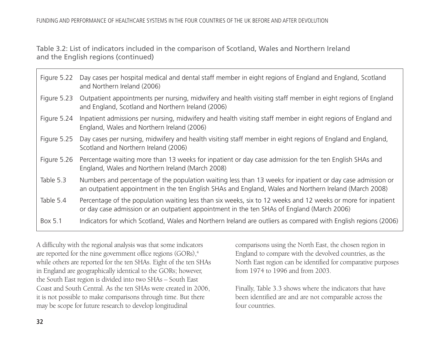Table 3.2: List of indicators included in the comparison of Scotland, Wales and Northern Ireland and the English regions (continued)

| Figure 5.22 | Day cases per hospital medical and dental staff member in eight regions of England and England, Scotland<br>and Northern Ireland (2006)                                                                              |
|-------------|----------------------------------------------------------------------------------------------------------------------------------------------------------------------------------------------------------------------|
| Figure 5.23 | Outpatient appointments per nursing, midwifery and health visiting staff member in eight regions of England<br>and England, Scotland and Northern Ireland (2006)                                                     |
| Figure 5.24 | Inpatient admissions per nursing, midwifery and health visiting staff member in eight regions of England and<br>England, Wales and Northern Ireland (2006)                                                           |
| Figure 5.25 | Day cases per nursing, midwifery and health visiting staff member in eight regions of England and England,<br>Scotland and Northern Ireland (2006)                                                                   |
| Figure 5.26 | Percentage waiting more than 13 weeks for inpatient or day case admission for the ten English SHAs and<br>England, Wales and Northern Ireland (March 2008)                                                           |
| Table 5.3   | Numbers and percentage of the population waiting less than 13 weeks for inpatient or day case admission or<br>an outpatient appointment in the ten English SHAs and England, Wales and Northern Ireland (March 2008) |
| Table 5.4   | Percentage of the population waiting less than six weeks, six to 12 weeks and 12 weeks or more for inpatient<br>or day case admission or an outpatient appointment in the ten SHAs of England (March 2006)           |
| Box 5.1     | Indicators for which Scotland, Wales and Northern Ireland are outliers as compared with English regions (2006)                                                                                                       |

A difficulty with the regional analysis was that some indicators are reported for the nine government office regions (GORs),<sup>4</sup> while others are reported for the ten SHAs. Eight of the ten SHAs in England are geographically identical to the GORs; however, the South East region is divided into two SHAs – South East Coast and South Central. As the ten SHAs were created in 2006, it is not possible to make comparisons through time. But there may be scope for future research to develop longitudinal

comparisons using the North East, the chosen region in England to compare with the devolved countries, as the North East region can be identified for comparative purposes from 1974 to 1996 and from 2003.

Finally, Table 3.3 shows where the indicators that have been identified are and are not comparable across the four countries.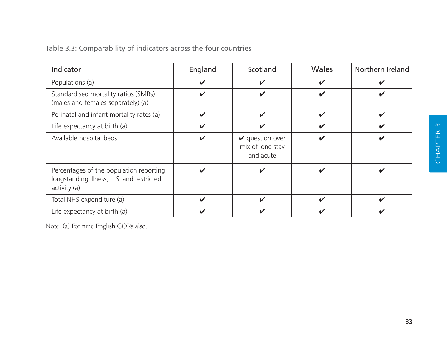| Table 3.3: Comparability of indicators across the four countries |  |  |  |  |  |  |
|------------------------------------------------------------------|--|--|--|--|--|--|
|------------------------------------------------------------------|--|--|--|--|--|--|

| Indicator                                                                                            | England | Scotland                                                   | Wales                      | Northern Ireland |
|------------------------------------------------------------------------------------------------------|---------|------------------------------------------------------------|----------------------------|------------------|
| Populations (a)                                                                                      | ✔       |                                                            | V                          | V                |
| Standardised mortality ratios (SMRs)<br>(males and females separately) (a)                           | ✔       | ✔                                                          | ✔                          | V                |
| Perinatal and infant mortality rates (a)                                                             | ✓       | $\boldsymbol{\nu}$                                         | $\boldsymbol{\mathcal{U}}$ | $\checkmark$     |
| Life expectancy at birth (a)                                                                         | ✓       | ✔                                                          | $\boldsymbol{\mathcal{U}}$ | $\checkmark$     |
| Available hospital beds                                                                              |         | $\mathbf v$ question over<br>mix of long stay<br>and acute | ✔                          | V                |
| Percentages of the population reporting<br>longstanding illness, LLSI and restricted<br>activity (a) | ✔       |                                                            |                            | V                |
| Total NHS expenditure (a)                                                                            | ✔       | ✔                                                          | $\checkmark$               | $\checkmark$     |
| Life expectancy at birth (a)                                                                         |         |                                                            |                            |                  |

Note: (a) For nine English GORs also.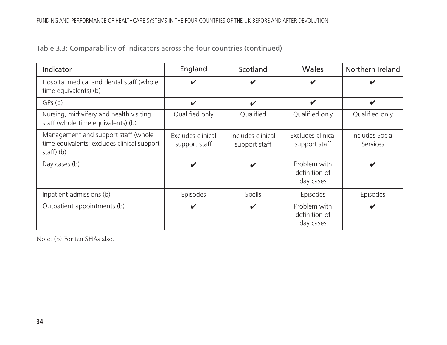Table 3.3: Comparability of indicators across the four countries (continued)

| Indicator                                                                                     | England                            | Scotland                           | <b>Wales</b>                               | Northern Ireland            |
|-----------------------------------------------------------------------------------------------|------------------------------------|------------------------------------|--------------------------------------------|-----------------------------|
| Hospital medical and dental staff (whole<br>time equivalents) (b)                             | ✔                                  | V                                  | ✔                                          | ✔                           |
| GPs(b)                                                                                        | $\boldsymbol{\mathcal{U}}$         | $\boldsymbol{\mathcal{U}}$         | $\checkmark$                               | $\checkmark$                |
| Nursing, midwifery and health visiting<br>staff (whole time equivalents) (b)                  | Qualified only                     | Qualified                          | Qualified only                             | Qualified only              |
| Management and support staff (whole<br>time equivalents; excludes clinical support<br>stat(b) | Excludes clinical<br>support staff | Includes clinical<br>support staff | Excludes clinical<br>support staff         | Includes Social<br>Services |
| Day cases (b)                                                                                 | ✔                                  | V                                  | Problem with<br>definition of<br>day cases | $\checkmark$                |
| Inpatient admissions (b)                                                                      | Episodes                           | Spells                             | Episodes                                   | Episodes                    |
| Outpatient appointments (b)                                                                   | ✔                                  | ✔                                  | Problem with<br>definition of<br>day cases | $\checkmark$                |

Note: (b) For ten SHAs also.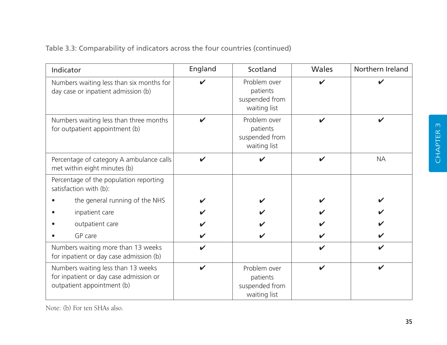| Indicator                                                                                                  | England | Scotland                                                   | Wales                      | Northern Ireland |
|------------------------------------------------------------------------------------------------------------|---------|------------------------------------------------------------|----------------------------|------------------|
| Numbers waiting less than six months for<br>day case or inpatient admission (b)                            |         | Problem over<br>patients<br>suspended from<br>waiting list |                            |                  |
| Numbers waiting less than three months<br>for outpatient appointment (b)                                   |         | Problem over<br>patients<br>suspended from<br>waiting list | $\boldsymbol{\mathcal{U}}$ |                  |
| Percentage of category A ambulance calls<br>met within eight minutes (b)                                   | ✔       |                                                            | V                          | <b>NA</b>        |
| Percentage of the population reporting<br>satisfaction with (b):                                           |         |                                                            |                            |                  |
| the general running of the NHS                                                                             |         |                                                            |                            |                  |
| inpatient care                                                                                             |         |                                                            |                            |                  |
| outpatient care                                                                                            |         |                                                            |                            |                  |
| GP care                                                                                                    |         |                                                            |                            |                  |
| Numbers waiting more than 13 weeks<br>for inpatient or day case admission (b)                              |         |                                                            | $\boldsymbol{\nu}$         | ✔                |
| Numbers waiting less than 13 weeks<br>for inpatient or day case admission or<br>outpatient appointment (b) | ✔       | Problem over<br>patients<br>suspended from<br>waiting list | $\boldsymbol{\nu}$         | ✔                |

Note: (b) For ten SHAs also.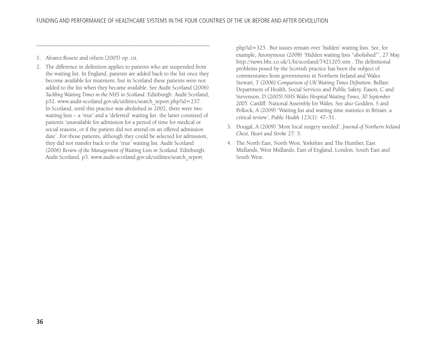- 1. Alvarez-Rosete and others (2005) op. cit.
- 2. The difference in definition applies to patients who are suspended from the waiting list. In England, patients are added back to the list once they become available for treatment, but in Scotland these patients were not added to the list when they became available. See Audit Scotland (2006) *Tackling Waiting Times in the NHS in Scotland*. Edinburgh: Audit Scotland, p52. www.audit-scotland.gov.uk/utilities/search\_report.php?id=237 . In Scotland, until this practice was abolished in 2002, there were two waiting lists – a 'true' and a 'deferred' waiting list: the latter consisted of patients 'unavailable for admission for a period of time for medical or social reasons, or if the patient did not attend on an offered admission date'. For those patients, although they could be selected for admission, they did not transfer back to the 'true' waiting list. Audit Scotland (2006) *Review of the Management of Waiting Lists in Scotland*. Edinburgh: Audit Scotland, p3. www.audit-scotland.gov.uk/utilities/search\_report.

–––––––––––––––––––––––––––––––––––––––––––––––––

php?id=325 . But issues remain over 'hidden' waiting lists. See, for example, Anonymous (2008) 'Hidden waiting lists "abolished"', 27 May. http://news.bbc.co.uk/1/hi/scotland/7421205.stm . The definitional problems posed by the Scottish practice has been the subject of commentaries from governments in Northern Ireland and Wales. Stewart, T (2006) *Comparison of UK Waiting Times Definition.* Belfast: Department of Health, Social Services and Public Safety. Eason, C and Stevenson, D (2005) *NHS Wales Hospital Waiting Times, 30 September 2005.* Cardiff: National Assembly for Wales. See also Godden, S and Pollock, A (2009) 'Waiting list and waiting time statistics in Britain: a critical review', *Public Health* 123(1): 47–51.

- 3. Dougal, A (2009) 'More local surgery needed', *Journal of Northern Ireland Chest, Heart and Stroke* 27: 3.
- 4. The North East, North West, Yorkshire and The Humber, East Midlands, West Midlands, East of England, London, South East and South West.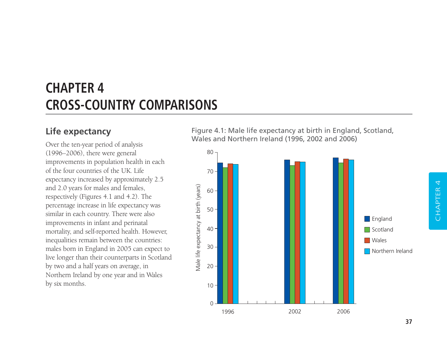# **CHAPTER 4 CROSS-COUNTRY COMPARISONS**

## **Life expectancy**

Over the ten-year period of analysis (1996–2006), there were general improvements in population health in each of the four countries of the UK. Life expectancy increased by approximately 2.5 and 2.0 years for males and females, respectively (Figures 4.1 and 4.2). The percentage increase in life expectancy was similar in each country. There were also improvements in infant and perinatal mortality, and self-reported health. However, inequalities remain between the countries: males born in England in 2005 can expect to live longer than their counterparts in Scotland by two and a half years on average, in Northern Ireland by one year and in Wales by six months.

Figure 4.1: Male life expectancy at birth in England, Scotland, Wales and Northern Ireland (1996, 2002 and 2006)

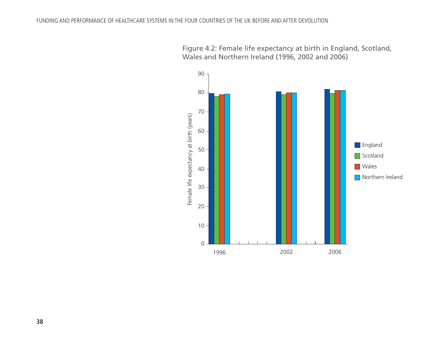

Figure 4.2: Female life expectancy at birth in England, Scotland, Wales and Northern Ireland (1996, 2002 and 2006)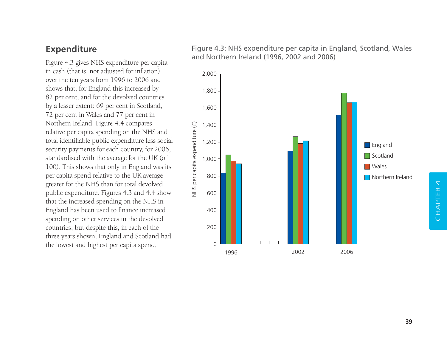### **Expenditure**

Figure 4.3 gives NHS expenditure per capita in cash (that is, not adjusted for inflation) over the ten years from 1996 to 2006 and shows that, for England this increased by 82 per cent, and for the devolved countries by a lesser extent: 69 per cent in Scotland, 72 per cent in Wales and 77 per cent in Northern Ireland. Figure 4.4 compares relative per capita spending on the NHS and total identifiable public expenditure less social security payments for each country, for 2006, standardised with the average for the UK (of 100). This shows that only in England was its per capita spend relative to the UK average greater for the NHS than for total devolved public expenditure. Figures 4.3 and 4.4 show that the increased spending on the NHS in England has been used to finance increased spending on other services in the devolved countries; but despite this, in each of the three years shown, England and Scotland had the lowest and highest per capita spend,

Figure 4.3: NHS expenditure per capita in England, Scotland, Wales and Northern Ireland (1996, 2002 and 2006)

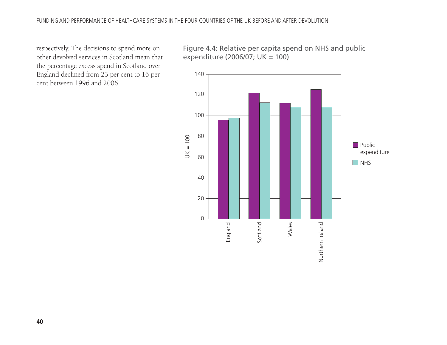respectively. The decisions to spend more on other devolved services in Scotland mean that the percentage excess spend in Scotland over England declined from 23 per cent to 16 per cent between 1996 and 2006.

Figure 4.4: Relative per capita spend on NHS and public expenditure (2006/07; UK = 100)

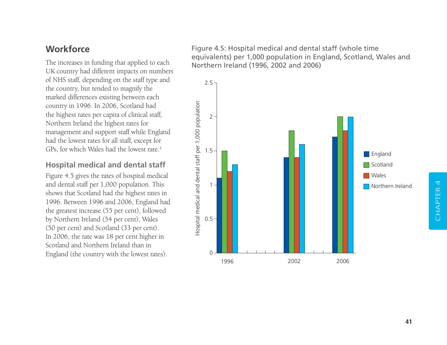## **Workforce**

The increases in funding that applied to each UK country had different impacts on numbers of NHS staff, depending on the staff type and the country, but tended to magnify the marked differences existing between each country in 1996. In 2006, Scotland had the highest rates per capita of clinical staff, Northern Ireland the highest rates for management and support staff while England had the lowest rates for all staff, except for GPs, for which Wales had the lowest rate.1

#### **Hospital medical and dental staff**

Figure 4.5 gives the rates of hospital medical and dental staff per 1,000 population. This shows that Scotland had the highest rates in 1996. Between 1996 and 2006, England had the greatest increase (55 per cent), followed by Northern Ireland (54 per cent), Wales (50 per cent) and Scotland (33 per cent). In 2006, the rate was 18 per cent higher in Scotland and Northern Ireland than in England (the country with the lowest rates).

Figure 4.5: Hospital medical and dental staff (whole time equivalents) per 1,000 population in England, Scotland, Wales and Northern Ireland (1996, 2002 and 2006)

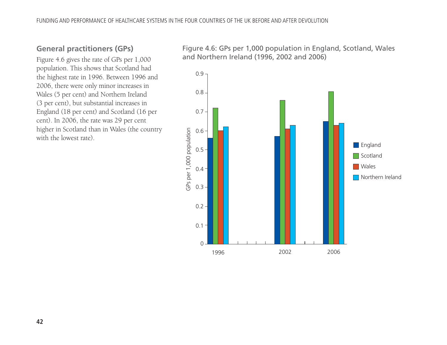#### **General practitioners (GPs)**

Figure 4.6 gives the rate of GPs per 1,000 population. This shows that Scotland had the highest rate in 1996. Between 1996 and 2006, there were only minor increases in Wales (5 per cent) and Northern Ireland (3 per cent), but substantial increases in England (18 per cent) and Scotland (16 per cent). In 2006, the rate was 29 per cent higher in Scotland than in Wales (the country with the lowest rate).

Figure 4.6: GPs per 1,000 population in England, Scotland, Wales and Northern Ireland (1996, 2002 and 2006)

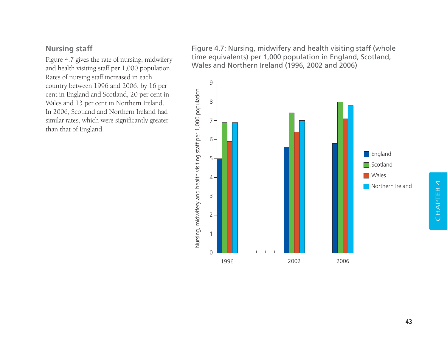#### **Nursing staff**

Figure 4.7 gives the rate of nursing, midwifery and health visiting staff per 1,000 population. Rates of nursing staff increased in each country between 1996 and 2006, by 16 per cent in England and Scotland, 20 per cent in Wales and 13 per cent in Northern Ireland. In 2006, Scotland and Northern Ireland had similar rates, which were significantly greater than that of England.

Figure 4.7: Nursing, midwifery and health visiting staff (whole time equivalents) per 1,000 population in England, Scotland, Wales and Northern Ireland (1996, 2002 and 2006)

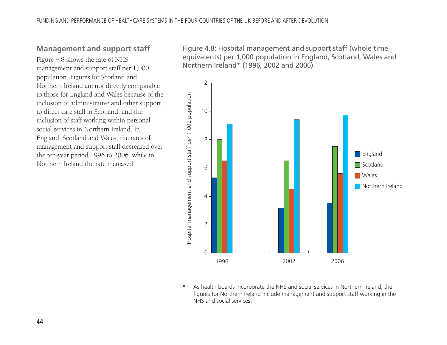#### **Management and support staff**

Figure 4.8 shows the rate of NHS management and support staff per 1,000 population. Figures for Scotland and Northern Ireland are not directly comparable to those for England and Wales because of the inclusion of administrative and other support to direct care staff in Scotland, and the inclusion of staff working within personal social services in Northern Ireland. In England, Scotland and Wales, the rates of management and support staff decreased over the ten-year period 1996 to 2006, while in Northern Ireland the rate increased.

Figure 4.8: Hospital management and support staff (whole time equivalents) per 1,000 population in England, Scotland, Wales and Northern Ireland\* (1996, 2002 and 2006)



As health boards incorporate the NHS and social services in Northern Ireland, the figures for Northern Ireland include management and support staff working in the NHS and social services.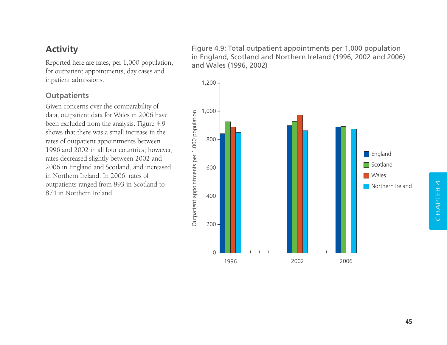## **Activity**

Reported here are rates, per 1,000 population, for outpatient appointments, day cases and inpatient admissions.

#### **Outpatients**

Given concerns over the comparability of data, outpatient data for Wales in 2006 have been excluded from the analysis. Figure 4.9 shows that there was a small increase in the rates of outpatient appointments between 1996 and 2002 in all four countries; however, rates decreased slightly between 2002 and 2006 in England and Scotland, and increased in Northern Ireland. In 2006, rates of outpatients ranged from 893 in Scotland to 874 in Northern Ireland.

Figure 4.9: Total outpatient appointments per 1,000 population in England, Scotland and Northern Ireland (1996, 2002 and 2006) and Wales (1996, 2002)

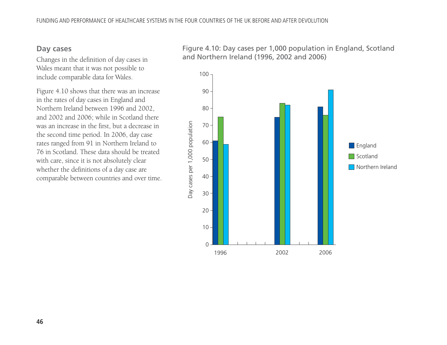#### **Day cases**

Changes in the definition of day cases in Wales meant that it was not possible to include comparable data for Wales.

Figure 4.10 shows that there was an increase in the rates of day cases in England and Northern Ireland between 1996 and 2002, and 2002 and 2006; while in Scotland there was an increase in the first, but a decrease in the second time period. In 2006, day case rates ranged from 91 in Northern Ireland to 76 in Scotland. These data should be treated with care, since it is not absolutely clear whether the definitions of a day case are comparable between countries and over time. Figure 4.10: Day cases per 1,000 population in England, Scotland and Northern Ireland (1996, 2002 and 2006)

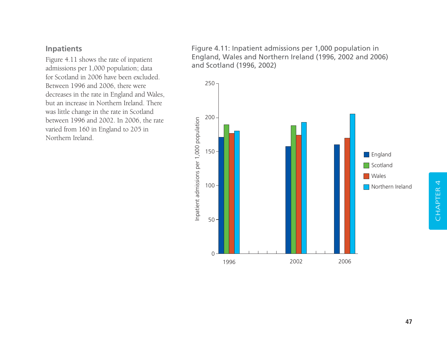#### **Inpatients**

Figure 4.11 shows the rate of inpatient admissions per 1,000 population; data for Scotland in 2006 have been excluded. Between 1996 and 2006, there were decreases in the rate in England and Wales, but an increase in Northern Ireland. There was little change in the rate in Scotland between 1996 and 2002. In 2006, the rate varied from 160 in England to 205 in Northern Ireland.

Figure 4.11: Inpatient admissions per 1,000 population in England, Wales and Northern Ireland (1996, 2002 and 2006) and Scotland (1996, 2002)

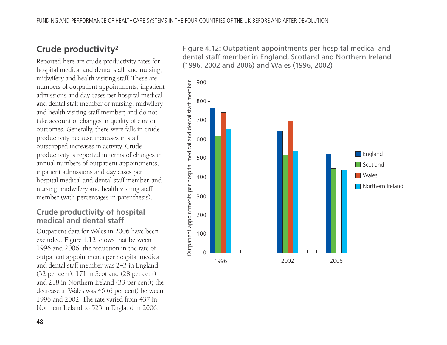# **Crude productivity2**

Reported here are crude productivity rates for hospital medical and dental staff, and nursing, midwifery and health visiting staff. These are numbers of outpatient appointments, inpatient admissions and day cases per hospital medical and dental staff member or nursing, midwifery and health visiting staff member; and do not take account of changes in quality of care or outcomes. Generally, there were falls in crude productivity because increases in staff outstripped increases in activity. Crude productivity is reported in terms of changes in annual numbers of outpatient appointments, inpatient admissions and day cases per hospital medical and dental staff member, and nursing, midwifery and health visiting staff member (with percentages in parenthesis).

#### **Crude productivity of hospital medical and dental staff**

Outpatient data for Wales in 2006 have been excluded. Figure 4.12 shows that between 1996 and 2006, the reduction in the rate of outpatient appointments per hospital medical and dental staff member was 243 in England (32 per cent), 171 in Scotland (28 per cent) and 218 in Northern Ireland (33 per cent); the decrease in Wales was 46 (6 per cent) between 1996 and 2002. The rate varied from 437 in Northern Ireland to 523 in England in 2006.

Figure 4.12: Outpatient appointments per hospital medical and dental staff member in England, Scotland and Northern Ireland (1996, 2002 and 2006) and Wales (1996, 2002)

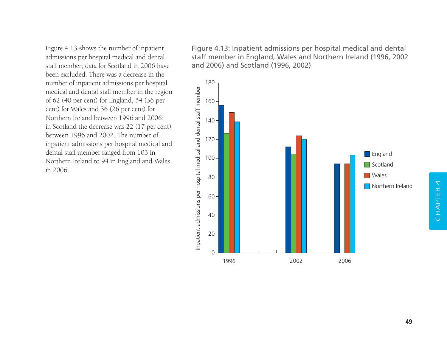Figure 4.13 shows the number of inpatient admissions per hospital medical and dental staff member; data for Scotland in 2006 have been excluded. There was a decrease in the number of inpatient admissions per hospital medical and dental staff member in the region of 62 (40 per cent) for England, 54 (36 per cent) for Wales and 36 (26 per cent) for Northern Ireland between 1996 and 2006; in Scotland the decrease was 22 (17 per cent) between 1996 and 2002. The number of inpatient admissions per hospital medical and dental staff member ranged from 103 in Northern Ireland to 94 in England and Wales in 2006.

Figure 4.13: Inpatient admissions per hospital medical and dental staff member in England, Wales and Northern Ireland (1996, 2002 and 2006) and Scotland (1996, 2002)

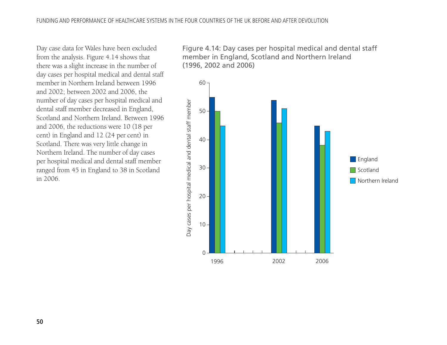Day case data for Wales have been excluded from the analysis. Figure 4.14 shows that there was a slight increase in the number of day cases per hospital medical and dental staff member in Northern Ireland between 1996 and 2002; between 2002 and 2006, the number of day cases per hospital medical and dental staff member decreased in England, Scotland and Northern Ireland. Between 1996 and 2006, the reductions were 10 (18 per cent) in England and 12 (24 per cent) in Scotland. There was very little change in Northern Ireland. The number of day cases per hospital medical and dental staff member ranged from 45 in England to 38 in Scotland in 2006.

Figure 4.14: Day cases per hospital medical and dental staff member in England, Scotland and Northern Ireland (1996, 2002 and 2006)

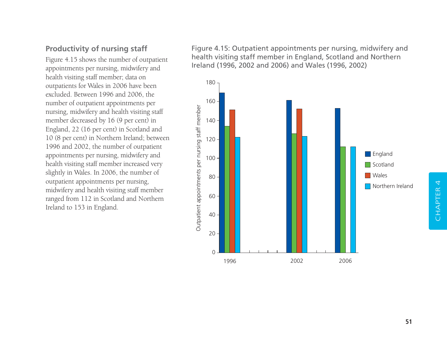### **Productivity of nursing staff**

Figure 4.15 shows the number of outpatient appointments per nursing, midwifery and health visiting staff member; data on outpatients for Wales in 2006 have been excluded. Between 1996 and 2006, the number of outpatient appointments per nursing, midwifery and health visiting staff member decreased by 16 (9 per cent) in England, 22 (16 per cent) in Scotland and 10 (8 per cent) in Northern Ireland; between 1996 and 2002, the number of outpatient appointments per nursing, midwifery and health visiting staff member increased very slightly in Wales. In 2006, the number of outpatient appointments per nursing, midwifery and health visiting staff member ranged from 112 in Scotland and Northern Ireland to 153 in England.

Figure 4.15: Outpatient appointments per nursing, midwifery and health visiting staff member in England, Scotland and Northern Ireland (1996, 2002 and 2006) and Wales (1996, 2002)

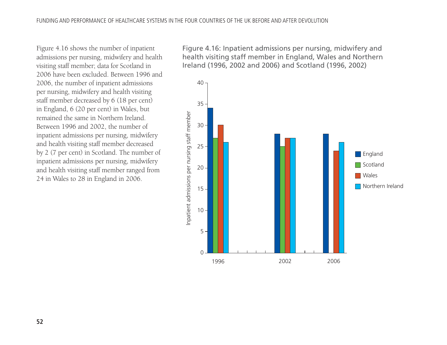Figure 4.16 shows the number of inpatient admissions per nursing, midwifery and health visiting staff member; data for Scotland in 2006 have been excluded. Between 1996 and 2006, the number of inpatient admissions per nursing, midwifery and health visiting staff member decreased by 6 (18 per cent) in England, 6 (20 per cent) in Wales, but remained the same in Northern Ireland. Between 1996 and 2002, the number of inpatient admissions per nursing, midwifery and health visiting staff member decreased by 2 (7 per cent) in Scotland. The number of inpatient admissions per nursing, midwifery and health visiting staff member ranged from 24 in Wales to 28 in England in 2006.

Figure 4.16: Inpatient admissions per nursing, midwifery and health visiting staff member in England, Wales and Northern Ireland (1996, 2002 and 2006) and Scotland (1996, 2002)

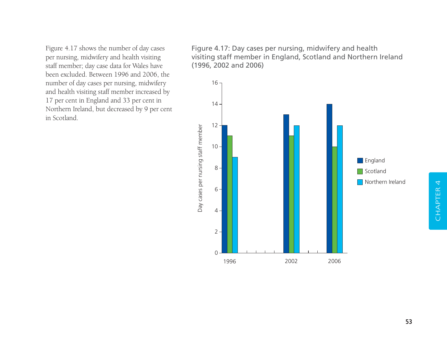Figure 4.17 shows the number of day cases per nursing, midwifery and health visiting staff member; day case data for Wales have been excluded. Between 1996 and 2006, the number of day cases per nursing, midwifery and health visiting staff member increased by 17 per cent in England and 33 per cent in Northern Ireland, but decreased by 9 per cent in Scotland.

Figure 4.17: Day cases per nursing, midwifery and health visiting staff member in England, Scotland and Northern Ireland (1996, 2002 and 2006)

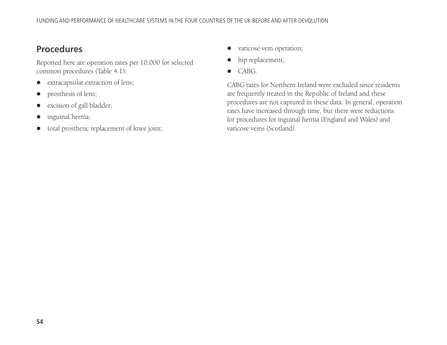## **Procedures**

Reported here are operation rates per 10,000 for selected common procedures (Table 4.1):

- $\bullet$ extracapsular extraction of lens;
- $\bullet$ prosthesis of lens;
- $\bullet$ excision of gall bladder;
- $\bullet$ inguinal hernia;
- $\bullet$ total prosthetic replacement of knee joint;
- $\bullet$  varicose vein operation;
- $\bullet$ hip replacement;
- CABG.

CABG rates for Northern Ireland were excluded since residents are frequently treated in the Republic of Ireland and these procedures are not captured in these data. In general, operation rates have increased through time, but there were reductions for procedures for inguinal hernia (England and Wales) and varicose veins (Scotland).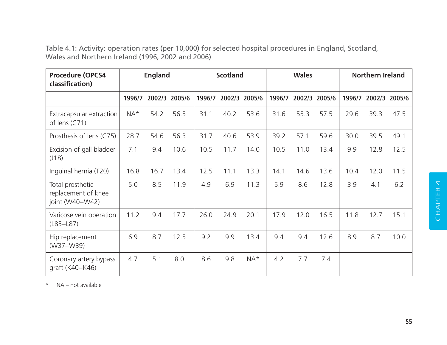Table 4.1: Activity: operation rates (per 10,000) for selected hospital procedures in England, Scotland, Wales and Northern Ireland (1996, 2002 and 2006)

| <b>Procedure (OPCS4</b><br>classification)                 | <b>England</b> |      | <b>Scotland</b> |        | <b>Wales</b> |        | <b>Northern Ireland</b> |        |        |        |        |        |
|------------------------------------------------------------|----------------|------|-----------------|--------|--------------|--------|-------------------------|--------|--------|--------|--------|--------|
|                                                            | 1996/7         |      | 2002/3 2005/6   | 1996/7 | 2002/3       | 2005/6 | 1996/7                  | 2002/3 | 2005/6 | 1996/7 | 2002/3 | 2005/6 |
| Extracapsular extraction<br>of lens (C71)                  | NA*            | 54.2 | 56.5            | 31.1   | 40.2         | 53.6   | 31.6                    | 55.3   | 57.5   | 29.6   | 39.3   | 47.5   |
| Prosthesis of lens (C75)                                   | 28.7           | 54.6 | 56.3            | 31.7   | 40.6         | 53.9   | 39.2                    | 57.1   | 59.6   | 30.0   | 39.5   | 49.1   |
| Excision of gall bladder<br>(J18)                          | 7.1            | 9.4  | 10.6            | 10.5   | 11.7         | 14.0   | 10.5                    | 11.0   | 13.4   | 9.9    | 12.8   | 12.5   |
| Inguinal hernia (T20)                                      | 16.8           | 16.7 | 13.4            | 12.5   | 11.1         | 13.3   | 14.1                    | 14.6   | 13.6   | 10.4   | 12.0   | 11.5   |
| Total prosthetic<br>replacement of knee<br>joint (W40-W42) | 5.0            | 8.5  | 11.9            | 4.9    | 6.9          | 11.3   | 5.9                     | 8.6    | 12.8   | 3.9    | 4.1    | 6.2    |
| Varicose vein operation<br>$(L85-L87)$                     | 11.2           | 9.4  | 17.7            | 26.0   | 24.9         | 20.1   | 17.9                    | 12.0   | 16.5   | 11.8   | 12.7   | 15.1   |
| Hip replacement<br>(W37-W39)                               | 6.9            | 8.7  | 12.5            | 9.2    | 9.9          | 13.4   | 9.4                     | 9.4    | 12.6   | 8.9    | 8.7    | 10.0   |
| Coronary artery bypass<br>graft (K40-K46)                  | 4.7            | 5.1  | 8.0             | 8.6    | 9.8          | $NA*$  | 4.2                     | 7.7    | 7.4    |        |        |        |

\* NA – not available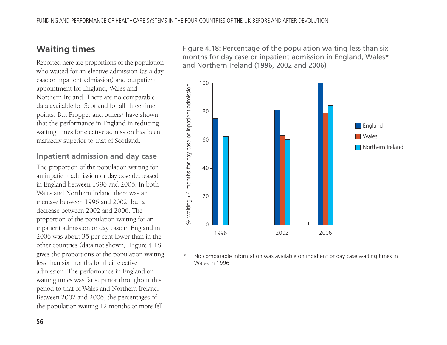# **Waiting times**

Reported here are proportions of the population who waited for an elective admission (as a day case or inpatient admission) and outpatient appointment for England, Wales and Northern Ireland. There are no comparable data available for Scotland for all three time points. But Propper and others<sup>3</sup> have shown that the performance in England in reducing waiting times for elective admission has been markedly superior to that of Scotland.

### **Inpatient admission and day case**

The proportion of the population waiting for an inpatient admission or day case decreased in England between 1996 and 2006. In both Wales and Northern Ireland there was an increase between 1996 and 2002, but a decrease between 2002 and 2006. The proportion of the population waiting for an inpatient admission or day case in England in 2006 was about 35 per cent lower than in the other countries (data not shown). Figure 4.18 gives the proportions of the population waiting less than six months for their elective admission. The performance in England on waiting times was far superior throughout this period to that of Wales and Northern Ireland. Between 2002 and 2006, the percentages of the population waiting 12 months or more fell

Figure 4.18: Percentage of the population waiting less than six months for day case or inpatient admission in England, Wales\* and Northern Ireland (1996, 2002 and 2006)



No comparable information was available on inpatient or day case waiting times in Wales in 1996.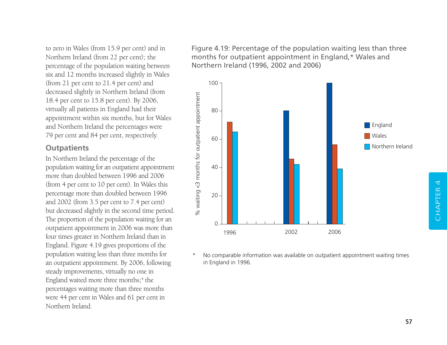to zero in Wales (from 15.9 per cent) and in Northern Ireland (from 22 per cent); the percentage of the population waiting between six and 12 months increased slightly in Wales (from 21 per cent to 21.4 per cent) and decreased slightly in Northern Ireland (from 18.4 per cent to 15.8 per cent). By 2006, virtually all patients in England had their appointment within six months, but for Wales and Northern Ireland the percentages were 79 per cent and 84 per cent, respectively.

### **Outpatients**

In Northern Ireland the percentage of the population waiting for an outpatient appointment more than doubled between 1996 and 2006 (from 4 per cent to 10 per cent). In Wales this percentage more than doubled between 1996 and 2002 (from 3.5 per cent to 7.4 per cent) but decreased slightly in the second time period. The proportion of the population waiting for an outpatient appointment in 2006 was more than four times greater in Northern Ireland than in England. Figure 4.19 gives proportions of the population waiting less than three months for an outpatient appointment. By 2006, following steady improvements, virtually no one in England waited more three months;<sup>4</sup> the percentages waiting more than three months were 44 per cent in Wales and 61 per cent in Northern Ireland.

Figure 4.19: Percentage of the population waiting less than three months for outpatient appointment in England,\* Wales and Northern Ireland (1996, 2002 and 2006)



No comparable information was available on outpatient appointment waiting times in England in 1996.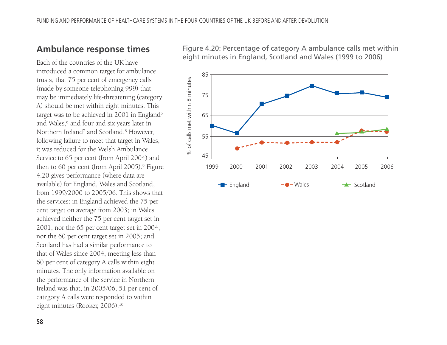### **Ambulance response times**

Each of the countries of the UK have introduced a common target for ambulance trusts, that 75 per cent of emergency calls (made by someone telephoning 999) that may be immediately life-threatening (category A) should be met within eight minutes. This target was to be achieved in 2001 in England<sup>5</sup> and Wales,<sup>6</sup> and four and six years later in Northern Ireland<sup>7</sup> and Scotland.<sup>8</sup> However, following failure to meet that target in Wales, it was reduced for the Welsh Ambulance Service to 65 per cent (from April 2004) and then to 60 per cent (from April 2005).9 Figure 4.20 gives performance (where data are available) for England, Wales and Scotland, from 1999/2000 to 2005/06. This shows that the services: in England achieved the 75 per cent target on average from 2003; in Wales achieved neither the 75 per cent target set in 2001, nor the 65 per cent target set in 2004, nor the 60 per cent target set in 2005; and Scotland has had a similar performance to that of Wales since 2004, meeting less than 60 per cent of category A calls within eight minutes. The only information available on the performance of the service in Northern Ireland was that, in 2005/06, 51 per cent of category A calls were responded to within eight minutes (Rooker, 2006).10

Figure 4.20: Percentage of category A ambulance calls met within eight minutes in England, Scotland and Wales (1999 to 2006)

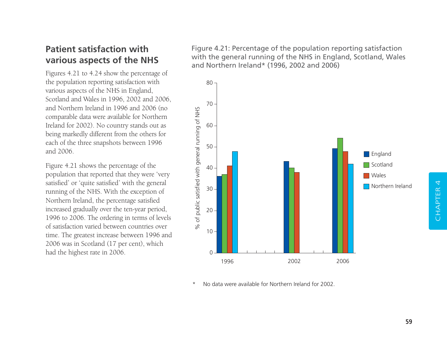## **Patient satisfaction with various aspects of the NHS**

Figures 4.21 to 4.24 show the percentage of the population reporting satisfaction with various aspects of the NHS in England, Scotland and Wales in 1996, 2002 and 2006, and Northern Ireland in 1996 and 2006 (no comparable data were available for Northern Ireland for 2002). No country stands out as being markedly different from the others for each of the three snapshots between 1996 and 2006.

Figure 4.21 shows the percentage of the population that reported that they were 'very satisfied' or 'quite satisfied' with the general running of the NHS. With the exception of Northern Ireland, the percentage satisfied increased gradually over the ten-year period, 1996 to 2006. The ordering in terms of levels of satisfaction varied between countries over time. The greatest increase between 1996 and 2006 was in Scotland (17 per cent), which had the highest rate in 2006.

Figure 4.21: Percentage of the population reporting satisfaction with the general running of the NHS in England, Scotland, Wales and Northern Ireland\* (1996, 2002 and 2006)



No data were available for Northern Ireland for 2002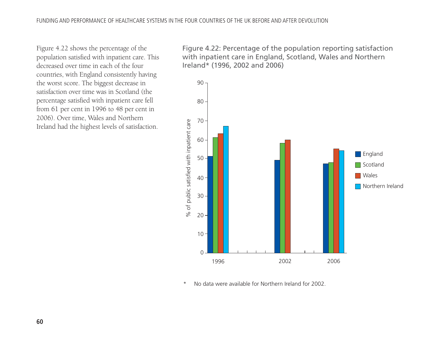Figure 4.22 shows the percentage of the population satisfied with inpatient care. This decreased over time in each of the four countries, with England consistently having the worst score. The biggest decrease in satisfaction over time was in Scotland (the percentage satisfied with inpatient care fell from 61 per cent in 1996 to 48 per cent in 2006). Over time, Wales and Northern Ireland had the highest levels of satisfaction.

Figure 4.22: Percentage of the population reporting satisfaction with inpatient care in England, Scotland, Wales and Northern Ireland\* (1996, 2002 and 2006)



<sup>\*</sup> No data were available for Northern Ireland for 2002.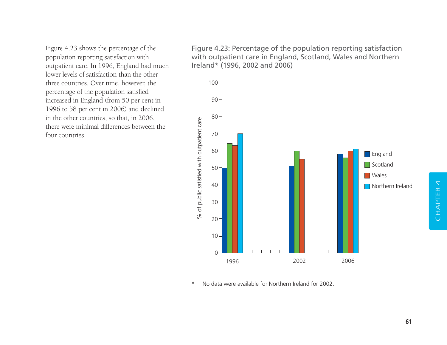Figure 4.23 shows the percentage of the population reporting satisfaction with outpatient care. In 1996, England had much lower levels of satisfaction than the other three countries. Over time, however, the percentage of the population satisfied increased in England (from 50 per cent in 1996 to 58 per cent in 2006) and declined in the other countries, so that, in 2006, there were minimal differences between the four countries.

Figure 4.23: Percentage of the population reporting satisfaction with outpatient care in England, Scotland, Wales and Northern Ireland\* (1996, 2002 and 2006)



\* No data were available for Northern Ireland for 2002.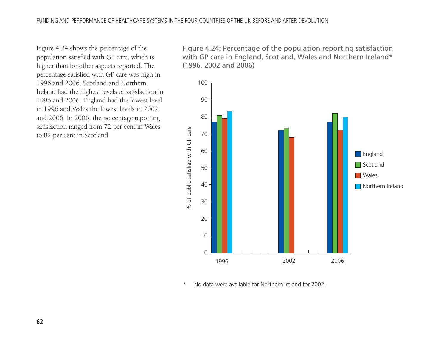Figure 4.24 shows the percentage of the population satisfied with GP care, which is higher than for other aspects reported. The percentage satisfied with GP care was high in 1996 and 2006. Scotland and Northern Ireland had the highest levels of satisfaction in 1996 and 2006. England had the lowest level in 1996 and Wales the lowest levels in 2002 and 2006. In 2006, the percentage reporting satisfaction ranged from 72 per cent in Wales to 82 per cent in Scotland.

Figure 4.24: Percentage of the population reporting satisfaction with GP care in England, Scotland, Wales and Northern Ireland\* (1996, 2002 and 2006)



No data were available for Northern Ireland for 2002.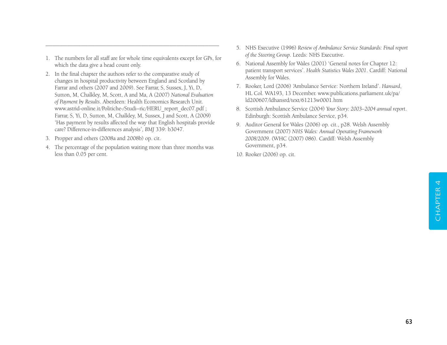1. The numbers for all staff are for whole time equivalents except for GPs, for which the data give a head count only.

–––––––––––––––––––––––––––––––––––––––––––––––––

- 2. In the final chapter the authors refer to the comparative study of changes in hospital productivity between England and Scotland by Farrar and others (2007 and 2009). See Farrar, S, Sussex, J, Yi, D, Sutton, M, Chalkley, M, Scott, A and Ma, A (2007) *National Evaluation of Payment by Results*. Aberdeen: Health Economics Research Unit. www.astrid-online.it/Politiche-/Studi--ric/HERU\_report\_dec07.pdf ; Farrar, S, Yi, D, Sutton, M, Chalkley, M, Sussex, J and Scott, A (2009) 'Has payment by results affected the way that English hospitals provide care? Difference-in-differences analysis', *BMJ* 339: b3047.
- 3. Propper and others (2008a and 2008b) op. cit.
- 4. The percentage of the population waiting more than three months was less than 0.05 per cent.
- 5. NHS Executive (1996) *Review of Ambulance Service Standards: Final report of the Steering Group*. Leeds: NHS Executive.
- 6. National Assembly for Wales (2001) 'General notes for Chapter 12: patient transport services'. *Health Statistics Wales 2001*. Cardiff: National Assembly for Wales.
- 7. Rooker, Lord (2006) 'Ambulance Service: Northern Ireland'. *Hansard*, HL Col. WA193, 13 December. www.publications.parliament.uk/pa/ ld200607/ldhansrd/text/61213w0001.htm
- 8. Scottish Ambulance Service (2004) *Your Story: 2003–2004 annual report*. Edinburgh: Scottish Ambulance Service, p34.
- 9. Auditor General for Wales (2006) op. cit., p28. Welsh Assembly Government (2007) *NHS Wales: Annual Operating Framework 2008/2009*. (WHC (2007) 086). Cardiff: Welsh Assembly Government, p34.
- 10. Rooker (2006) op. cit.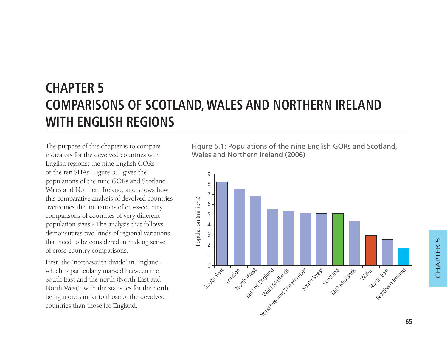# **CHAPTER 5 COMPARISONS OF SCOTLAND, WALES AND NORTHERN IRELAND WITH ENGLISH REGIONS**

The purpose of this chapter is to compare indicators for the devolved countries with English regions: the nine English GORs or the ten SHAs. Figure 5.1 gives the populations of the nine GORs and Scotland, Wales and Northern Ireland, and shows how this comparative analysis of devolved countries overcomes the limitations of cross-country comparisons of countries of very different population sizes.1 The analysis that follows demonstrates two kinds of regional variations that need to be considered in making sense of cross-country comparisons.

First, the 'north/south divide' in England, which is particularly marked between the South East and the north (North East and North West); with the statistics for the north being more similar to those of the devolved countries than those for England.

Figure 5.1: Populations of the nine English GORs and Scotland, Wales and Northern Ireland (2006)

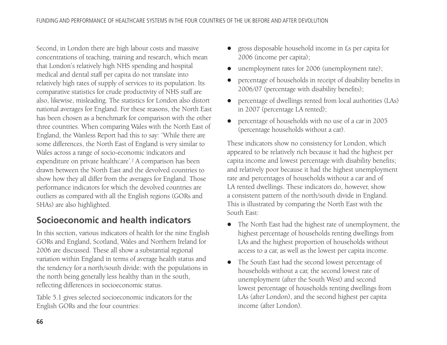Second, in London there are high labour costs and massive concentrations of teaching, training and research, which mean that London's relatively high NHS spending and hospital medical and dental staff per capita do not translate into relatively high rates of supply of services to its population. Its comparative statistics for crude productivity of NHS staff are also, likewise, misleading. The statistics for London also distort national averages for England. For these reasons, the North East has been chosen as a benchmark for comparison with the other three countries. When comparing Wales with the North East of England, the Wanless Report had this to say: 'While there are some differences, the North East of England is very similar to Wales across a range of socio-economic indicators and expenditure on private healthcare'.2 A comparison has been drawn between the North East and the devolved countries to show how they all differ from the averages for England. Those performance indicators for which the devolved countries are outliers as compared with all the English regions (GORs and SHAs) are also highlighted.

# **Socioeconomic and health indicators**

In this section, various indicators of health for the nine English GORs and England, Scotland, Wales and Northern Ireland for 2006 are discussed. These all show a substantial regional variation within England in terms of average health status and the tendency for a north/south divide: with the populations in the north being generally less healthy than in the south, reflecting differences in socioeconomic status.

Table 5.1 gives selected socioeconomic indicators for the English GORs and the four countries:

- $\bullet$  gross disposable household income in £s per capita for 2006 (income per capita);
- $\bullet$ unemployment rates for 2006 (unemployment rate);
- $\bullet$  percentage of households in receipt of disability benefits in 2006/07 (percentage with disability benefits);
- $\bullet$  percentage of dwellings rented from local authorities (LAs) in 2007 (percentage LA rented);
- $\bullet$  percentage of households with no use of a car in 2005 (percentage households without a car).

These indicators show no consistency for London, which appeared to be relatively rich because it had the highest per capita income and lowest percentage with disability benefits; and relatively poor because it had the highest unemployment rate and percentages of households without a car and of LA rented dwellings. These indicators do, however, show a consistent pattern of the north/south divide in England. This is illustrated by comparing the North East with the South East:

- The North East had the highest rate of unemployment, the highest percentage of households renting dwellings from LAs and the highest proportion of households without access to a car, as well as the lowest per capita income.
- The South East had the second lowest percentage of households without a car, the second lowest rate of unemployment (after the South West) and second lowest percentage of households renting dwellings from LAs (after London), and the second highest per capita income (after London).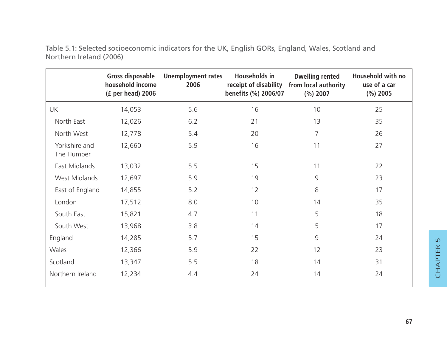|                             | Gross disposable<br>household income<br>(£ per head) 2006 | <b>Unemployment rates</b><br>2006 | <b>Households in</b><br>receipt of disability<br>benefits (%) 2006/07 | <b>Dwelling rented</b><br>from local authority<br>(%) 2007 | <b>Household with no</b><br>use of a car<br>(%) 2005 |
|-----------------------------|-----------------------------------------------------------|-----------------------------------|-----------------------------------------------------------------------|------------------------------------------------------------|------------------------------------------------------|
| UK                          | 14,053                                                    | 5.6                               | 16                                                                    | 10                                                         | 25                                                   |
| North East                  | 12,026                                                    | 6.2                               | 21                                                                    | 13                                                         | 35                                                   |
| North West                  | 12,778                                                    | 5.4                               | 20                                                                    | $\overline{7}$                                             | 26                                                   |
| Yorkshire and<br>The Humber | 12,660                                                    | 5.9                               | 16                                                                    | 11                                                         | 27                                                   |
| East Midlands               | 13,032                                                    | 5.5                               | 15                                                                    | 11                                                         | 22                                                   |
| West Midlands               | 12,697                                                    | 5.9                               | 19                                                                    | 9                                                          | 23                                                   |
| East of England             | 14,855                                                    | 5.2                               | 12                                                                    | 8                                                          | 17                                                   |
| London                      | 17,512                                                    | 8.0                               | 10                                                                    | 14                                                         | 35                                                   |
| South East                  | 15,821                                                    | 4.7                               | 11                                                                    | 5                                                          | 18                                                   |
| South West                  | 13,968                                                    | 3.8                               | 14                                                                    | 5                                                          | 17                                                   |
| England                     | 14,285                                                    | 5.7                               | 15                                                                    | 9                                                          | 24                                                   |
| Wales                       | 12,366                                                    | 5.9                               | 22                                                                    | 12                                                         | 23                                                   |
| Scotland                    | 13,347                                                    | 5.5                               | 18                                                                    | 14                                                         | 31                                                   |
| Northern Ireland            | 12,234                                                    | 4.4                               | 24                                                                    | 14                                                         | 24                                                   |

Table 5.1: Selected socioeconomic indicators for the UK, English GORs, England, Wales, Scotland and Northern Ireland (2006)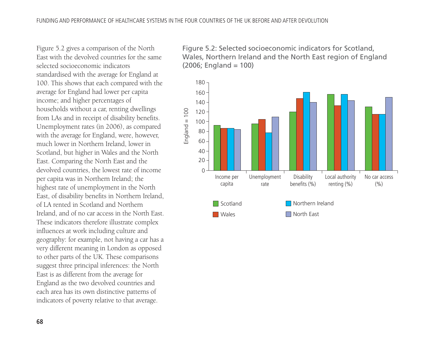Figure 5.2 gives a comparison of the North East with the devolved countries for the same selected socioeconomic indicators standardised with the average for England at 100. This shows that each compared with the average for England had lower per capita income; and higher percentages of households without a car, renting dwellings from LAs and in receipt of disability benefits. Unemployment rates (in 2006), as compared with the average for England, were, however, much lower in Northern Ireland, lower in Scotland, but higher in Wales and the North East. Comparing the North East and the devolved countries, the lowest rate of income per capita was in Northern Ireland; the highest rate of unemployment in the North East, of disability benefits in Northern Ireland, of LA rented in Scotland and Northern Ireland, and of no car access in the North East. These indicators therefore illustrate complex influences at work including culture and geography: for example, not having a car has a very different meaning in London as opposed to other parts of the UK. These comparisons suggest three principal inferences: the North East is as different from the average for England as the two devolved countries and each area has its own distinctive patterns of indicators of poverty relative to that average.

Figure 5.2: Selected socioeconomic indicators for Scotland, Wales, Northern Ireland and the North East region of England  $(2006;$  England = 100)

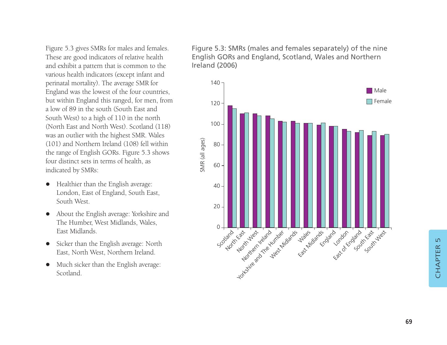Figure 5.3 gives SMRs for males and females. These are good indicators of relative health and exhibit a pattern that is common to the various health indicators (except infant and perinatal mortality). The average SMR for England was the lowest of the four countries, but within England this ranged, for men, from a low of 89 in the south (South East and South West) to a high of 110 in the north (North East and North West). Scotland (118) was an outlier with the highest SMR. Wales (101) and Northern Ireland (108) fell within the range of English GORs. Figure 5.3 shows four distinct sets in terms of health, as indicated by SMRs:

- Healthier than the English average: London, East of England, South East, South West.
- $\bullet$  About the English average: Yorkshire and The Humber, West Midlands, Wales, East Midlands.
- Sicker than the English average: North East, North West, Northern Ireland.
- $\bullet$  Much sicker than the English average: Scotland.

Figure 5.3: SMRs (males and females separately) of the nine English GORs and England, Scotland, Wales and Northern Ireland (2006)

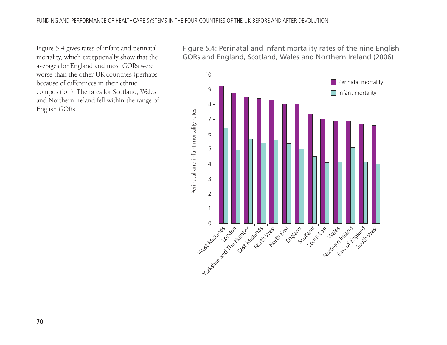Figure 5.4 gives rates of infant and perinatal mortality, which exceptionally show that the averages for England and most GORs were worse than the other UK countries (perhaps because of differences in their ethnic composition). The rates for Scotland, Wales and Northern Ireland fell within the range of English GORs.

Figure 5.4: Perinatal and infant mortality rates of the nine English GORs and England, Scotland, Wales and Northern Ireland (2006)

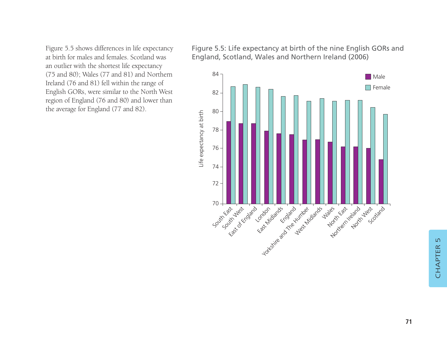Figure 5.5 shows differences in life expectancy at birth for males and females. Scotland was an outlier with the shortest life expectancy (75 and 80); Wales (77 and 81) and Northern Ireland (76 and 81) fell within the range of English GORs, were similar to the North West region of England (76 and 80) and lower than the average for England (77 and 82).

Figure 5.5: Life expectancy at birth of the nine English GORs and England, Scotland, Wales and Northern Ireland (2006)

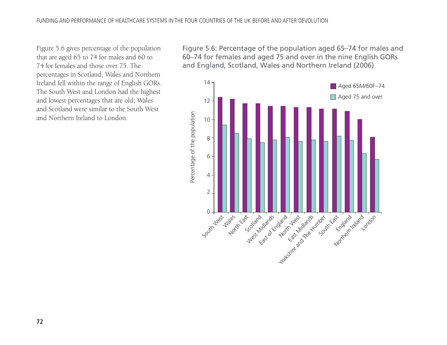Figure 5.6 gives percentage of the population that are aged 65 to 74 for males and 60 to 74 for females and those over 75. The percentages in Scotland, Wales and Northern Ireland fell within the range of English GORs. The South West and London had the highest and lowest percentages that are old; Wales and Scotland were similar to the South West and Northern Ireland to London.

Figure 5.6: Percentage of the population aged 65–74 for males and 60–74 for females and aged 75 and over in the nine English GORs and England, Scotland, Wales and Northern Ireland (2006)

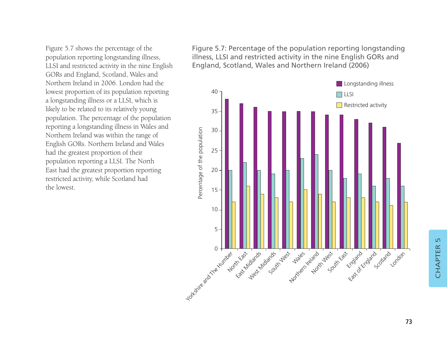Figure 5.7 shows the percentage of the population reporting longstanding illness, LLSI and restricted activity in the nine English GORs and England, Scotland, Wales and Northern Ireland in 2006. London had the lowest proportion of its population reporting a longstanding illness or a LLSI, which is likely to be related to its relatively young population. The percentage of the population reporting a longstanding illness in Wales and Northern Ireland was within the range of English GORs. Northern Ireland and Wales had the greatest proportion of their population reporting a LLSI. The North East had the greatest proportion reporting restricted activity, while Scotland had the lowest.

Figure 5.7: Percentage of the population reporting longstanding illness, LLSI and restricted activity in the nine English GORs and England, Scotland, Wales and Northern Ireland (2006)



CHAPTER<sub>5</sub> CHAPTER 5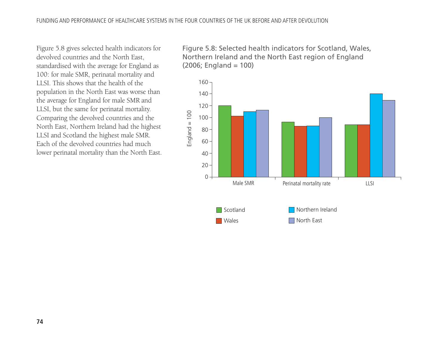Figure 5.8 gives selected health indicators for devolved countries and the North East, standardised with the average for England as 100: for male SMR, perinatal mortality and LLSI. This shows that the health of the population in the North East was worse than the average for England for male SMR and LLSI, but the same for perinatal mortality. Comparing the devolved countries and the North East, Northern Ireland had the highest LLSI and Scotland the highest male SMR. Each of the devolved countries had much lower perinatal mortality than the North East. Figure 5.8: Selected health indicators for Scotland, Wales, Northern Ireland and the North East region of England (2006; England = 100)

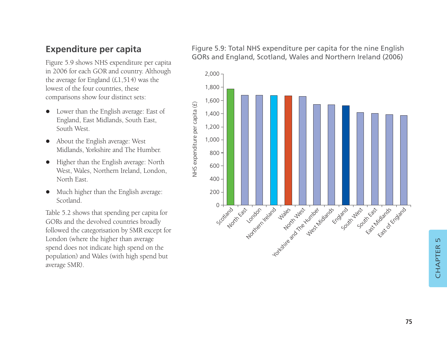# **Expenditure per capita**

Figure 5.9 shows NHS expenditure per capita in 2006 for each GOR and country. Although the average for England (£1,514) was the lowest of the four countries, these comparisons show four distinct sets:

- $\bullet$  Lower than the English average: East of England, East Midlands, South East, South West.
- About the English average: West Midlands, Yorkshire and The Humber.
- $\bullet$  Higher than the English average: North West, Wales, Northern Ireland, London, North East.
- $\bullet$  Much higher than the English average: Scotland.

Table 5.2 shows that spending per capita for GORs and the devolved countries broadly followed the categorisation by SMR except for London (where the higher than average spend does not indicate high spend on the population) and Wales (with high spend but average SMR).

#### Figure 5.9: Total NHS expenditure per capita for the nine English GORs and England, Scotland, Wales and Northern Ireland (2006)

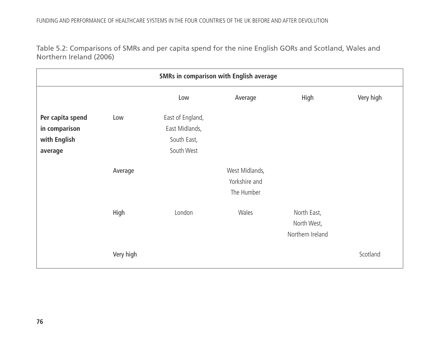Table 5.2: Comparisons of SMRs and per capita spend for the nine English GORs and Scotland, Wales and Northern Ireland (2006)

|                  | <b>SMRs in comparison with English average</b> |                  |                |                                                |           |  |  |  |
|------------------|------------------------------------------------|------------------|----------------|------------------------------------------------|-----------|--|--|--|
|                  |                                                | Low              | Average        | High                                           | Very high |  |  |  |
| Per capita spend | Low                                            | East of England, |                |                                                |           |  |  |  |
| in comparison    |                                                | East Midlands,   |                |                                                |           |  |  |  |
| with English     |                                                | South East,      |                |                                                |           |  |  |  |
| average          |                                                | South West       |                |                                                |           |  |  |  |
|                  | Average                                        |                  | West Midlands, |                                                |           |  |  |  |
|                  |                                                |                  | Yorkshire and  |                                                |           |  |  |  |
|                  |                                                |                  | The Humber     |                                                |           |  |  |  |
|                  | High                                           | London           | Wales          | North East,<br>North West,<br>Northern Ireland |           |  |  |  |
|                  | Very high                                      |                  |                |                                                | Scotland  |  |  |  |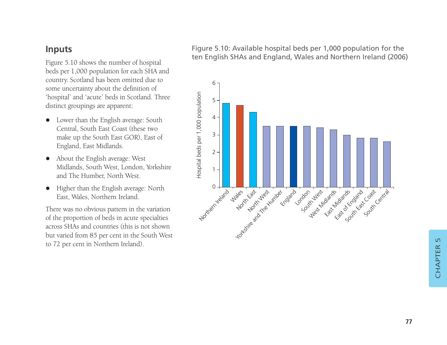### **Inputs**

Figure 5.10 shows the number of hospital beds per 1,000 population for each SHA and country. Scotland has been omitted due to some uncertainty about the definition of 'hospital' and 'acute' beds in Scotland. Three distinct groupings are apparent:

- Lower than the English average: South Central, South East Coast (these two make up the South East GOR), East of England, East Midlands.
- $\bullet$  About the English average: West Midlands, South West, London, Yorkshire and The Humber, North West.
- $\bullet$  Higher than the English average: North East, Wales, Northern Ireland.

There was no obvious pattern in the variation of the proportion of beds in acute specialties across SHAs and countries (this is not shown but varied from 85 per cent in the South West to 72 per cent in Northern Ireland).

Figure 5.10: Available hospital beds per 1,000 population for the ten English SHAs and England, Wales and Northern Ireland (2006)

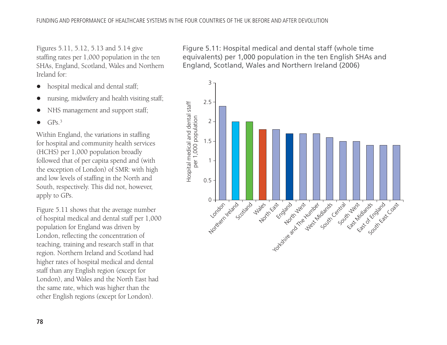Figures 5.11, 5.12, 5.13 and 5.14 give staffing rates per 1,000 population in the ten SHAs, England, Scotland, Wales and Northern Ireland for:

- $\bullet$ hospital medical and dental staff;
- $\bullet$ nursing, midwifery and health visiting staff;
- $\bullet$ NHS management and support staff;

 $\bullet$  $GPS<sub>3</sub>$ 

Within England, the variations in staffing for hospital and community health services (HCHS) per 1,000 population broadly followed that of per capita spend and (with the exception of London) of SMR: with high and low levels of staffing in the North and South, respectively. This did not, however, apply to GPs.

Figure 5.11 shows that the average number of hospital medical and dental staff per 1,000 population for England was driven by London, reflecting the concentration of teaching, training and research staff in that region. Northern Ireland and Scotland had higher rates of hospital medical and dental staff than any English region (except for London), and Wales and the North East had the same rate, which was higher than the other English regions (except for London).

Figure 5.11: Hospital medical and dental staff (whole time equivalents) per 1,000 population in the ten English SHAs and England, Scotland, Wales and Northern Ireland (2006)

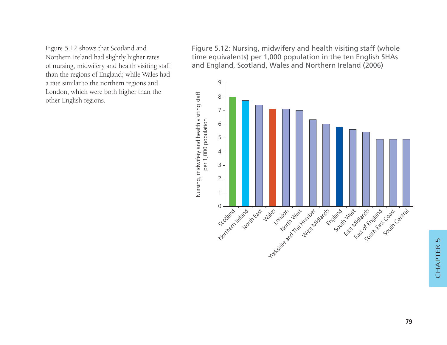Figure 5.12 shows that Scotland and Northern Ireland had slightly higher rates of nursing, midwifery and health visiting staff than the regions of England; while Wales had a rate similar to the northern regions and London, which were both higher than the other English regions.

Figure 5.12: Nursing, midwifery and health visiting staff (whole time equivalents) per 1,000 population in the ten English SHAs and England, Scotland, Wales and Northern Ireland (2006)

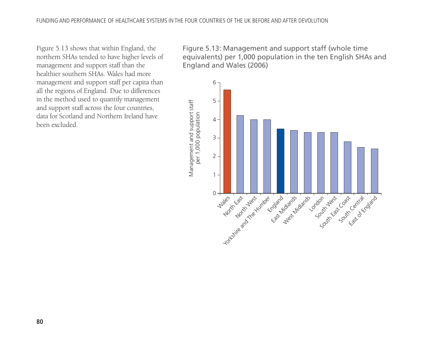Figure 5.13 shows that within England, the northern SHAs tended to have higher levels of management and support staff than the healthier southern SHAs. Wales had more management and support staff per capita than all the regions of England. Due to differences in the method used to quantify management and support staff across the four countries, data for Scotland and Northern Ireland have been excluded.

Figure 5.13: Management and support staff (whole time equivalents) per 1,000 population in the ten English SHAs and England and Wales (2006)

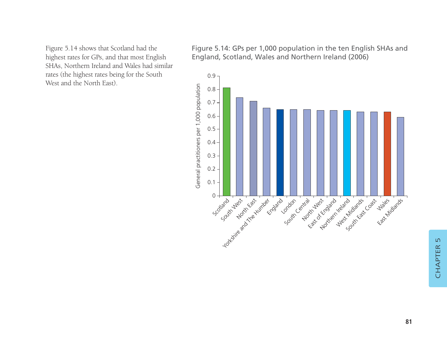Figure 5.14 shows that Scotland had the highest rates for GPs, and that most English SHAs, Northern Ireland and Wales had similar rates (the highest rates being for the South West and the North East).

Figure 5.14: GPs per 1,000 population in the ten English SHAs and England, Scotland, Wales and Northern Ireland (2006)

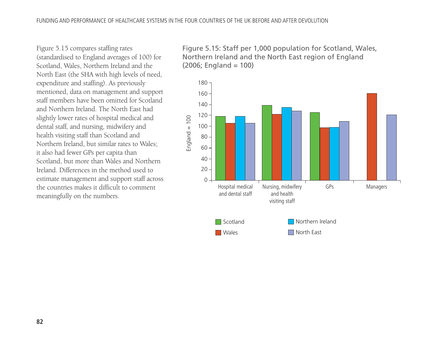Figure 5.15 compares staffing rates (standardised to England averages of 100) for Scotland, Wales, Northern Ireland and the North East (the SHA with high levels of need, expenditure and staffing). As previously mentioned, data on management and support staff members have been omitted for Scotland and Northern Ireland. The North East had slightly lower rates of hospital medical and dental staff, and nursing, midwifery and health visiting staff than Scotland and Northern Ireland, but similar rates to Wales; it also had fewer GPs per capita than Scotland, but more than Wales and Northern Ireland. Differences in the method used to estimate management and support staff across the countries makes it difficult to comment meaningfully on the numbers.

Figure 5.15: Staff per 1,000 population for Scotland, Wales, Northern Ireland and the North East region of England  $(2006;$  England = 100)

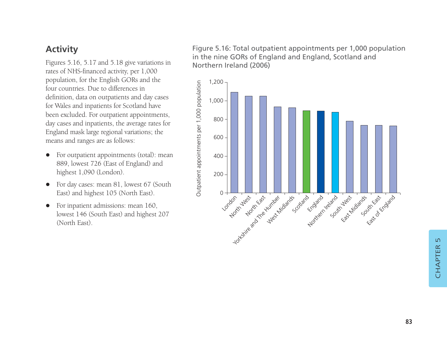## **Activity**

Figures 5.16, 5.17 and 5.18 give variations in rates of NHS-financed activity, per 1,000 population, for the English GORs and the four countries. Due to differences in definition, data on outpatients and day cases for Wales and inpatients for Scotland have been excluded. For outpatient appointments, day cases and inpatients, the average rates for England mask large regional variations; the means and ranges are as follows:

- $\bullet$  For outpatient appointments (total): mean 889, lowest 726 (East of England) and highest 1,090 (London).
- $\bullet$  For day cases: mean 81, lowest 67 (South East) and highest 105 (North East).
- $\bullet$  For inpatient admissions: mean 160, lowest 146 (South East) and highest 207 (North East).

Figure 5.16: Total outpatient appointments per 1,000 population in the nine GORs of England and England, Scotland and Northern Ireland (2006)

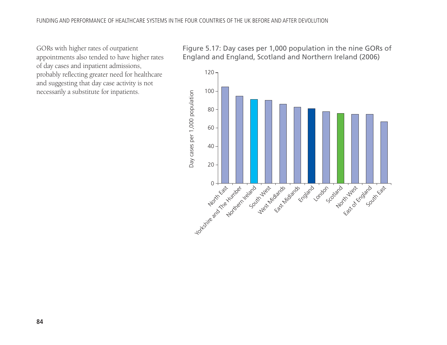GORs with higher rates of outpatient appointments also tended to have higher rates of day cases and inpatient admissions, probably reflecting greater need for healthcare and suggesting that day case activity is not necessarily a substitute for inpatients.

Figure 5.17: Day cases per 1,000 population in the nine GORs of England and England, Scotland and Northern Ireland (2006)

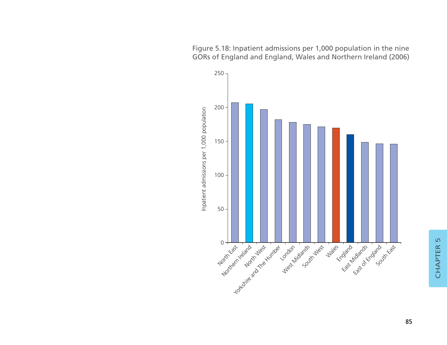Figure 5.18: Inpatient admissions per 1,000 population in the nine GORs of England and England, Wales and Northern Ireland (2006)

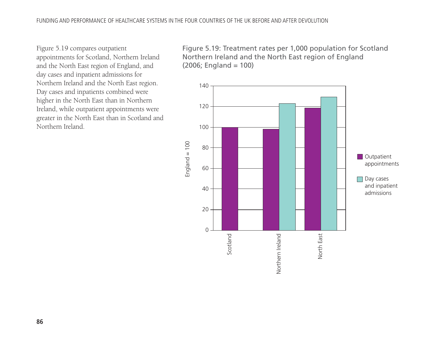Figure 5.19 compares outpatient appointments for Scotland, Northern Ireland and the North East region of England, and day cases and inpatient admissions for Northern Ireland and the North East region. Day cases and inpatients combined were higher in the North East than in Northern Ireland, while outpatient appointments were greater in the North East than in Scotland and Northern Ireland.

Figure 5.19: Treatment rates per 1,000 population for Scotland Northern Ireland and the North East region of England (2006; England = 100)

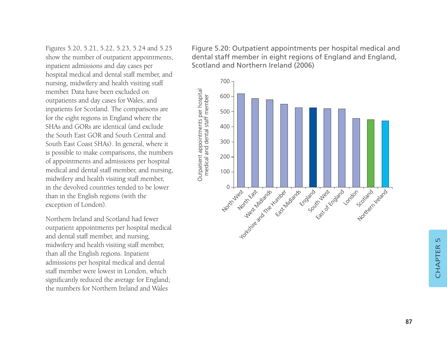Figures 5.20, 5.21, 5.22, 5.23, 5.24 and 5.25 show the number of outpatient appointments, inpatient admissions and day cases per hospital medical and dental staff member, and nursing, midwifery and health visiting staff member. Data have been excluded on outpatients and day cases for Wales, and inpatients for Scotland. The comparisons are for the eight regions in England where the SHAs and GORs are identical (and exclude the South East GOR and South Central and South East Coast SHAs). In general, where it is possible to make comparisons, the numbers of appointments and admissions per hospital medical and dental staff member, and nursing, midwifery and health visiting staff member, in the devolved countries tended to be lower than in the English regions (with the exception of London).

Northern Ireland and Scotland had fewer outpatient appointments per hospital medical and dental staff member, and nursing, midwifery and health visiting staff member, than all the English regions. Inpatient admissions per hospital medical and dental staff member were lowest in London, which significantly reduced the average for England; the numbers for Northern Ireland and Wales

Figure 5.20: Outpatient appointments per hospital medical and dental staff member in eight regions of England and England, Scotland and Northern Ireland (2006)

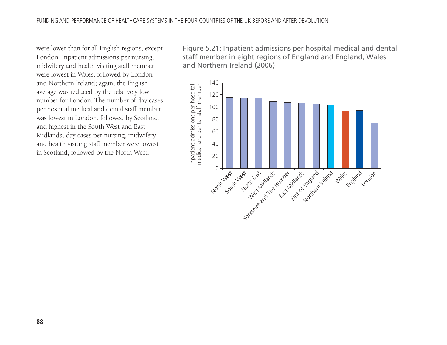were lower than for all English regions, except London. Inpatient admissions per nursing, midwifery and health visiting staff member were lowest in Wales, followed by London and Northern Ireland; again, the English average was reduced by the relatively low number for London. The number of day cases per hospital medical and dental staff member was lowest in London, followed by Scotland, and highest in the South West and East Midlands; day cases per nursing, midwifery and health visiting staff member were lowest in Scotland, followed by the North West.

Figure 5.21: Inpatient admissions per hospital medical and dental staff member in eight regions of England and England, Wales and Northern Ireland (2006)

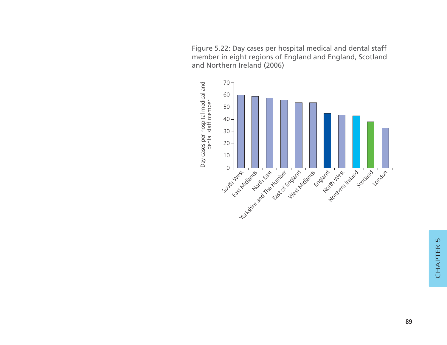Figure 5.22: Day cases per hospital medical and dental staff member in eight regions of England and England, Scotland and Northern Ireland (2006)

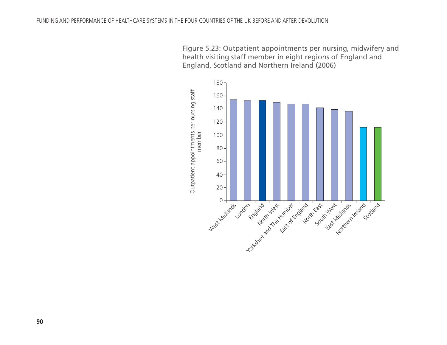Figure 5.23: Outpatient appointments per nursing, midwifery and health visiting staff member in eight regions of England and England, Scotland and Northern Ireland (2006)

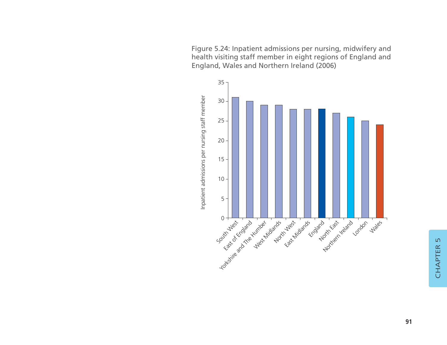Figure 5.24: Inpatient admissions per nursing, midwifery and health visiting staff member in eight regions of England and England, Wales and Northern Ireland (2006)

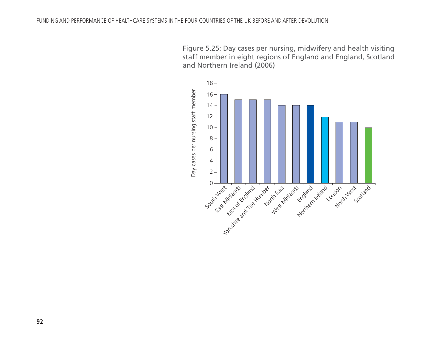Figure 5.25: Day cases per nursing, midwifery and health visiting staff member in eight regions of England and England, Scotland and Northern Ireland (2006)

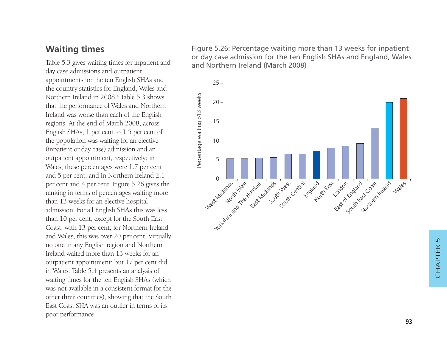### **Waiting times**

Table 5.3 gives waiting times for inpatient and day case admissions and outpatient appointments for the ten English SHAs and the country statistics for England, Wales and Northern Ireland in 2008.4 Table 5.3 shows that the performance of Wales and Northern Ireland was worse than each of the English regions. At the end of March 2008, across English SHAs, 1 per cent to 1.5 per cent of the population was waiting for an elective (inpatient or day case) admission and an outpatient appointment, respectively; in Wales, these percentages were 1.7 per cent and 5 per cent; and in Northern Ireland 2.1 per cent and 4 per cent. Figure 5.26 gives the ranking in terms of percentages waiting more than 13 weeks for an elective hospital admission. For all English SHAs this was less than 10 per cent, except for the South East Coast, with 13 per cent; for Northern Ireland and Wales, this was over 20 per cent. Virtually no one in any English region and Northern Ireland waited more than 13 weeks for an outpatient appointment; but 17 per cent did in Wales. Table 5.4 presents an analysis of waiting times for the ten English SHAs (which was not available in a consistent format for the other three countries), showing that the South East Coast SHA was an outlier in terms of its poor performance.

Figure 5.26: Percentage waiting more than 13 weeks for inpatient or day case admission for the ten English SHAs and England, Wales and Northern Ireland (March 2008)

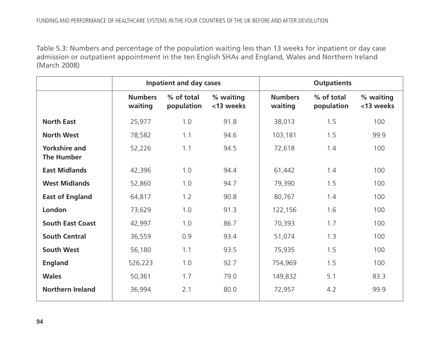Table 5.3: Numbers and percentage of the population waiting less than 13 weeks for inpatient or day case admission or outpatient appointment in the ten English SHAs and England, Wales and Northern Ireland (March 2008)

|                                           |                           | <b>Inpatient and day cases</b> |                        | <b>Outpatients</b>        |                          |                        |
|-------------------------------------------|---------------------------|--------------------------------|------------------------|---------------------------|--------------------------|------------------------|
|                                           | <b>Numbers</b><br>waiting | % of total<br>population       | % waiting<br><13 weeks | <b>Numbers</b><br>waiting | % of total<br>population | % waiting<br><13 weeks |
| <b>North East</b>                         | 25,977                    | 1.0                            | 91.8                   | 38,013                    | 1.5                      | 100                    |
| <b>North West</b>                         | 78,582                    | 1.1                            | 94.6                   | 103,181                   | 1.5                      | 99.9                   |
| <b>Yorkshire and</b><br><b>The Humber</b> | 52,226                    | 1.1                            | 94.5                   | 72,618                    | 1.4                      | 100                    |
| <b>East Midlands</b>                      | 42,396                    | 1.0                            | 94.4                   | 61,442                    | 1.4                      | 100                    |
| <b>West Midlands</b>                      | 52,860                    | 1.0                            | 94.7                   | 79,390                    | 1.5                      | 100                    |
| <b>East of England</b>                    | 64,817                    | 1.2                            | 90.8                   | 80,767                    | 1.4                      | 100                    |
| London                                    | 73,629                    | 1.0                            | 91.3                   | 122,156                   | 1.6                      | 100                    |
| <b>South East Coast</b>                   | 42,997                    | 1.0                            | 86.7                   | 70,393                    | 1.7                      | 100                    |
| <b>South Central</b>                      | 36,559                    | 0.9                            | 93.4                   | 51,074                    | 1.3                      | 100                    |
| <b>South West</b>                         | 56,180                    | 1.1                            | 93.5                   | 75,935                    | 1.5                      | 100                    |
| <b>England</b>                            | 526,223                   | 1.0                            | 92.7                   | 754,969                   | 1.5                      | 100                    |
| <b>Wales</b>                              | 50,361                    | 1.7                            | 79.0                   | 149,832                   | 5.1                      | 83.3                   |
| <b>Northern Ireland</b>                   | 36,994                    | 2.1                            | 80.0                   | 72,957                    | 4.2                      | 99.9                   |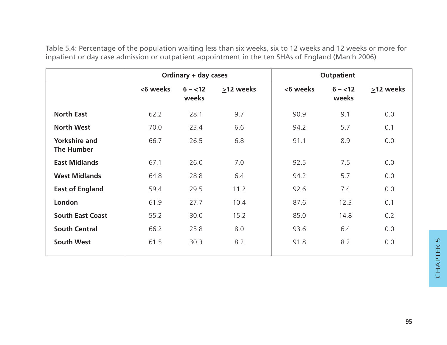Table 5.4: Percentage of the population waiting less than six weeks, six to 12 weeks and 12 weeks or more for inpatient or day case admission or outpatient appointment in the ten SHAs of England (March 2006)

|                                    | Ordinary + day cases |                     |           | <b>Outpatient</b> |                     |           |
|------------------------------------|----------------------|---------------------|-----------|-------------------|---------------------|-----------|
|                                    | <6 weeks             | $6 - < 12$<br>weeks | >12 weeks | <6 weeks          | $6 - < 12$<br>weeks | >12 weeks |
| <b>North East</b>                  | 62.2                 | 28.1                | 9.7       | 90.9              | 9.1                 | 0.0       |
| <b>North West</b>                  | 70.0                 | 23.4                | 6.6       | 94.2              | 5.7                 | 0.1       |
| <b>Yorkshire and</b><br>The Humber | 66.7                 | 26.5                | 6.8       | 91.1              | 8.9                 | 0.0       |
| <b>East Midlands</b>               | 67.1                 | 26.0                | 7.0       | 92.5              | 7.5                 | 0.0       |
| <b>West Midlands</b>               | 64.8                 | 28.8                | 6.4       | 94.2              | 5.7                 | 0.0       |
| <b>East of England</b>             | 59.4                 | 29.5                | 11.2      | 92.6              | 7.4                 | 0.0       |
| London                             | 61.9                 | 27.7                | 10.4      | 87.6              | 12.3                | 0.1       |
| <b>South East Coast</b>            | 55.2                 | 30.0                | 15.2      | 85.0              | 14.8                | 0.2       |
| <b>South Central</b>               | 66.2                 | 25.8                | 8.0       | 93.6              | 6.4                 | 0.0       |
| <b>South West</b>                  | 61.5                 | 30.3                | 8.2       | 91.8              | 8.2                 | 0.0       |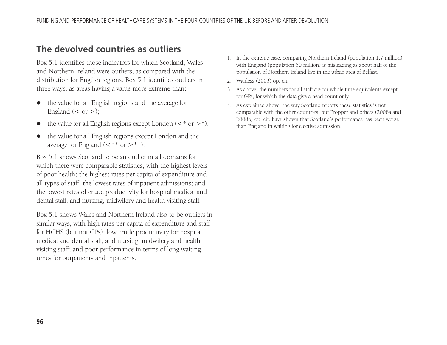## **The devolved countries as outliers**

Box 5.1 identifies those indicators for which Scotland, Wales and Northern Ireland were outliers, as compared with the distribution for English regions. Box 5.1 identifies outliers in three ways, as areas having a value more extreme than:

- $\bullet$  the value for all English regions and the average for England  $(< or >)$ ;
- $\bullet$ the value for all English regions except London  $(<^*$  or  $>^*)$ ;
- $\bullet$  the value for all English regions except London and the average for England  $(<^{**}$  or  $>^{**}$ ).

Box 5.1 shows Scotland to be an outlier in all domains for which there were comparable statistics, with the highest levels of poor health; the highest rates per capita of expenditure and all types of staff; the lowest rates of inpatient admissions; and the lowest rates of crude productivity for hospital medical and dental staff, and nursing, midwifery and health visiting staff.

Box 5.1 shows Wales and Northern Ireland also to be outliers in similar ways, with high rates per capita of expenditure and staff for HCHS (but not GPs); low crude productivity for hospital medical and dental staff, and nursing, midwifery and health visiting staff; and poor performance in terms of long waiting times for outpatients and inpatients.

1. In the extreme case, comparing Northern Ireland (population 1.7 million) with England (population 50 million) is misleading as about half of the population of Northern Ireland live in the urban area of Belfast.

–––––––––––––––––––––––––––––––––––––––––––––––––

- 2. Wanless (2003) op. cit.
- 3. As above, the numbers for all staff are for whole time equivalents except for GPs, for which the data give a head count only.
- 4. As explained above, the way Scotland reports these statistics is not comparable with the other countries, but Propper and others (2008a and 2008b) op. cit. have shown that Scotland's performance has been worse than England in waiting for elective admission.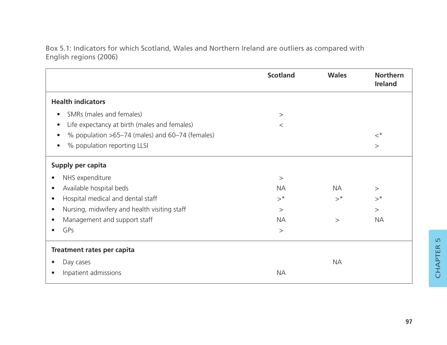Box 5.1: Indicators for which Scotland, Wales and Northern Ireland are outliers as compared with English regions (2006)

|                                                              | <b>Scotland</b> | <b>Wales</b> | <b>Northern</b><br>Ireland |
|--------------------------------------------------------------|-----------------|--------------|----------------------------|
| <b>Health indicators</b>                                     |                 |              |                            |
| SMRs (males and females)<br>$\bullet$                        | $\rm{>}$        |              |                            |
| Life expectancy at birth (males and females)<br>$\bullet$    | $\,<$           |              |                            |
| % population >65-74 (males) and 60-74 (females)<br>$\bullet$ |                 |              | $\lt^*$                    |
| % population reporting LLSI<br>$\bullet$                     |                 |              | >                          |
| Supply per capita                                            |                 |              |                            |
| NHS expenditure<br>$\bullet$                                 | >               |              |                            |
| Available hospital beds<br>$\bullet$                         | <b>NA</b>       | <b>NA</b>    | $\geq$                     |
| Hospital medical and dental staff<br>$\bullet$               | $>^{\star}$     | $>^*$        | $>^*$                      |
| Nursing, midwifery and health visiting staff<br>$\bullet$    | >               |              | $\geq$                     |
| Management and support staff<br>$\bullet$                    | <b>NA</b>       | $\geq$       | <b>NA</b>                  |
| GPs<br>$\bullet$                                             | >               |              |                            |
| Treatment rates per capita                                   |                 |              |                            |
| Day cases<br>$\bullet$                                       |                 | <b>NA</b>    |                            |
| Inpatient admissions<br>$\bullet$                            | <b>NA</b>       |              |                            |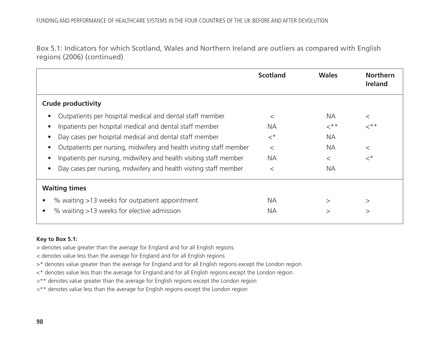Box 5.1: Indicators for which Scotland, Wales and Northern Ireland are outliers as compared with English regions (2006) (continued)

|                                                                     | <b>Scotland</b> | <b>Wales</b>          | <b>Northern</b><br><b>Ireland</b> |
|---------------------------------------------------------------------|-----------------|-----------------------|-----------------------------------|
| <b>Crude productivity</b>                                           |                 |                       |                                   |
| Outpatients per hospital medical and dental staff member            | $\,<\,$         | NА                    | $\,<\,$                           |
| Inpatients per hospital medical and dental staff member             | <b>NA</b>       | $\prec^{\star \star}$ | $\prec^{\star \star}$             |
| Day cases per hospital medical and dental staff member              | $\lt^{\star}$   | NА                    |                                   |
| Outpatients per nursing, midwifery and health visiting staff member | $\,<\,$         | <b>NA</b>             | $\,<\,$                           |
| Inpatients per nursing, midwifery and health visiting staff member  | <b>NA</b>       | $\,<\,$               | $\lt^{\star}$                     |
| Day cases per nursing, midwifery and health visiting staff member   | $\,<\,$         | <b>NA</b>             |                                   |
| <b>Waiting times</b>                                                |                 |                       |                                   |
| % waiting >13 weeks for outpatient appointment                      | NA.             | >                     | >                                 |
| % waiting >13 weeks for elective admission                          | <b>NA</b>       | $\rm{>}$              | >                                 |

#### **Key to Box 5.1:**

> denotes value greater than the average for England and for all English regions

< denotes value less than the average for England and for all English regions

>\* denotes value greater than the average for England and for all English regions except the London region

<\* denotes value less than the average for England and for all English regions except the London region

>\*\* denotes value greater than the average for English regions except the London region

<\*\* denotes value less than the average for English regions except the London region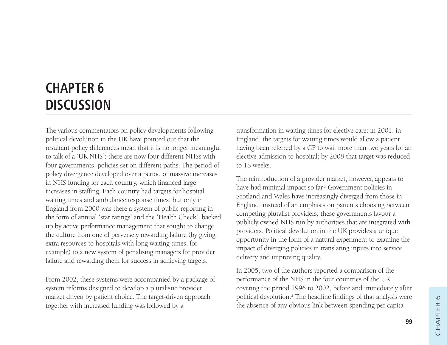## **CHAPTER 6 DISCUSSION**

The various commentators on policy developments following political devolution in the UK have pointed out that the resultant policy differences mean that it is no longer meaningful to talk of a 'UK NHS': there are now four different NHSs with four governments' policies set on different paths. The period of policy divergence developed over a period of massive increases in NHS funding for each country, which financed large increases in staffing. Each country had targets for hospital waiting times and ambulance response times; but only in England from 2000 was there a system of public reporting in the form of annual 'star ratings' and the 'Health Check', backed up by active performance management that sought to change the culture from one of perversely rewarding failure (by giving extra resources to hospitals with long waiting times, for example) to a new system of penalising managers for provider failure and rewarding them for success in achieving targets.

From 2002, these systems were accompanied by a package of system reforms designed to develop a pluralistic provider market driven by patient choice. The target-driven approach together with increased funding was followed by a

transformation in waiting times for elective care: in 2001, in England, the targets for waiting times would allow a patient having been referred by a GP to wait more than two years for an elective admission to hospital; by 2008 that target was reduced to 18 weeks.

The reintroduction of a provider market, however, appears to have had minimal impact so far.<sup>1</sup> Government policies in Scotland and Wales have increasingly diverged from those in England: instead of an emphasis on patients choosing between competing pluralist providers, these governments favour a publicly owned NHS run by authorities that are integrated with providers. Political devolution in the UK provides a unique opportunity in the form of a natural experiment to examine the impact of diverging policies in translating inputs into service delivery and improving quality.

In 2005, two of the authors reported a comparison of the performance of the NHS in the four countries of the UK covering the period 1996 to 2002, before and immediately after political devolution.2 The headline findings of that analysis were the absence of any obvious link between spending per capita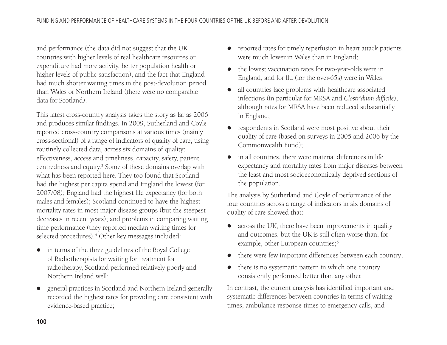and performance (the data did not suggest that the UK countries with higher levels of real healthcare resources or expenditure had more activity, better population health or higher levels of public satisfaction), and the fact that England had much shorter waiting times in the post-devolution period than Wales or Northern Ireland (there were no comparable data for Scotland).

This latest cross-country analysis takes the story as far as 2006 and produces similar findings. In 2009, Sutherland and Coyle reported cross-country comparisons at various times (mainly cross-sectional) of a range of indicators of quality of care, using routinely collected data, across six domains of quality: effectiveness, access and timeliness, capacity, safety, patient centredness and equity.3 Some of these domains overlap with what has been reported here. They too found that Scotland had the highest per capita spend and England the lowest (for 2007/08); England had the highest life expectancy (for both males and females); Scotland continued to have the highest mortality rates in most major disease groups (but the steepest decreases in recent years); and problems in comparing waiting time performance (they reported median waiting times for selected procedures).<sup>4</sup> Other key messages included:

- in terms of the three guidelines of the Royal College of Radiotherapists for waiting for treatment for radiotherapy, Scotland performed relatively poorly and Northern Ireland well;
- $\bullet$  general practices in Scotland and Northern Ireland generally recorded the highest rates for providing care consistent with evidence-based practice;
- $\bullet$  reported rates for timely reperfusion in heart attack patients were much lower in Wales than in England;
- $\bullet$  the lowest vaccination rates for two-year-olds were in England, and for flu (for the over-65s) were in Wales;
- $\bullet$  all countries face problems with healthcare associated infections (in particular for MRSA and *Clostridium difficile*), although rates for MRSA have been reduced substantially in England;
- $\bullet$  respondents in Scotland were most positive about their quality of care (based on surveys in 2005 and 2006 by the Commonwealth Fund);
- $\bullet$  in all countries, there were material differences in life expectancy and mortality rates from major diseases between the least and most socioeconomically deprived sections of the population.

The analysis by Sutherland and Coyle of performance of the four countries across a range of indicators in six domains of quality of care showed that:

- across the UK, there have been improvements in quality and outcomes, but the UK is still often worse than, for example, other European countries;<sup>5</sup>
- $\bullet$ there were few important differences between each country;
- there is no systematic pattern in which one country consistently performed better than any other.

In contrast, the current analysis has identified important and systematic differences between countries in terms of waiting times, ambulance response times to emergency calls, and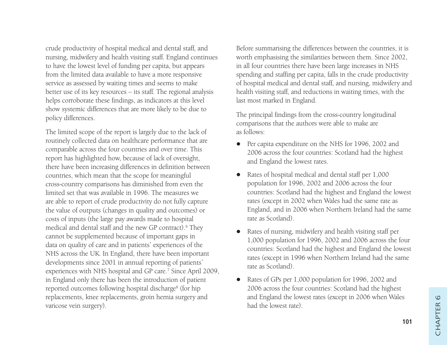crude productivity of hospital medical and dental staff, and nursing, midwifery and health visiting staff. England continues to have the lowest level of funding per capita, but appears from the limited data available to have a more responsive service as assessed by waiting times and seems to make better use of its key resources – its staff. The regional analysis helps corroborate these findings, as indicators at this level show systemic differences that are more likely to be due to policy differences.

The limited scope of the report is largely due to the lack of routinely collected data on healthcare performance that are comparable across the four countries and over time. This report has highlighted how, because of lack of oversight, there have been increasing differences in definition between countries, which mean that the scope for meaningful cross-country comparisons has diminished from even the limited set that was available in 1996. The measures we are able to report of crude productivity do not fully capture the value of outputs (changes in quality and outcomes) or costs of inputs (the large pay awards made to hospital medical and dental staff and the new GP contract).6 They cannot be supplemented because of important gaps in data on quality of care and in patients' experiences of the NHS across the UK. In England, there have been important developments since 2001 in annual reporting of patients' experiences with NHS hospital and GP care.<sup>7</sup> Since April 2009, in England only there has been the introduction of patient reported outcomes following hospital discharge8 (for hip replacements, knee replacements, groin hernia surgery and varicose vein surgery).

Before summarising the differences between the countries, it is worth emphasising the similarities between them. Since 2002, in all four countries there have been large increases in NHS spending and staffing per capita, falls in the crude productivity of hospital medical and dental staff, and nursing, midwifery and health visiting staff, and reductions in waiting times, with the last most marked in England.

The principal findings from the cross-country longitudinal comparisons that the authors were able to make are as follows:

- $\bullet$  Per capita expenditure on the NHS for 1996, 2002 and 2006 across the four countries: Scotland had the highest and England the lowest rates.
- $\bullet$  Rates of hospital medical and dental staff per 1,000 population for 1996, 2002 and 2006 across the four countries: Scotland had the highest and England the lowest rates (except in 2002 when Wales had the same rate as England, and in 2006 when Northern Ireland had the same rate as Scotland).
- $\bullet$  Rates of nursing, midwifery and health visiting staff per 1,000 population for 1996, 2002 and 2006 across the four countries: Scotland had the highest and England the lowest rates (except in 1996 when Northern Ireland had the same rate as Scotland).
- $\bullet$  Rates of GPs per 1,000 population for 1996, 2002 and 2006 across the four countries: Scotland had the highest and England the lowest rates (except in 2006 when Wales had the lowest rate).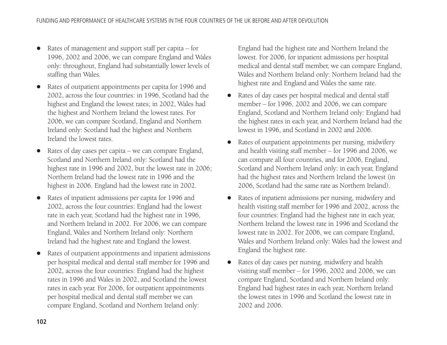- $\bullet$  Rates of management and support staff per capita – for 1996, 2002 and 2006, we can compare England and Wales only: throughout, England had substantially lower levels of staffing than Wales.
- $\bullet$  Rates of outpatient appointments per capita for 1996 and 2002, across the four countries: in 1996, Scotland had the highest and England the lowest rates; in 2002, Wales had the highest and Northern Ireland the lowest rates. For 2006, we can compare Scotland, England and Northern Ireland only: Scotland had the highest and Northern Ireland the lowest rates.
- $\bullet$  Rates of day cases per capita – we can compare England, Scotland and Northern Ireland only: Scotland had the highest rate in 1996 and 2002, but the lowest rate in 2006; Northern Ireland had the lowest rate in 1996 and the highest in 2006. England had the lowest rate in 2002.
- $\bullet$  Rates of inpatient admissions per capita for 1996 and 2002, across the four countries: England had the lowest rate in each year, Scotland had the highest rate in 1996, and Northern Ireland in 2002. For 2006, we can compare England, Wales and Northern Ireland only: Northern Ireland had the highest rate and England the lowest.
- $\bullet$  Rates of outpatient appointments and inpatient admissions per hospital medical and dental staff member for 1996 and 2002, across the four countries: England had the highest rates in 1996 and Wales in 2002, and Scotland the lowest rates in each year. For 2006, for outpatient appointments per hospital medical and dental staff member we can compare England, Scotland and Northern Ireland only:

England had the highest rate and Northern Ireland the lowest. For 2006, for inpatient admissions per hospital medical and dental staff member, we can compare England, Wales and Northern Ireland only: Northern Ireland had the highest rate and England and Wales the same rate.

- $\bullet$  Rates of day cases per hospital medical and dental staff member – for 1996, 2002 and 2006, we can compare England, Scotland and Northern Ireland only: England had the highest rates in each year, and Northern Ireland had the lowest in 1996, and Scotland in 2002 and 2006.
- Rates of outpatient appointments per nursing, midwifery and health visiting staff member – for 1996 and 2006, we can compare all four countries, and for 2006, England, Scotland and Northern Ireland only: in each year, England had the highest rates and Northern Ireland the lowest (in 2006, Scotland had the same rate as Northern Ireland).
- Rates of inpatient admissions per nursing, midwifery and health visiting staff member for 1996 and 2002, across the four countries: England had the highest rate in each year, Northern Ireland the lowest rate in 1996 and Scotland the lowest rate in 2002. For 2006, we can compare England, Wales and Northern Ireland only: Wales had the lowest and England the highest rate.
- Rates of day cases per nursing, midwifery and health visiting staff member – for 1996, 2002 and 2006, we can compare England, Scotland and Northern Ireland only: England had highest rates in each year, Northern Ireland the lowest rates in 1996 and Scotland the lowest rate in 2002 and 2006.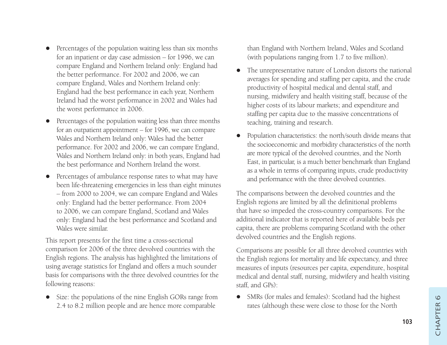- $\bullet$  Percentages of the population waiting less than six months for an inpatient or day case admission – for 1996, we can compare England and Northern Ireland only: England had the better performance. For 2002 and 2006, we can compare England, Wales and Northern Ireland only: England had the best performance in each year, Northern Ireland had the worst performance in 2002 and Wales had the worst performance in 2006.
- $\bullet$  Percentages of the population waiting less than three months for an outpatient appointment – for 1996, we can compare Wales and Northern Ireland only: Wales had the better performance. For 2002 and 2006, we can compare England, Wales and Northern Ireland only: in both years, England had the best performance and Northern Ireland the worst.
- $\bullet$  Percentages of ambulance response rates to what may have been life-threatening emergencies in less than eight minutes – from 2000 to 2004, we can compare England and Wales only: England had the better performance. From 2004 to 2006, we can compare England, Scotland and Wales only: England had the best performance and Scotland and Wales were similar.

This report presents for the first time a cross-sectional comparison for 2006 of the three devolved countries with the English regions. The analysis has highlighted the limitations of using average statistics for England and offers a much sounder basis for comparisons with the three devolved countries for the following reasons:

• Size: the populations of the nine English GORs range from 2.4 to 8.2 million people and are hence more comparable

than England with Northern Ireland, Wales and Scotland (with populations ranging from 1.7 to five million).

- $\bullet$  The unrepresentative nature of London distorts the national averages for spending and staffing per capita, and the crude productivity of hospital medical and dental staff, and nursing, midwifery and health visiting staff, because of the higher costs of its labour markets; and expenditure and staffing per capita due to the massive concentrations of teaching, training and research.
- $\bullet$  Population characteristics: the north/south divide means that the socioeconomic and morbidity characteristics of the north are more typical of the devolved countries, and the North East, in particular, is a much better benchmark than England as a whole in terms of comparing inputs, crude productivity and performance with the three devolved countries.

The comparisons between the devolved countries and the English regions are limited by all the definitional problems that have so impeded the cross-country comparisons. For the additional indicator that is reported here of available beds per capita, there are problems comparing Scotland with the other devolved countries and the English regions.

Comparisons are possible for all three devolved countries with the English regions for mortality and life expectancy, and three measures of inputs (resources per capita, expenditure, hospital medical and dental staff, nursing, midwifery and health visiting staff, and GPs):

• SMRs (for males and females): Scotland had the highest rates (although these were close to those for the North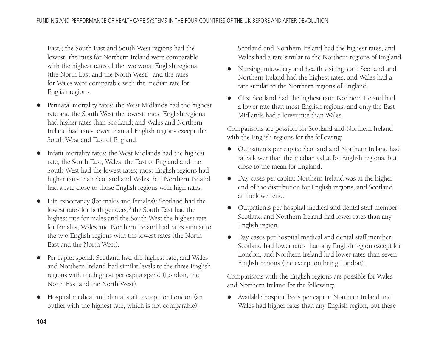East); the South East and South West regions had the lowest; the rates for Northern Ireland were comparable with the highest rates of the two worst English regions (the North East and the North West); and the rates for Wales were comparable with the median rate for English regions.

- $\bullet$  Perinatal mortality rates: the West Midlands had the highest rate and the South West the lowest; most English regions had higher rates than Scotland; and Wales and Northern Ireland had rates lower than all English regions except the South West and East of England.
- $\bullet$  Infant mortality rates: the West Midlands had the highest rate; the South East, Wales, the East of England and the South West had the lowest rates; most English regions had higher rates than Scotland and Wales, but Northern Ireland had a rate close to those English regions with high rates.
- $\bullet$  Life expectancy (for males and females): Scotland had the lowest rates for both genders;<sup>9</sup> the South East had the highest rate for males and the South West the highest rate for females; Wales and Northern Ireland had rates similar to the two English regions with the lowest rates (the North East and the North West).
- $\bullet$  Per capita spend: Scotland had the highest rate, and Wales and Northern Ireland had similar levels to the three English regions with the highest per capita spend (London, the North East and the North West).
- $\bullet$  Hospital medical and dental staff: except for London (an outlier with the highest rate, which is not comparable),

Scotland and Northern Ireland had the highest rates, and Wales had a rate similar to the Northern regions of England.

- $\bullet$  Nursing, midwifery and health visiting staff: Scotland and Northern Ireland had the highest rates, and Wales had a rate similar to the Northern regions of England.
- GPs: Scotland had the highest rate; Northern Ireland had a lower rate than most English regions; and only the East Midlands had a lower rate than Wales.

Comparisons are possible for Scotland and Northern Ireland with the English regions for the following:

- $\bullet$  Outpatients per capita: Scotland and Northern Ireland had rates lower than the median value for English regions, but close to the mean for England.
- $\bullet$  Day cases per capita: Northern Ireland was at the higher end of the distribution for English regions, and Scotland at the lower end.
- $\bullet$  Outpatients per hospital medical and dental staff member: Scotland and Northern Ireland had lower rates than any English region.
- Day cases per hospital medical and dental staff member: Scotland had lower rates than any English region except for London, and Northern Ireland had lower rates than seven English regions (the exception being London).

Comparisons with the English regions are possible for Wales and Northern Ireland for the following:

- Available hospital beds per capita: Northern Ireland and Wales had higher rates than any English region, but these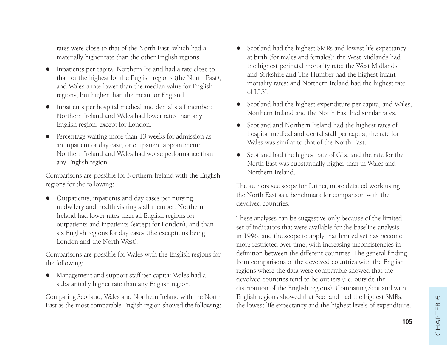rates were close to that of the North East, which had a materially higher rate than the other English regions.

- Inpatients per capita: Northern Ireland had a rate close to that for the highest for the English regions (the North East), and Wales a rate lower than the median value for English regions, but higher than the mean for England.
- $\bullet$  Inpatients per hospital medical and dental staff member: Northern Ireland and Wales had lower rates than any English region, except for London.
- $\bullet$  Percentage waiting more than 13 weeks for admission as an inpatient or day case, or outpatient appointment: Northern Ireland and Wales had worse performance than any English region.

Comparisons are possible for Northern Ireland with the English regions for the following:

 $\bullet$  Outpatients, inpatients and day cases per nursing, midwifery and health visiting staff member: Northern Ireland had lower rates than all English regions for outpatients and inpatients (except for London), and than six English regions for day cases (the exceptions being London and the North West).

Comparisons are possible for Wales with the English regions for the following:

 $\bullet$  Management and support staff per capita: Wales had a substantially higher rate than any English region.

Comparing Scotland, Wales and Northern Ireland with the North East as the most comparable English region showed the following:

- Scotland had the highest SMRs and lowest life expectancy at birth (for males and females); the West Midlands had the highest perinatal mortality rate; the West Midlands and Yorkshire and The Humber had the highest infant mortality rates; and Northern Ireland had the highest rate of LLSI.
- $\bullet$  Scotland had the highest expenditure per capita, and Wales, Northern Ireland and the North East had similar rates.
- $\bullet$  Scotland and Northern Ireland had the highest rates of hospital medical and dental staff per capita; the rate for Wales was similar to that of the North East.
- $\bullet$  Scotland had the highest rate of GPs, and the rate for the North East was substantially higher than in Wales and Northern Ireland.

The authors see scope for further, more detailed work using the North East as a benchmark for comparison with the devolved countries.

These analyses can be suggestive only because of the limited set of indicators that were available for the baseline analysis in 1996, and the scope to apply that limited set has become more restricted over time, with increasing inconsistencies in definition between the different countries. The general finding from comparisons of the devolved countries with the English regions where the data were comparable showed that the devolved countries tend to be outliers (i.e. outside the distribution of the English regions). Comparing Scotland with English regions showed that Scotland had the highest SMRs, the lowest life expectancy and the highest levels of expenditure.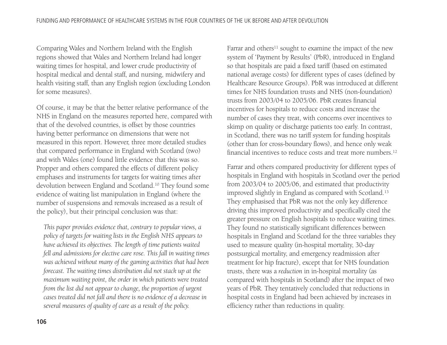Comparing Wales and Northern Ireland with the English regions showed that Wales and Northern Ireland had longer waiting times for hospital, and lower crude productivity of hospital medical and dental staff, and nursing, midwifery and health visiting staff, than any English region (excluding London for some measures).

Of course, it may be that the better relative performance of the NHS in England on the measures reported here, compared with that of the devolved countries, is offset by those countries having better performance on dimensions that were not measured in this report. However, three more detailed studies that compared performance in England with Scotland (two) and with Wales (one) found little evidence that this was so. Propper and others compared the effects of different policy emphases and instruments for targets for waiting times after devolution between England and Scotland.10 They found some evidence of waiting list manipulation in England (where the number of suspensions and removals increased as a result of the policy), but their principal conclusion was that:

*This paper provides evidence that, contrary to popular views, a policy of targets for waiting lists in the English NHS appears to have achieved its objectives. The length of time patients waited fell and admissions for elective care rose. This fall in waiting times was achieved without many of the gaming activities that had been forecast. The waiting times distribution did not stack up at the maximum waiting point, the order in which patients were treated from the list did not appear to change, the proportion of urgent cases treated did not fall and there is no evidence of a decrease in several measures of quality of care as a result of the policy.*

Farrar and others<sup>11</sup> sought to examine the impact of the new system of 'Payment by Results' (PbR), introduced in England so that hospitals are paid a fixed tariff (based on estimated national average costs) for different types of cases (defined by Healthcare Resource Groups). PbR was introduced at different times for NHS foundation trusts and NHS (non-foundation) trusts from 2003/04 to 2005/06. PbR creates financial incentives for hospitals to reduce costs and increase the number of cases they treat, with concerns over incentives to skimp on quality or discharge patients too early. In contrast, in Scotland, there was no tariff system for funding hospitals (other than for cross-boundary flows), and hence only weak financial incentives to reduce costs and treat more numbers.12

Farrar and others compared productivity for different types of hospitals in England with hospitals in Scotland over the period from 2003/04 to 2005/06, and estimated that productivity improved slightly in England as compared with Scotland.13 They emphasised that PbR was not the only key difference driving this improved productivity and specifically cited the greater pressure on English hospitals to reduce waiting times. They found no statistically significant differences between hospitals in England and Scotland for the three variables they used to measure quality (in-hospital mortality, 30-day postsurgical mortality, and emergency readmission after treatment for hip fracture), except that for NHS foundation trusts, there was a *reduction* in in-hospital mortality (as compared with hospitals in Scotland) after the impact of two years of PbR. They tentatively concluded that reductions in hospital costs in England had been achieved by increases in efficiency rather than reductions in quality.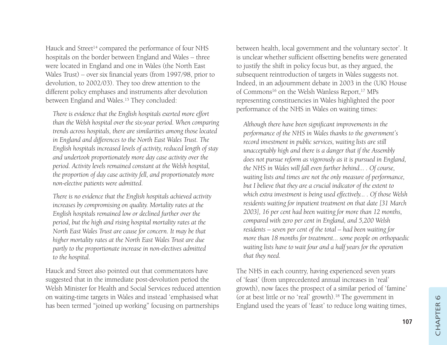Hauck and Street<sup>14</sup> compared the performance of four NHS hospitals on the border between England and Wales – three were located in England and one in Wales (the North East Wales Trust) – over six financial years (from 1997/98, prior to devolution, to 2002/03). They too drew attention to the different policy emphases and instruments after devolution between England and Wales.15 They concluded:

*There is evidence that the English hospitals exerted more effort than the Welsh hospital over the six-year period. When comparing trends across hospitals, there are similarities among those located in England and differences to the North East Wales Trust. The English hospitals increased levels of activity, reduced length of stay and undertook proportionately more day case activity over the period. Activity levels remained constant at the Welsh hospital, the proportion of day case activity fell, and proportionately more non-elective patients were admitted.*

*There is no evidence that the English hospitals achieved activity increases by compromising on quality. Mortality rates at the English hospitals remained low or declined further over the period, but the high and rising hospital mortality rates at the North East Wales Trust are cause for concern. It may be that higher mortality rates at the North East Wales Trust are due partly to the proportionate increase in non-electives admitted to the hospital.*

Hauck and Street also pointed out that commentators have suggested that in the immediate post-devolution period the Welsh Minister for Health and Social Services reduced attention on waiting-time targets in Wales and instead 'emphasised what has been termed "joined up working" focusing on partnerships

between health, local government and the voluntary sector'. It is unclear whether sufficient offsetting benefits were generated to justify the shift in policy focus but, as they argued, the subsequent reintroduction of targets in Wales suggests not. Indeed, in an adjournment debate in 2003 in the (UK) House of Commons<sup>16</sup> on the Welsh Wanless Report,<sup>17</sup> MPs representing constituencies in Wales highlighted the poor performance of the NHS in Wales on waiting times:

*Although there have been significant improvements in the performance of the NHS in Wales thanks to the government's record investment in public services, waiting lists are still unacceptably high and there is a danger that if the Assembly does not pursue reform as vigorously as it is pursued in England, the NHS in Wales will fall even further behind... . Of course, waiting lists and times are not the only measure of performance, but I believe that they are a crucial indicator of the extent to which extra investment is being used effectively... . Of those Welsh residents waiting for inpatient treatment on that date [31 March 2003], 16 per cent had been waiting for more than 12 months, compared with zero per cent in England, and 5,200 Welsh residents – seven per cent of the total – had been waiting for more than 18 months for treatment... some people on orthopaedic waiting lists have to wait four and a half years for the operation that they need.*

The NHS in each country, having experienced seven years of 'feast' (from unprecedented annual increases in 'real' growth), now faces the prospect of a similar period of 'famine' (or at best little or no 'real' growth).18 The government in England used the years of 'feast' to reduce long waiting times,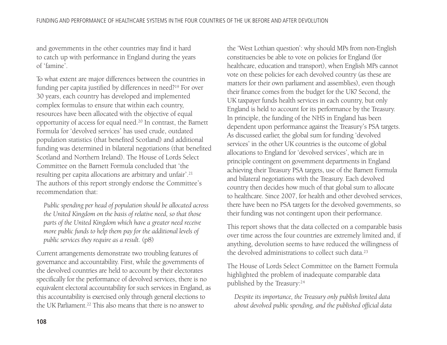and governments in the other countries may find it hard to catch up with performance in England during the years of 'famine'.

To what extent are major differences between the countries in funding per capita justified by differences in need?19 For over 30 years, each country has developed and implemented complex formulas to ensure that within each country, resources have been allocated with the objective of equal opportunity of access for equal need.20 In contrast, the Barnett Formula for 'devolved services' has used crude, outdated population statistics (that benefited Scotland) and additional funding was determined in bilateral negotiations (that benefited Scotland and Northern Ireland). The House of Lords Select Committee on the Barnett Formula concluded that 'the resulting per capita allocations are arbitrary and unfair'.21 The authors of this report strongly endorse the Committee's recommendation that:

*Public spending per head of population should be allocated across the United Kingdom on the basis of relative need, so that those parts of the United Kingdom which have a greater need receive more public funds to help them pay for the additional levels of public services they require as a result.* (p8)

Current arrangements demonstrate two troubling features of governance and accountability. First, while the governments of the devolved countries are held to account by their electorates specifically for the performance of devolved services, there is no equivalent electoral accountability for such services in England, as this accountability is exercised only through general elections to the UK Parliament.22 This also means that there is no answer to

the 'West Lothian question': why should MPs from non-English constituencies be able to vote on policies for England (for healthcare, education and transport), when English MPs cannot vote on these policies for each devolved country (as these are matters for their own parliament and assemblies), even though their finance comes from the budget for the UK? Second, the UK taxpayer funds health services in each country, but only England is held to account for its performance by the Treasury. In principle, the funding of the NHS in England has been dependent upon performance against the Treasury's PSA targets. As discussed earlier, the global sum for funding 'devolved services' in the other UK countries is the outcome of global allocations to England for 'devolved services', which are in principle contingent on government departments in England achieving their Treasury PSA targets, use of the Barnett Formula and bilateral negotiations with the Treasury. Each devolved country then decides how much of that global sum to allocate to healthcare. Since 2007, for health and other devolved services, there have been no PSA targets for the devolved governments, so their funding was not contingent upon their performance.

This report shows that the data collected on a comparable basis over time across the four countries are extremely limited and, if anything, devolution seems to have reduced the willingness of the devolved administrations to collect such data.23

The House of Lords Select Committee on the Barnett Formula highlighted the problem of inadequate comparable data published by the Treasury:24

*Despite its importance, the Treasury only publish limited data about devolved public spending, and the published official data*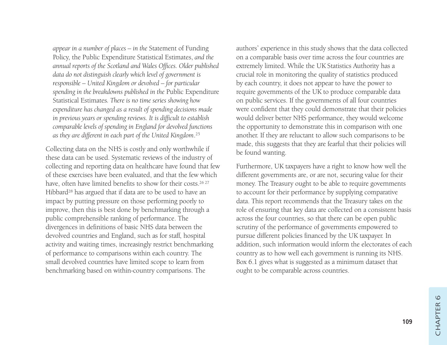*appear in a number of places – in the* Statement of Funding Policy, the Public Expenditure Statistical Estimates, *and the annual reports of the Scotland and Wales Offices. Older published data do not distinguish clearly which level of government is responsible – United Kingdom or devolved – for particular spending in the breakdowns published in the* Public Expenditure Statistical Estimates*. There is no time series showing how expenditure has changed as a result of spending decisions made in previous years or spending reviews. It is difficult to establish comparable levels of spending in England for devolved functions as they are different in each part of the United Kingdom*. 25

Collecting data on the NHS is costly and only worthwhile if these data can be used. Systematic reviews of the industry of collecting and reporting data on healthcare have found that few of these exercises have been evaluated, and that the few which have, often have limited benefits to show for their costs.<sup>26,27</sup> Hibbard<sup>28</sup> has argued that if data are to be used to have an impact by putting pressure on those performing poorly to improve, then this is best done by benchmarking through a public comprehensible ranking of performance. The divergences in definitions of basic NHS data between the devolved countries and England, such as for staff, hospital activity and waiting times, increasingly restrict benchmarking of performance to comparisons within each country. The small devolved countries have limited scope to learn from benchmarking based on within-country comparisons. The

authors' experience in this study shows that the data collected on a comparable basis over time across the four countries are extremely limited. While the UK Statistics Authority has a crucial role in monitoring the quality of statistics produced by each country, it does not appear to have the power to require governments of the UK to produce comparable data on public services. If the governments of all four countries were confident that they could demonstrate that their policies would deliver better NHS performance, they would welcome the opportunity to demonstrate this in comparison with one another. If they are reluctant to allow such comparisons to be made, this suggests that they are fearful that their policies will be found wanting.

Furthermore, UK taxpayers have a right to know how well the different governments are, or are not, securing value for their money. The Treasury ought to be able to require governments to account for their performance by supplying comparative data. This report recommends that the Treasury takes on the role of ensuring that key data are collected on a consistent basis across the four countries, so that there can be open public scrutiny of the performance of governments empowered to pursue different policies financed by the UK taxpayer. In addition, such information would inform the electorates of each country as to how well each government is running its NHS. Box 6.1 gives what is suggested as a minimum dataset that ought to be comparable across countries.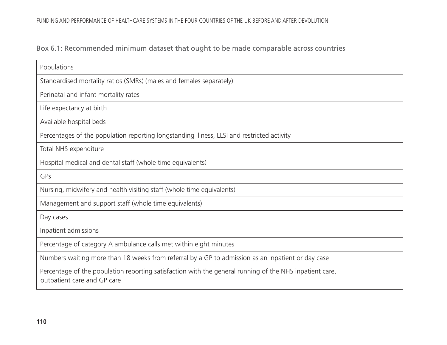#### Box 6.1: Recommended minimum dataset that ought to be made comparable across countries

| Populations                                                                                                                            |
|----------------------------------------------------------------------------------------------------------------------------------------|
| Standardised mortality ratios (SMRs) (males and females separately)                                                                    |
| Perinatal and infant mortality rates                                                                                                   |
| Life expectancy at birth                                                                                                               |
| Available hospital beds                                                                                                                |
| Percentages of the population reporting longstanding illness, LLSI and restricted activity                                             |
| Total NHS expenditure                                                                                                                  |
| Hospital medical and dental staff (whole time equivalents)                                                                             |
| GPs                                                                                                                                    |
| Nursing, midwifery and health visiting staff (whole time equivalents)                                                                  |
| Management and support staff (whole time equivalents)                                                                                  |
| Day cases                                                                                                                              |
| Inpatient admissions                                                                                                                   |
| Percentage of category A ambulance calls met within eight minutes                                                                      |
| Numbers waiting more than 18 weeks from referral by a GP to admission as an inpatient or day case                                      |
| Percentage of the population reporting satisfaction with the general running of the NHS inpatient care,<br>outpatient care and GP care |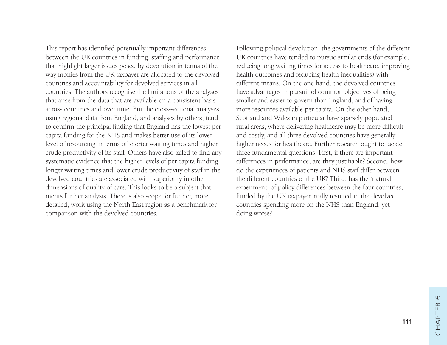This report has identified potentially important differences between the UK countries in funding, staffing and performance that highlight larger issues posed by devolution in terms of the way monies from the UK taxpayer are allocated to the devolved countries and accountability for devolved services in all countries. The authors recognise the limitations of the analyses that arise from the data that are available on a consistent basis across countries and over time. But the cross-sectional analyses using regional data from England, and analyses by others, tend to confirm the principal finding that England has the lowest per capita funding for the NHS and makes better use of its lower level of resourcing in terms of shorter waiting times and higher crude productivity of its staff. Others have also failed to find any systematic evidence that the higher levels of per capita funding, longer waiting times and lower crude productivity of staff in the devolved countries are associated with superiority in other dimensions of quality of care. This looks to be a subject that merits further analysis. There is also scope for further, more detailed, work using the North East region as a benchmark for comparison with the devolved countries.

Following political devolution, the governments of the different UK countries have tended to pursue similar ends (for example, reducing long waiting times for access to healthcare, improving health outcomes and reducing health inequalities) with different means. On the one hand, the devolved countries have advantages in pursuit of common objectives of being smaller and easier to govern than England, and of having more resources available per capita. On the other hand, Scotland and Wales in particular have sparsely populated rural areas, where delivering healthcare may be more difficult and costly, and all three devolved countries have generally higher needs for healthcare. Further research ought to tackle three fundamental questions. First, if there are important differences in performance, are they justifiable? Second, how do the experiences of patients and NHS staff differ between the different countries of the UK? Third, has the 'natural experiment' of policy differences between the four countries, funded by the UK taxpayer, really resulted in the devolved countries spending more on the NHS than England, yet doing worse?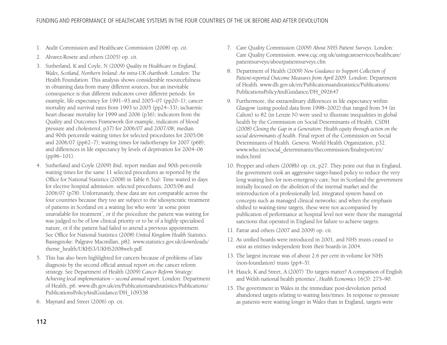- 1. Audit Commission and Healthcare Commission (2008) op. cit.
- 2. Alvarez-Rosete and others (2005) op. cit.
- 3. Sutherland, K and Coyle, N (2009) *Quality in Healthcare in England, Wales, Scotland, Northern Ireland: An intra-UK chartbook*. London: The Health Foundation. This analysis shows considerable resourcefulness in obtaining data from many different sources, but an inevitable consequence is that different indicators cover different periods: for example, life expectancy for 1991–93 and 2005–07 (pp20–1); cancer mortality and survival rates from 1993 to 2005 (pp24–33); ischaemic heart disease mortality for 1999 and 2006 (p36); indicators from the Quality and Outcomes Framework (for example, indicators of blood pressure and cholesterol, p37) for 2006/07 and 2007/08; median and 90th percentile waiting times for selected procedures for 2005/06 and 2006/07 (pp62–7); waiting times for radiotherapy for 2007 (p68); and differences in life expectancy by levels of deprivation for 2004–06 (pp96–101).
- 4. Sutherland and Coyle (2009) ibid. report median and 90th percentile waiting times for the same 11 selected procedures as reported by the Office for National Statistics (2008) in Table 6.5(a): Time waited in days for elective hospital admission: selected procedures, 2005/06 and 2006/07 (p78). Unfortunately, these data are not comparable across the four countries because they too are subject to the idiosyncratic treatment of patients in Scotland on a waiting list who were 'at some point unavailable for treatment', or if the procedure the patient was waiting for was judged to be of low clinical priority or to be of a highly specialised nature, or if the patient had failed to attend a previous appointment. See Office for National Statistics (2008) *United Kingdom Health Statistics*. Basingstoke: Palgrave Macmillan, p82. www.statistics.gov.uk/downloads/ theme\_health/UKHS3/UKHS2008web.pdf
- 5. This has also been highlighted for cancers because of problems of late diagnosis by the second official annual report on the cancer reform strategy. See Department of Health (2009) *Cancer Reform Strategy: Achieving local implementation – second annual report*. London: Department of Health, p6. www.dh.gov.uk/en/Publicationsandstatistics/Publications/ PublicationsPolicyAndGuidance/DH\_109338
- 6. Maynard and Street (2006) op. cit.
- 7. Care Quality Commission (2009) *About NHS Patient Surveys*. London: Care Quality Commission. www.cqc.org.uk/usingcareservices/healthcare/ patientsurveys/aboutpatientsurveys.cfm
- 8. Department of Health (2009) *New Guidance to Support Collection of Patient-reported Outcome Measures from April 2009*. London: Department of Health. www.dh.gov.uk/en/Publicationsandstatistics/Publications/ PublicationsPolicyAndGuidance/DH\_092647
- 9. Furthermore, the extraordinary differences in life expectancy within Glasgow (using pooled data from 1998–2002) that ranged from 54 (in Calton) to 82 (in Lenzie N) were used to illustrate inequalities in global health by the Commission on Social Determinants of Health. CSDH (2008) *Closing the Gap in a Generation: Health equity through action on the social determinants of health*. Final report of the Commission on Social Determinants of Health. Geneva: World Health Organization, p32. www.who.int/social\_determinants/thecommission/finalreport/en/ index.html
- 10. Propper and others (2008b) op. cit, p27. They point out that in England, the government took an aggressive target-based policy to reduce the very long waiting lists for non-emergency care; but in Scotland the government initially focused on the abolition of the internal market and the reintroduction of a professionally led, integrated system based on concepts such as managed clinical networks; and when the emphasis shifted to waiting-time targets, these were not accompanied by publication of performance at hospital level nor were there the managerial sanctions that operated in England for failure to achieve targets.
- 11. Farrar and others (2007 and 2009) op. cit.
- 12. As unified boards were introduced in 2001, and NHS trusts ceased to exist as entities independent from their boards in 2004.
- 13. The largest increase was of about 2.6 per cent in volume for NHS (non-foundation) trusts (pp4–5).
- 14. Hauck, K and Street, A (2007) 'Do targets matter? A comparison of English and Welsh national health priorities', *Health Economics* 16(3): 275–90.
- 15. The government in Wales in the immediate post-devolution period abandoned targets relating to waiting lists/times. In response to pressure as patients were waiting longer in Wales than in England, targets were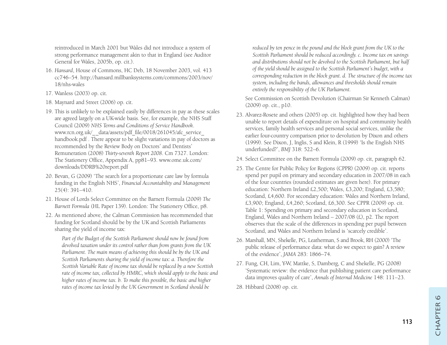reintroduced in March 2001 but Wales did not introduce a system of strong performance management akin to that in England (see Auditor General for Wales, 2005b, op. cit.).

- 16. *Hansard*, House of Commons, HC Deb, 18 November 2003, vol. 413 cc746–54. http://hansard.millbanksystems.com/commons/2003/nov/ 18/nhs-wales
- 17. Wanless (2003) op. cit.
- 18. Maynard and Street (2006) op. cit.
- 19. This is unlikely to be explained easily by differences in pay as these scales are agreed largely on a UK-wide basis. See, for example, the NHS Staff Council (2009) *NHS Terms and Conditions of Service Handbook*. www.rcn.org.uk/\_\_data/assets/pdf\_file/0018/261045/afc\_service\_ handbook.pdf . There appear to be slight variations in pay of doctors as recommended by the Review Body on Doctors' and Dentists' Remuneration (2008) *Thirty-seventh Report 2008*. Cm 7327. London: The Stationery Office, Appendix A, pp81–93. www.ome.uk.com/ downloads/DDRB%20report.pdf
- 20. Bevan, G (2009) 'The search for a proportionate care law by formula funding in the English NHS', *Financial Accountability and Management* 25(4): 391–410.
- 21. House of Lords Select Committee on the Barnett Formula (2009) *The Barnett Formula* (HL Paper 139). London: The Stationery Office, p8.
- 22. As mentioned above, the Calman Commission has recommended that funding for Scotland should be by the UK and Scottish Parliaments sharing the yield of income tax:

*Part of the Budget of the Scottish Parliament should now be found from devolved taxation under its control rather than from grants from the UK Parliament. The main means of achieving this should be by the UK and Scottish Parliaments sharing the yield of income tax: a. Therefore the Scottish Variable Rate of income tax should be replaced by a new Scottish rate of income tax, collected by HMRC, which should apply to the basic and higher rates of income tax. b. To make this possible, the basic and higher rates of income tax levied by the UK Government in Scotland should be*

*reduced by ten pence in the pound and the block grant from the UK to the Scottish Parliament should be reduced accordingly. c. Income tax on savings and distributions should not be devolved to the Scottish Parliament, but half of the yield should be assigned to the Scottish Parliament's budget, with a corresponding reduction in the block grant. d. The structure of the income tax system, including the bands, allowances and thresholds should remain entirely the responsibility of the UK Parliament.* 

See Commission on Scottish Devolution (Chairman Sir Kenneth Calman) (2009) op. cit., p10.

- 23. Alvarez-Rosete and others (2005) op. cit. highlighted how they had been unable to report details of expenditure on hospital and community health services, family health services and personal social services, unlike the earlier four-country comparison prior to devolution by Dixon and others (1999). See Dixon, J, Inglis, S and Klein, R (1999) 'Is the English NHS underfunded?', *BMJ* 318: 522–6.
- 24. Select Committee on the Barnett Formula (2009) op. cit, paragraph 62.
- 25. The Centre for Public Policy for Regions (CPPR) (2009) op. cit. reports spend per pupil on primary and secondary education in 2007/08 in each of the four countries (rounded estimates are given here). For primary education: Northern Ireland £2,500; Wales, £3,200; England, £3,580; Scotland, £4,600. For secondary education: Wales and Northern Ireland, £3,900; England, £4,260; Scotland, £6,300. See CPPR (2009) op. cit. Table 1: Spending on primary and secondary education in Scotland, England, Wales and Northern Ireland – 2007/08 (£), p2. The report observes that the scale of the differences in spending per pupil between Scotland, and Wales and Northern Ireland is 'scarcely credible'.
- 26. Marshall, MN, Shekelle, PG, Leatherman, S and Brook, RH (2000) 'The public release of performance data: what do we expect to gain? A review of the evidence', *JAMA* 283: 1866–74.
- 27. Fung, CH, Lim, Y-W, Mattke, S, Damberg, C and Shekelle, PG (2008) 'Systematic review: the evidence that publishing patient care performance data improves quality of care', *Annals of Internal Medicine* 148: 111–23.
- 28. Hibbard (2008) op. cit.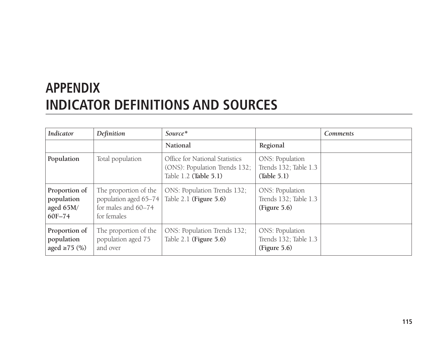# **APPENDIX INDICATOR DEFINITIONS AND SOURCES**

| <b>Indicator</b>                                   | Definition                                                                           | Source*                                                                                  |                                                                 | <b>Comments</b> |
|----------------------------------------------------|--------------------------------------------------------------------------------------|------------------------------------------------------------------------------------------|-----------------------------------------------------------------|-----------------|
|                                                    |                                                                                      | National                                                                                 | Regional                                                        |                 |
| Population                                         | Total population                                                                     | Office for National Statistics<br>(ONS): Population Trends 132;<br>Table 1.2 (Table 5.1) | <b>ONS: Population</b><br>Trends 132; Table 1.3<br>(Table 5.1)  |                 |
| Proportion of<br>population<br>aged 65M/<br>60F-74 | The proportion of the<br>population aged 65-74<br>for males and 60-74<br>for females | ONS: Population Trends 132;<br>Table $2.1$ (Figure $5.6$ )                               | <b>ONS: Population</b><br>Trends 132; Table 1.3<br>(Figure 5.6) |                 |
| Proportion of<br>population<br>aged $\geq$ 75 (%)  | The proportion of the<br>population aged 75<br>and over                              | ONS: Population Trends 132;<br>Table $2.1$ (Figure $5.6$ )                               | ONS: Population<br>Trends 132; Table 1.3<br>(Figure 5.6)        |                 |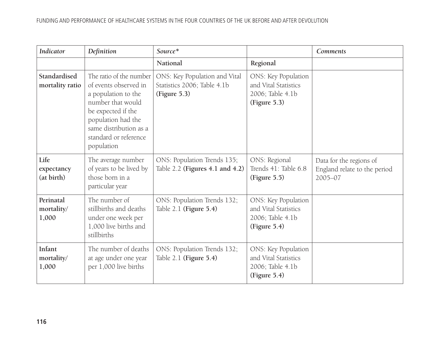| <b>Indicator</b>                 | Definition                                                                                                                                                                                                | Source*                                                                      |                                                                                 | <b>Comments</b>                                                    |
|----------------------------------|-----------------------------------------------------------------------------------------------------------------------------------------------------------------------------------------------------------|------------------------------------------------------------------------------|---------------------------------------------------------------------------------|--------------------------------------------------------------------|
|                                  |                                                                                                                                                                                                           | National                                                                     | Regional                                                                        |                                                                    |
| Standardised<br>mortality ratio  | The ratio of the number<br>of events observed in<br>a population to the<br>number that would<br>be expected if the<br>population had the<br>same distribution as a<br>standard or reference<br>population | ONS: Key Population and Vital<br>Statistics 2006; Table 4.1b<br>(Figure 5.3) | ONS: Key Population<br>and Vital Statistics<br>2006; Table 4.1b<br>(Figure 5.3) |                                                                    |
| Life<br>expectancy<br>(at birth) | The average number<br>of years to be lived by<br>those born in a<br>particular year                                                                                                                       | ONS: Population Trends 135;<br>Table 2.2 (Figures 4.1 and 4.2)               | ONS: Regional<br>Trends 41: Table 6.8<br>(Figure 5.5)                           | Data for the regions of<br>England relate to the period<br>2005-07 |
| Perinatal<br>mortality/<br>1,000 | The number of<br>stillbirths and deaths<br>under one week per<br>1,000 live births and<br>stillbirths                                                                                                     | ONS: Population Trends 132;<br>Table 2.1 (Figure 5.4)                        | ONS: Key Population<br>and Vital Statistics<br>2006; Table 4.1b<br>(Figure 5.4) |                                                                    |
| Infant<br>mortality/<br>1,000    | The number of deaths<br>at age under one year<br>per 1,000 live births                                                                                                                                    | ONS: Population Trends 132;<br>Table 2.1 (Figure 5.4)                        | ONS: Key Population<br>and Vital Statistics<br>2006; Table 4.1b<br>(Figure 5.4) |                                                                    |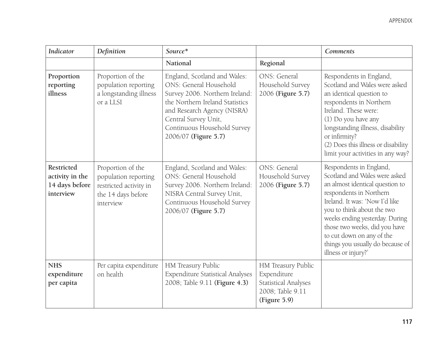| <b>Indicator</b>                                             | Definition                                                                                             | Source*                                                                                                                                                                                                                                   |                                                                                                      | <b>Comments</b>                                                                                                                                                                                                                                                                                                                                   |
|--------------------------------------------------------------|--------------------------------------------------------------------------------------------------------|-------------------------------------------------------------------------------------------------------------------------------------------------------------------------------------------------------------------------------------------|------------------------------------------------------------------------------------------------------|---------------------------------------------------------------------------------------------------------------------------------------------------------------------------------------------------------------------------------------------------------------------------------------------------------------------------------------------------|
|                                                              |                                                                                                        | National                                                                                                                                                                                                                                  | Regional                                                                                             |                                                                                                                                                                                                                                                                                                                                                   |
| Proportion<br>reporting<br>illness                           | Proportion of the<br>population reporting<br>a longstanding illness<br>or a LLSI                       | England, Scotland and Wales:<br>ONS: General Household<br>Survey 2006. Northern Ireland:<br>the Northern Ireland Statistics<br>and Research Agency (NISRA)<br>Central Survey Unit,<br>Continuous Household Survey<br>2006/07 (Figure 5.7) | ONS: General<br>Household Survey<br>2006 (Figure 5.7)                                                | Respondents in England,<br>Scotland and Wales were asked<br>an identical question to<br>respondents in Northern<br>Ireland. These were:<br>(1) Do you have any<br>longstanding illness, disability<br>or infirmity?<br>(2) Does this illness or disability<br>limit your activities in any way?                                                   |
| Restricted<br>activity in the<br>14 days before<br>interview | Proportion of the<br>population reporting<br>restricted activity in<br>the 14 days before<br>interview | England, Scotland and Wales:<br>ONS: General Household<br>Survey 2006. Northern Ireland:<br>NISRA Central Survey Unit,<br>Continuous Household Survey<br>2006/07 (Figure 5.7)                                                             | ONS: General<br>Household Survey<br>2006 (Figure 5.7)                                                | Respondents in England,<br>Scotland and Wales were asked<br>an almost identical question to<br>respondents in Northern<br>Ireland. It was: 'Now I'd like<br>you to think about the two<br>weeks ending yesterday. During<br>those two weeks, did you have<br>to cut down on any of the<br>things you usually do because of<br>illness or injury?' |
| <b>NHS</b><br>expenditure<br>per capita                      | Per capita expenditure<br>on health                                                                    | HM Treasury Public<br><b>Expenditure Statistical Analyses</b><br>2008; Table 9.11 (Figure 4.3)                                                                                                                                            | HM Treasury Public<br>Expenditure<br><b>Statistical Analyses</b><br>2008; Table 9.11<br>(Figure 5.9) |                                                                                                                                                                                                                                                                                                                                                   |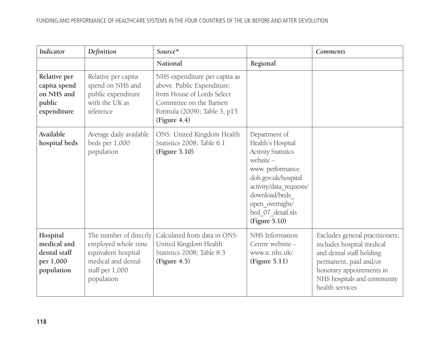| <b>Indicator</b>                                                    | Definition                                                                                                                  | Source*                                                                                                                                                               |                                                                                                                                                                                                                                  | <b>Comments</b>                                                                                                                                                                                  |
|---------------------------------------------------------------------|-----------------------------------------------------------------------------------------------------------------------------|-----------------------------------------------------------------------------------------------------------------------------------------------------------------------|----------------------------------------------------------------------------------------------------------------------------------------------------------------------------------------------------------------------------------|--------------------------------------------------------------------------------------------------------------------------------------------------------------------------------------------------|
|                                                                     |                                                                                                                             | National                                                                                                                                                              | Regional                                                                                                                                                                                                                         |                                                                                                                                                                                                  |
| Relative per<br>capita spend<br>on NHS and<br>public<br>expenditure | Relative per capita<br>spend on NHS and<br>public expenditure<br>with the UK as<br>reference                                | NHS expenditure per capita as<br>above. Public Expenditure:<br>from House of Lords Select<br>Committee on the Barnett<br>Formula (2009); Table 3, p15<br>(Figure 4.4) |                                                                                                                                                                                                                                  |                                                                                                                                                                                                  |
| Available<br>hospital beds                                          | Average daily available<br>beds per 1,000<br>population                                                                     | ONS: United Kingdom Health<br>Statistics 2008; Table 6.1<br>(Figure 5.10)                                                                                             | Department of<br>Health's Hospital<br><b>Activity Statistics</b><br>website $-$<br>www. performance.<br>doh.gov.uk/hospital<br>activity/data_requests/<br>download/beds<br>open overnight/<br>bed_07_detail.xls<br>(Figure 5.10) |                                                                                                                                                                                                  |
| Hospital<br>medical and<br>dental staff<br>per 1,000<br>population  | The number of directly<br>employed whole time<br>equivalent hospital<br>medical and dental<br>staff per 1,000<br>population | Calculated from data in ONS:<br>United Kingdom Health<br>Statistics 2008; Table 8.3<br>(Figure 4.5)                                                                   | NHS Information<br>Centre website -<br>www.ic.nhs.uk/<br>(Figure 5.11)                                                                                                                                                           | Excludes general practitioners;<br>includes hospital medical<br>and dental staff holding<br>permanent, paid and/or<br>honorary appointments in<br>NHS hospitals and community<br>health services |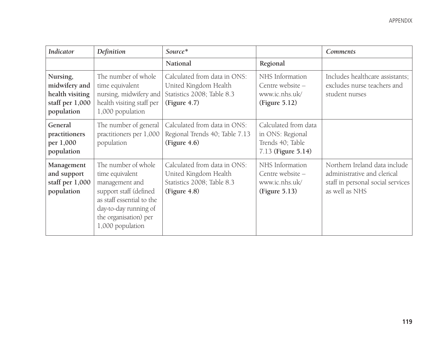| <b>Indicator</b>                                                              | Definition                                                                                                                                                                            | Source*                                                                                             |                                                                                    | <b>Comments</b>                                                                                                     |
|-------------------------------------------------------------------------------|---------------------------------------------------------------------------------------------------------------------------------------------------------------------------------------|-----------------------------------------------------------------------------------------------------|------------------------------------------------------------------------------------|---------------------------------------------------------------------------------------------------------------------|
|                                                                               |                                                                                                                                                                                       | National                                                                                            | Regional                                                                           |                                                                                                                     |
| Nursing,<br>midwifery and<br>health visiting<br>staff per 1,000<br>population | The number of whole<br>time equivalent<br>nursing, midwifery and<br>health visiting staff per<br>1,000 population                                                                     | Calculated from data in ONS:<br>United Kingdom Health<br>Statistics 2008; Table 8.3<br>(Figure 4.7) | NHS Information<br>Centre website -<br>www.ic.nhs.uk/<br>(Figure 5.12)             | Includes healthcare assistants;<br>excludes nurse teachers and<br>student nurses                                    |
| General<br>practitioners<br>per 1,000<br>population                           | The number of general<br>practitioners per 1,000<br>population                                                                                                                        | Calculated from data in ONS:<br>Regional Trends 40; Table 7.13<br>(Figure 4.6)                      | Calculated from data<br>in ONS: Regional<br>Trends 40; Table<br>7.13 (Figure 5.14) |                                                                                                                     |
| Management<br>and support<br>staff per $1,000$<br>population                  | The number of whole<br>time equivalent<br>management and<br>support staff (defined<br>as staff essential to the<br>day-to-day running of<br>the organisation) per<br>1,000 population | Calculated from data in ONS:<br>United Kingdom Health<br>Statistics 2008; Table 8.3<br>(Figure 4.8) | NHS Information<br>Centre website -<br>www.ic.nhs.uk/<br>(Figure 5.13)             | Northern Ireland data include<br>administrative and clerical<br>staff in personal social services<br>as well as NHS |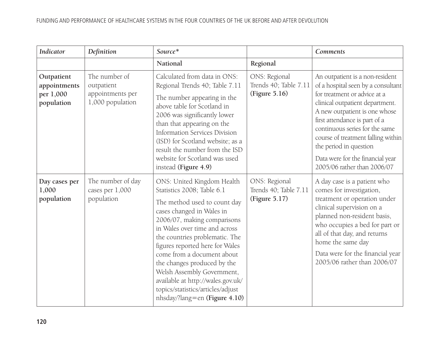| <b>Indicator</b>                                      | Definition                                                          | Source*                                                                                                                                                                                                                                                                                                                                                                                                                                                          |                                                         | <b>Comments</b>                                                                                                                                                                                                                                                                                                                                                                 |
|-------------------------------------------------------|---------------------------------------------------------------------|------------------------------------------------------------------------------------------------------------------------------------------------------------------------------------------------------------------------------------------------------------------------------------------------------------------------------------------------------------------------------------------------------------------------------------------------------------------|---------------------------------------------------------|---------------------------------------------------------------------------------------------------------------------------------------------------------------------------------------------------------------------------------------------------------------------------------------------------------------------------------------------------------------------------------|
|                                                       |                                                                     | National                                                                                                                                                                                                                                                                                                                                                                                                                                                         | Regional                                                |                                                                                                                                                                                                                                                                                                                                                                                 |
| Outpatient<br>appointments<br>per 1,000<br>population | The number of<br>outpatient<br>appointments per<br>1,000 population | Calculated from data in ONS:<br>Regional Trends 40; Table 7.11<br>The number appearing in the<br>above table for Scotland in<br>2006 was significantly lower<br>than that appearing on the<br><b>Information Services Division</b><br>(ISD) for Scotland website; as a<br>result the number from the ISD<br>website for Scotland was used<br>instead (Figure 4.9)                                                                                                | ONS: Regional<br>Trends 40; Table 7.11<br>(Figure 5.16) | An outpatient is a non-resident<br>of a hospital seen by a consultant<br>for treatment or advice at a<br>clinical outpatient department.<br>A new outpatient is one whose<br>first attendance is part of a<br>continuous series for the same<br>course of treatment falling within<br>the period in question<br>Data were for the financial year<br>2005/06 rather than 2006/07 |
| Day cases per<br>1,000<br>population                  | The number of day<br>cases per 1,000<br>population                  | ONS: United Kingdom Health<br>Statistics 2008; Table 6.1<br>The method used to count day<br>cases changed in Wales in<br>2006/07, making comparisons<br>in Wales over time and across<br>the countries problematic. The<br>figures reported here for Wales<br>come from a document about<br>the changes produced by the<br>Welsh Assembly Government,<br>available at http://wales.gov.uk/<br>topics/statistics/articles/adjust<br>nhsday/?lang=en (Figure 4.10) | ONS: Regional<br>Trends 40; Table 7.11<br>(Figure 5.17) | A day case is a patient who<br>comes for investigation,<br>treatment or operation under<br>clinical supervision on a<br>planned non-resident basis,<br>who occupies a bed for part or<br>all of that day, and returns<br>home the same day<br>Data were for the financial year<br>2005/06 rather than 2006/07                                                                   |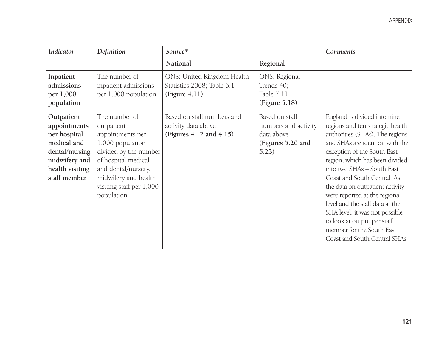| <b>Indicator</b>                                                                                                                 | Definition                                                                                                                                                                                                   | Source*                                                                      |                                                                                    | <b>Comments</b>                                                                                                                                                                                                                                                                                                                                                                                                                                                                                           |
|----------------------------------------------------------------------------------------------------------------------------------|--------------------------------------------------------------------------------------------------------------------------------------------------------------------------------------------------------------|------------------------------------------------------------------------------|------------------------------------------------------------------------------------|-----------------------------------------------------------------------------------------------------------------------------------------------------------------------------------------------------------------------------------------------------------------------------------------------------------------------------------------------------------------------------------------------------------------------------------------------------------------------------------------------------------|
|                                                                                                                                  |                                                                                                                                                                                                              | National                                                                     | Regional                                                                           |                                                                                                                                                                                                                                                                                                                                                                                                                                                                                                           |
| Inpatient<br>admissions<br>per 1,000<br>population                                                                               | The number of<br>inpatient admissions<br>per 1,000 population                                                                                                                                                | ONS: United Kingdom Health<br>Statistics 2008; Table 6.1<br>(Figure 4.11)    | ONS: Regional<br>Trends 40;<br>Table 7.11<br>(Figure 5.18)                         |                                                                                                                                                                                                                                                                                                                                                                                                                                                                                                           |
| Outpatient<br>appointments<br>per hospital<br>medical and<br>dental/nursing,<br>midwifery and<br>health visiting<br>staff member | The number of<br>outpatient<br>appointments per<br>1,000 population<br>divided by the number<br>of hospital medical<br>and dental/nursery,<br>midwifery and health<br>visiting staff per 1,000<br>population | Based on staff numbers and<br>activity data above<br>(Figures 4.12 and 4.15) | Based on staff<br>numbers and activity<br>data above<br>(Figures 5.20 and<br>5.23) | England is divided into nine<br>regions and ten strategic health<br>authorities (SHAs). The regions<br>and SHAs are identical with the<br>exception of the South East<br>region, which has been divided<br>into two SHAs - South East<br>Coast and South Central. As<br>the data on outpatient activity<br>were reported at the regional<br>level and the staff data at the<br>SHA level, it was not possible<br>to look at output per staff<br>member for the South East<br>Coast and South Central SHAs |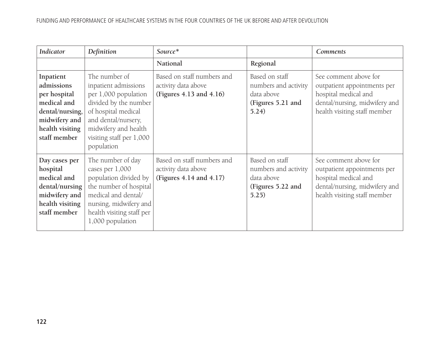| <b>Indicator</b>                                                                                                              | Definition                                                                                                                                                                                             | Source*                                                                      |                                                                                    | <b>Comments</b>                                                                                                                               |
|-------------------------------------------------------------------------------------------------------------------------------|--------------------------------------------------------------------------------------------------------------------------------------------------------------------------------------------------------|------------------------------------------------------------------------------|------------------------------------------------------------------------------------|-----------------------------------------------------------------------------------------------------------------------------------------------|
|                                                                                                                               |                                                                                                                                                                                                        | National                                                                     | Regional                                                                           |                                                                                                                                               |
| Inpatient<br>admissions<br>per hospital<br>medical and<br>dental/nursing,<br>midwifery and<br>health visiting<br>staff member | The number of<br>inpatient admissions<br>per 1,000 population<br>divided by the number<br>of hospital medical<br>and dental/nursery,<br>midwifery and health<br>visiting staff per 1,000<br>population | Based on staff numbers and<br>activity data above<br>(Figures 4.13 and 4.16) | Based on staff<br>numbers and activity<br>data above<br>(Figures 5.21 and<br>5.24) | See comment above for<br>outpatient appointments per<br>hospital medical and<br>dental/nursing, midwifery and<br>health visiting staff member |
| Day cases per<br>hospital<br>medical and<br>dental/nursing<br>midwifery and<br>health visiting<br>staff member                | The number of day<br>cases per 1,000<br>population divided by<br>the number of hospital<br>medical and dental/<br>nursing, midwifery and<br>health visiting staff per<br>1,000 population              | Based on staff numbers and<br>activity data above<br>(Figures 4.14 and 4.17) | Based on staff<br>numbers and activity<br>data above<br>(Figures 5.22 and<br>5.25) | See comment above for<br>outpatient appointments per<br>hospital medical and<br>dental/nursing, midwifery and<br>health visiting staff member |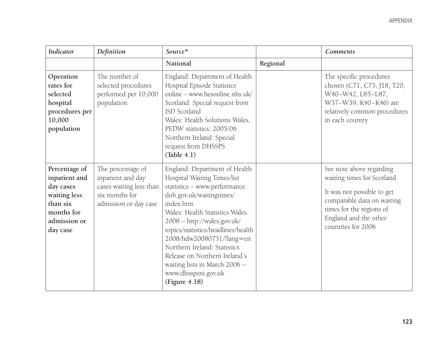| <b>Indicator</b>                                                                                                  | Definition                                                                                                   | Source*                                                                                                                                                                                                                                                                                                                                                                                                              |          | <b>Comments</b>                                                                                                                                                                               |
|-------------------------------------------------------------------------------------------------------------------|--------------------------------------------------------------------------------------------------------------|----------------------------------------------------------------------------------------------------------------------------------------------------------------------------------------------------------------------------------------------------------------------------------------------------------------------------------------------------------------------------------------------------------------------|----------|-----------------------------------------------------------------------------------------------------------------------------------------------------------------------------------------------|
|                                                                                                                   |                                                                                                              | National                                                                                                                                                                                                                                                                                                                                                                                                             | Regional |                                                                                                                                                                                               |
| Operation<br>rates for<br>selected<br>hospital<br>procedures per<br>10,000<br>population                          | The number of<br>selected procedures<br>performed per 10,000<br>population                                   | England: Department of Health<br>Hospital Episode Statistics<br>online - www.hesonline.nhs.uk/<br>Scotland: Special request from<br>ISD Scotland<br>Wales: Health Solutions Wales,<br>PEDW statistics: 2005/06<br>Northern Ireland: Special<br>request from DHSSPS<br>(Table 4.1)                                                                                                                                    |          | The specific procedures<br>chosen (C71, C75, J18, T20,<br>W40-W42, L85-L87,<br>W37-W39, K40-K46) are<br>relatively common procedures<br>in each country                                       |
| Percentage of<br>inpatient and<br>day cases<br>waiting less<br>than six<br>months for<br>admission or<br>day case | The percentage of<br>inpatient and day<br>cases waiting less than<br>six months for<br>admission or day case | England: Department of Health<br>Hospital Waiting Times/list<br>statistics - www.performance.<br>doh.gov.uk/waitingtimes/<br>index.htm<br>Wales: Health Statistics Wales<br>2008 - http://wales.gov.uk/<br>topics/statistics/headlines/health<br>2008/hdw20080731/?lang=en<br>Northern Ireland: Statistics<br>Release on Northern Ireland's<br>waiting lists in March 2006 -<br>www.dhsspsni.gov.uk<br>(Figure 4.18) |          | See note above regarding<br>waiting times for Scotland<br>It was not possible to get<br>comparable data on waiting<br>times for the regions of<br>England and the other<br>countries for 2006 |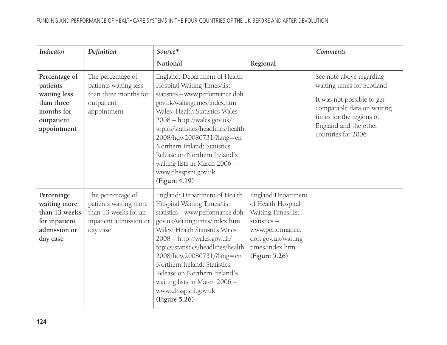| <b>Indicator</b>                                                                                   | Definition                                                                                               | Source*                                                                                                                                                                                                                                                                                                                                                                                                          |                                                                                                                                                             | <b>Comments</b>                                                                                                                                                                               |
|----------------------------------------------------------------------------------------------------|----------------------------------------------------------------------------------------------------------|------------------------------------------------------------------------------------------------------------------------------------------------------------------------------------------------------------------------------------------------------------------------------------------------------------------------------------------------------------------------------------------------------------------|-------------------------------------------------------------------------------------------------------------------------------------------------------------|-----------------------------------------------------------------------------------------------------------------------------------------------------------------------------------------------|
|                                                                                                    |                                                                                                          | National                                                                                                                                                                                                                                                                                                                                                                                                         | Regional                                                                                                                                                    |                                                                                                                                                                                               |
| Percentage of<br>patients<br>waiting less<br>than three<br>months for<br>outpatient<br>appointment | The percentage of<br>patients waiting less<br>than three months for<br>outpatient<br>appointment         | England: Department of Health<br>Hospital Waiting Times/list<br>statistics - www.performance.doh.<br>gov.uk/waitingtimes/index.htm<br>Wales: Health Statistics Wales<br>2008 - http://wales.gov.uk/<br>topics/statistics/headlines/health<br>2008/hdw20080731/?lang=en<br>Northern Ireland: Statistics<br>Release on Northern Ireland's<br>waiting lists in March 2006 -<br>www.dhsspsni.gov.uk<br>(Figure 4.19) |                                                                                                                                                             | See note above regarding<br>waiting times for Scotland<br>It was not possible to get<br>comparable data on waiting<br>times for the regions of<br>England and the other<br>countries for 2006 |
| Percentage<br>waiting more<br>than 13 weeks<br>for inpatient<br>admission or<br>day case           | The percentage of<br>patients waiting more<br>than 13 weeks for an<br>inpatient admission or<br>day case | England: Department of Health<br>Hospital Waiting Times/list<br>statistics - www.performance.doh.<br>gov.uk/waitingtimes/index.htm<br>Wales: Health Statistics Wales<br>2008 - http://wales.gov.uk/<br>topics/statistics/headlines/health<br>2008/hdw20080731/?lang=en<br>Northern Ireland: Statistics<br>Release on Northern Ireland's<br>waiting lists in March 2006 -<br>www.dhsspsni.gov.uk<br>(Figure 5.26) | England Department<br>of Health Hospital<br>Waiting Times/list<br>statistics-<br>www.performance.<br>doh.gov.uk/waiting<br>times/index.htm<br>(Figure 5.26) |                                                                                                                                                                                               |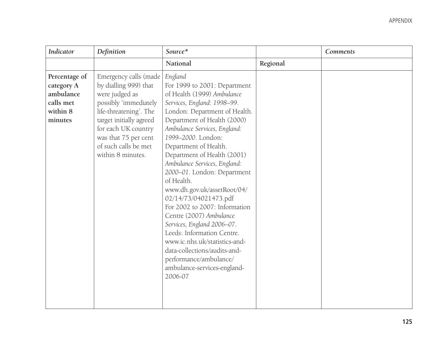| <b>Indicator</b>                                                             | Definition                                                                                                                                                                                                                                 | Source*                                                                                                                                                                                                                                                                                                                                                                                                                                                                                                                                                                                                                                                                              |          | <b>Comments</b> |
|------------------------------------------------------------------------------|--------------------------------------------------------------------------------------------------------------------------------------------------------------------------------------------------------------------------------------------|--------------------------------------------------------------------------------------------------------------------------------------------------------------------------------------------------------------------------------------------------------------------------------------------------------------------------------------------------------------------------------------------------------------------------------------------------------------------------------------------------------------------------------------------------------------------------------------------------------------------------------------------------------------------------------------|----------|-----------------|
|                                                                              |                                                                                                                                                                                                                                            | National                                                                                                                                                                                                                                                                                                                                                                                                                                                                                                                                                                                                                                                                             | Regional |                 |
| Percentage of<br>category A<br>ambulance<br>calls met<br>within 8<br>minutes | Emergency calls (made<br>by dialling 999) that<br>were judged as<br>possibly 'immediately<br>life-threatening'. The<br>target initially agreed<br>for each UK country<br>was that 75 per cent<br>of such calls be met<br>within 8 minutes. | England<br>For 1999 to 2001: Department<br>of Health (1999) Ambulance<br>Services, England: 1998-99.<br>London: Department of Health.<br>Department of Health (2000)<br>Ambulance Services, England:<br>1999-2000. London:<br>Department of Health.<br>Department of Health (2001)<br>Ambulance Services, England:<br>2000-01. London: Department<br>of Health.<br>www.dh.gov.uk/assetRoot/04/<br>02/14/73/04021473.pdf<br>For 2002 to 2007: Information<br>Centre (2007) Ambulance<br>Services, England 2006-07.<br>Leeds: Information Centre.<br>www.ic.nhs.uk/statistics-and-<br>data-collections/audits-and-<br>performance/ambulance/<br>ambulance-services-england-<br>2006-07 |          |                 |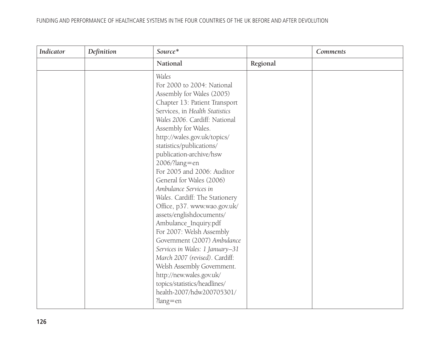## FUNDING AND PERFORMANCE OF HEALTHCARE SYSTEMS IN THE FOUR COUNTRIES OF THE UK BEFORE AND AFTER DEVOLUTION

| <b>Indicator</b> | Definition | Source*                                                                                                                                                                                                                                                                                                                                                                                                                                                                                                                                                                                                                                                                                                                                                             |          | Comments |
|------------------|------------|---------------------------------------------------------------------------------------------------------------------------------------------------------------------------------------------------------------------------------------------------------------------------------------------------------------------------------------------------------------------------------------------------------------------------------------------------------------------------------------------------------------------------------------------------------------------------------------------------------------------------------------------------------------------------------------------------------------------------------------------------------------------|----------|----------|
|                  |            | National                                                                                                                                                                                                                                                                                                                                                                                                                                                                                                                                                                                                                                                                                                                                                            | Regional |          |
|                  |            | Wales<br>For 2000 to 2004: National<br>Assembly for Wales (2005)<br>Chapter 13: Patient Transport<br>Services, in Health Statistics<br>Wales 2006. Cardiff: National<br>Assembly for Wales.<br>http://wales.gov.uk/topics/<br>statistics/publications/<br>publication-archive/hsw<br>2006/?lang=en<br>For 2005 and 2006: Auditor<br>General for Wales (2006)<br>Ambulance Services in<br>Wales. Cardiff: The Stationery<br>Office, p37. www.wao.gov.uk/<br>assets/englishdocuments/<br>Ambulance_Inquiry.pdf<br>For 2007: Welsh Assembly<br>Government (2007) Ambulance<br>Services in Wales: 1 January-31<br>March 2007 (revised). Cardiff:<br>Welsh Assembly Government.<br>http://new.wales.gov.uk/<br>topics/statistics/headlines/<br>health-2007/hdw200705301/ |          |          |
|                  |            | $?$ lang=en                                                                                                                                                                                                                                                                                                                                                                                                                                                                                                                                                                                                                                                                                                                                                         |          |          |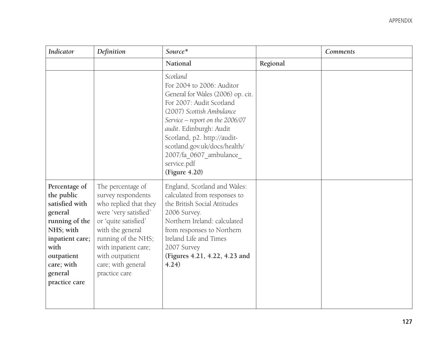| <b>Indicator</b>                                                                                                                                                           | Definition                                                                                                                                                                                                                                     | Source*                                                                                                                                                                                                                                                                                                                    |          | Comments |
|----------------------------------------------------------------------------------------------------------------------------------------------------------------------------|------------------------------------------------------------------------------------------------------------------------------------------------------------------------------------------------------------------------------------------------|----------------------------------------------------------------------------------------------------------------------------------------------------------------------------------------------------------------------------------------------------------------------------------------------------------------------------|----------|----------|
|                                                                                                                                                                            |                                                                                                                                                                                                                                                | National                                                                                                                                                                                                                                                                                                                   | Regional |          |
|                                                                                                                                                                            |                                                                                                                                                                                                                                                | Scotland<br>For 2004 to 2006: Auditor<br>General for Wales (2006) op. cit.<br>For 2007: Audit Scotland<br>(2007) Scottish Ambulance<br>Service - report on the 2006/07<br>audit. Edinburgh: Audit<br>Scotland, p2. http://audit-<br>scotland.gov.uk/docs/health/<br>2007/fa 0607 ambulance<br>service.pdf<br>(Figure 4.20) |          |          |
| Percentage of<br>the public<br>satisfied with<br>general<br>running of the<br>NHS; with<br>inpatient care;<br>with<br>outpatient<br>care; with<br>general<br>practice care | The percentage of<br>survey respondents<br>who replied that they<br>were 'very satisfied'<br>or 'quite satisfied'<br>with the general<br>running of the NHS;<br>with inpatient care;<br>with outpatient<br>care; with general<br>practice care | England, Scotland and Wales:<br>calculated from responses to<br>the British Social Attitudes<br>2006 Survey.<br>Northern Ireland: calculated<br>from responses to Northern<br>Ireland Life and Times<br>2007 Survey<br>(Figures 4.21, 4.22, 4.23 and<br>4.24)                                                              |          |          |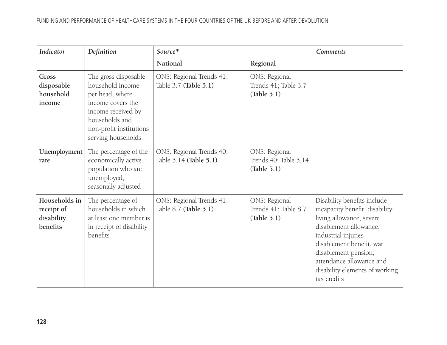| <b>Indicator</b>                                      | Definition                                                                                                                                                                | Source*                                            |                                                       | <b>Comments</b>                                                                                                                                                                                                                                                             |
|-------------------------------------------------------|---------------------------------------------------------------------------------------------------------------------------------------------------------------------------|----------------------------------------------------|-------------------------------------------------------|-----------------------------------------------------------------------------------------------------------------------------------------------------------------------------------------------------------------------------------------------------------------------------|
|                                                       |                                                                                                                                                                           | National                                           | Regional                                              |                                                                                                                                                                                                                                                                             |
| Gross<br>disposable<br>household<br>income            | The gross disposable<br>household income<br>per head, where<br>income covers the<br>income received by<br>households and<br>non-profit institutions<br>serving households | ONS: Regional Trends 41;<br>Table 3.7 (Table 5.1)  | ONS: Regional<br>Trends 41; Table 3.7<br>(Table 5.1)  |                                                                                                                                                                                                                                                                             |
| Unemployment<br>rate                                  | The percentage of the<br>economically active<br>population who are<br>unemployed,<br>seasonally adjusted                                                                  | ONS: Regional Trends 40;<br>Table 5.14 (Table 5.1) | ONS: Regional<br>Trends 40; Table 5.14<br>(Table 5.1) |                                                                                                                                                                                                                                                                             |
| Households in<br>receipt of<br>disability<br>benefits | The percentage of<br>households in which<br>at least one member is<br>in receipt of disability<br>benefits                                                                | ONS: Regional Trends 41;<br>Table 8.7 (Table 5.1)  | ONS: Regional<br>Trends 41; Table 8.7<br>(Table 5.1)  | Disability benefits include<br>incapacity benefit, disability<br>living allowance, severe<br>disablement allowance,<br>industrial injuries<br>disablement benefit, war<br>disablement pension,<br>attendance allowance and<br>disability elements of working<br>tax credits |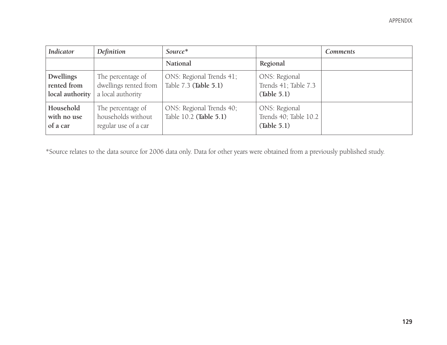| <b>Indicator</b>                            | Definition                                                      | Source*                                            |                                                       | <b>Comments</b> |
|---------------------------------------------|-----------------------------------------------------------------|----------------------------------------------------|-------------------------------------------------------|-----------------|
|                                             |                                                                 | National                                           | Regional                                              |                 |
| Dwellings<br>rented from<br>local authority | The percentage of<br>dwellings rented from<br>a local authority | ONS: Regional Trends 41;<br>Table 7.3 (Table 5.1)  | ONS: Regional<br>Trends 41; Table 7.3<br>(Table 5.1)  |                 |
| Household<br>with no use<br>of a car        | The percentage of<br>households without<br>regular use of a car | ONS: Regional Trends 40;<br>Table 10.2 (Table 5.1) | ONS: Regional<br>Trends 40; Table 10.2<br>(Table 5.1) |                 |

\*Source relates to the data source for 2006 data only. Data for other years were obtained from a previously published study.